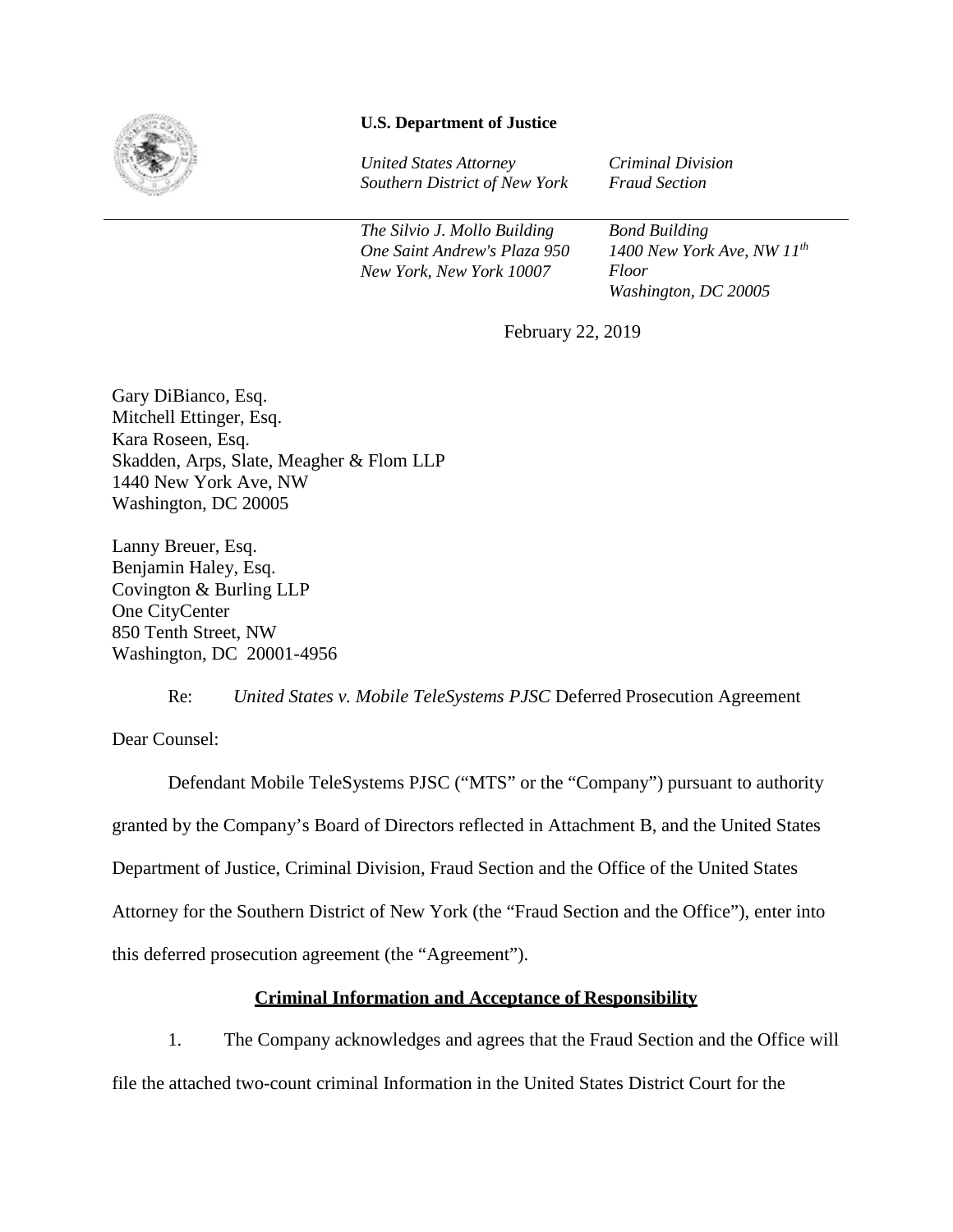

# **U.S. Department of Justice**

*United States Attorney Southern District of New York*  *Criminal Division Fraud Section* 

*The Silvio J. Mollo Building One Saint Andrew's Plaza 950 New York, New York 10007*

*Bond Building 1400 New York Ave, NW 11th Floor Washington, DC 20005*

February 22, 2019

Gary DiBianco, Esq. Mitchell Ettinger, Esq. Kara Roseen, Esq. Skadden, Arps, Slate, Meagher & Flom LLP 1440 New York Ave, NW Washington, DC 20005

Lanny Breuer, Esq. Benjamin Haley, Esq. Covington & Burling LLP One CityCenter 850 Tenth Street, NW Washington, DC 20001-4956

Re: *United States v. Mobile TeleSystems PJSC* Deferred Prosecution Agreement

Dear Counsel:

Defendant Mobile TeleSystems PJSC ("MTS" or the "Company") pursuant to authority granted by the Company's Board of Directors reflected in Attachment B, and the United States Department of Justice, Criminal Division, Fraud Section and the Office of the United States Attorney for the Southern District of New York (the "Fraud Section and the Office"), enter into this deferred prosecution agreement (the "Agreement").

# **Criminal Information and Acceptance of Responsibility**

1. The Company acknowledges and agrees that the Fraud Section and the Office will

file the attached two-count criminal Information in the United States District Court for the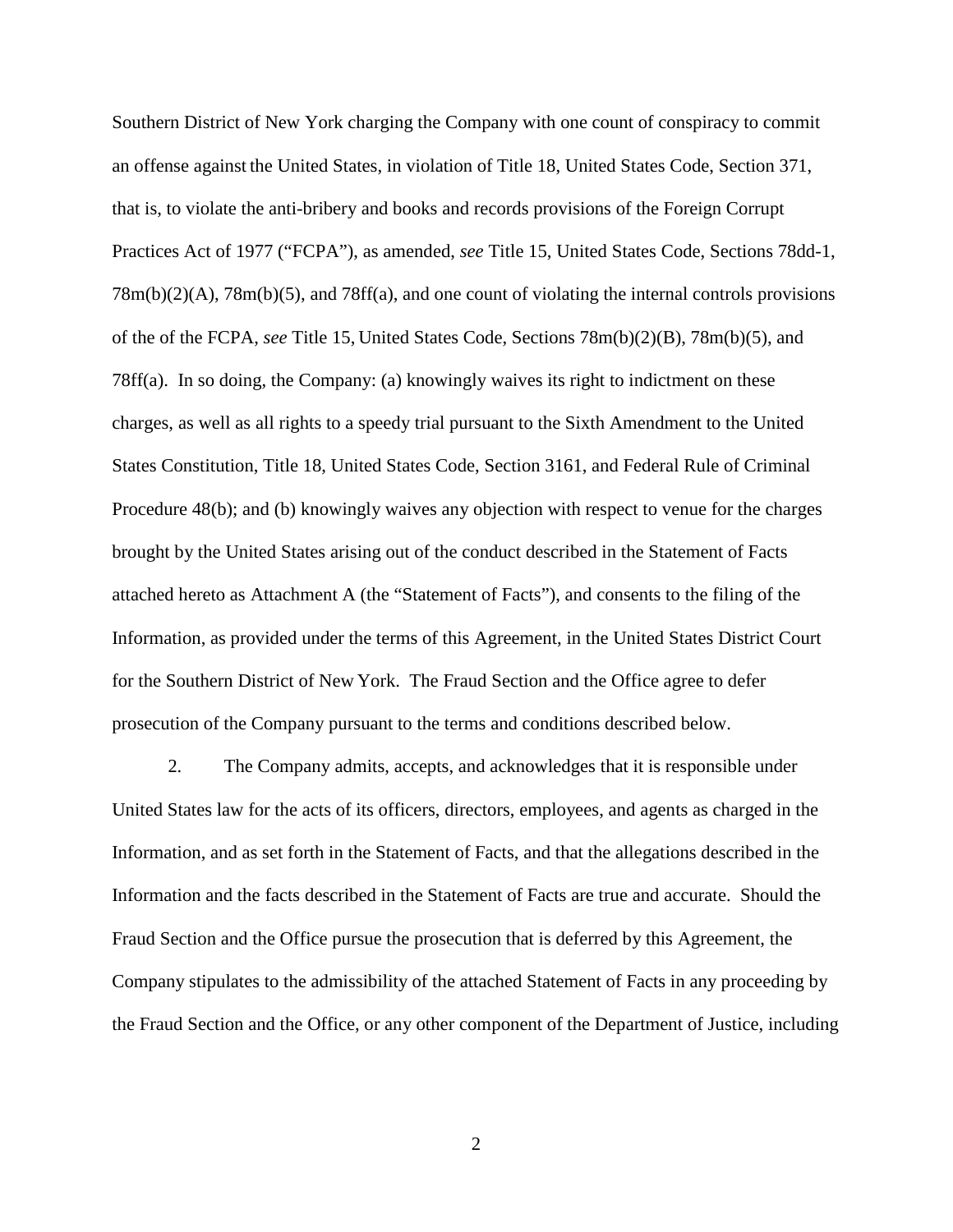Southern District of New York charging the Company with one count of conspiracy to commit an offense against the United States, in violation of Title 18, United States Code, Section 371, that is, to violate the anti-bribery and books and records provisions of the Foreign Corrupt Practices Act of 1977 ("FCPA"), as amended, *see* Title 15, United States Code, Sections 78dd-1,  $78m(b)(2)(A)$ ,  $78m(b)(5)$ , and  $78ff(a)$ , and one count of violating the internal controls provisions of the of the FCPA, *see* Title 15, United States Code, Sections 78m(b)(2)(B), 78m(b)(5), and 78ff(a). In so doing, the Company: (a) knowingly waives its right to indictment on these charges, as well as all rights to a speedy trial pursuant to the Sixth Amendment to the United States Constitution, Title 18, United States Code, Section 3161, and Federal Rule of Criminal Procedure 48(b); and (b) knowingly waives any objection with respect to venue for the charges brought by the United States arising out of the conduct described in the Statement of Facts attached hereto as Attachment A (the "Statement of Facts"), and consents to the filing of the Information, as provided under the terms of this Agreement, in the United States District Court for the Southern District of New York. The Fraud Section and the Office agree to defer prosecution of the Company pursuant to the terms and conditions described below.

2. The Company admits, accepts, and acknowledges that it is responsible under United States law for the acts of its officers, directors, employees, and agents as charged in the Information, and as set forth in the Statement of Facts, and that the allegations described in the Information and the facts described in the Statement of Facts are true and accurate. Should the Fraud Section and the Office pursue the prosecution that is deferred by this Agreement, the Company stipulates to the admissibility of the attached Statement of Facts in any proceeding by the Fraud Section and the Office, or any other component of the Department of Justice, including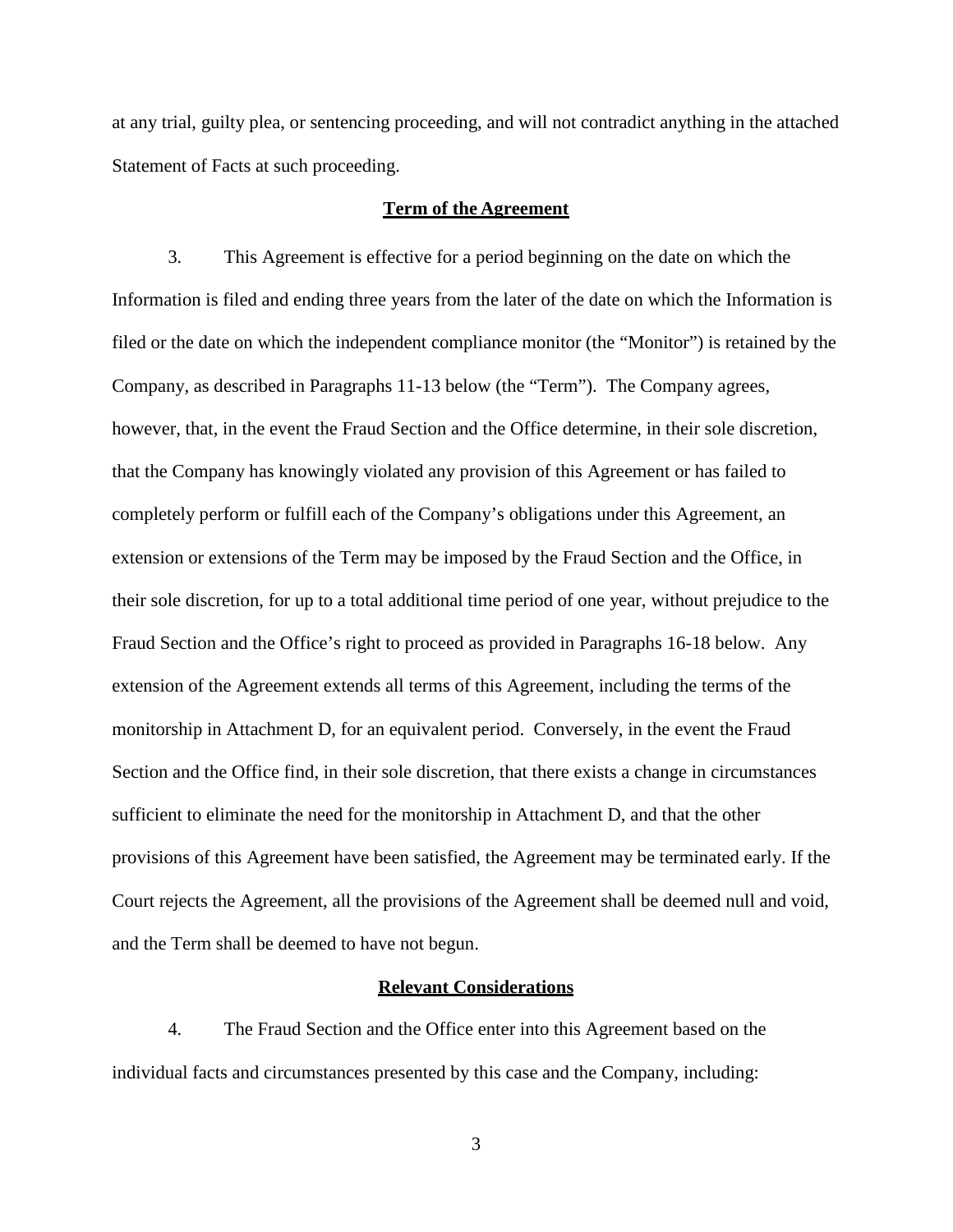at any trial, guilty plea, or sentencing proceeding, and will not contradict anything in the attached Statement of Facts at such proceeding.

#### **Term of the Agreement**

3. This Agreement is effective for a period beginning on the date on which the Information is filed and ending three years from the later of the date on which the Information is filed or the date on which the independent compliance monitor (the "Monitor") is retained by the Company, as described in Paragraphs 11-13 below (the "Term"). The Company agrees, however, that, in the event the Fraud Section and the Office determine, in their sole discretion, that the Company has knowingly violated any provision of this Agreement or has failed to completely perform or fulfill each of the Company's obligations under this Agreement, an extension or extensions of the Term may be imposed by the Fraud Section and the Office, in their sole discretion, for up to a total additional time period of one year, without prejudice to the Fraud Section and the Office's right to proceed as provided in Paragraphs 16-18 below. Any extension of the Agreement extends all terms of this Agreement, including the terms of the monitorship in Attachment D, for an equivalent period. Conversely, in the event the Fraud Section and the Office find, in their sole discretion, that there exists a change in circumstances sufficient to eliminate the need for the monitorship in Attachment D, and that the other provisions of this Agreement have been satisfied, the Agreement may be terminated early. If the Court rejects the Agreement, all the provisions of the Agreement shall be deemed null and void, and the Term shall be deemed to have not begun.

#### **Relevant Considerations**

4. The Fraud Section and the Office enter into this Agreement based on the individual facts and circumstances presented by this case and the Company, including: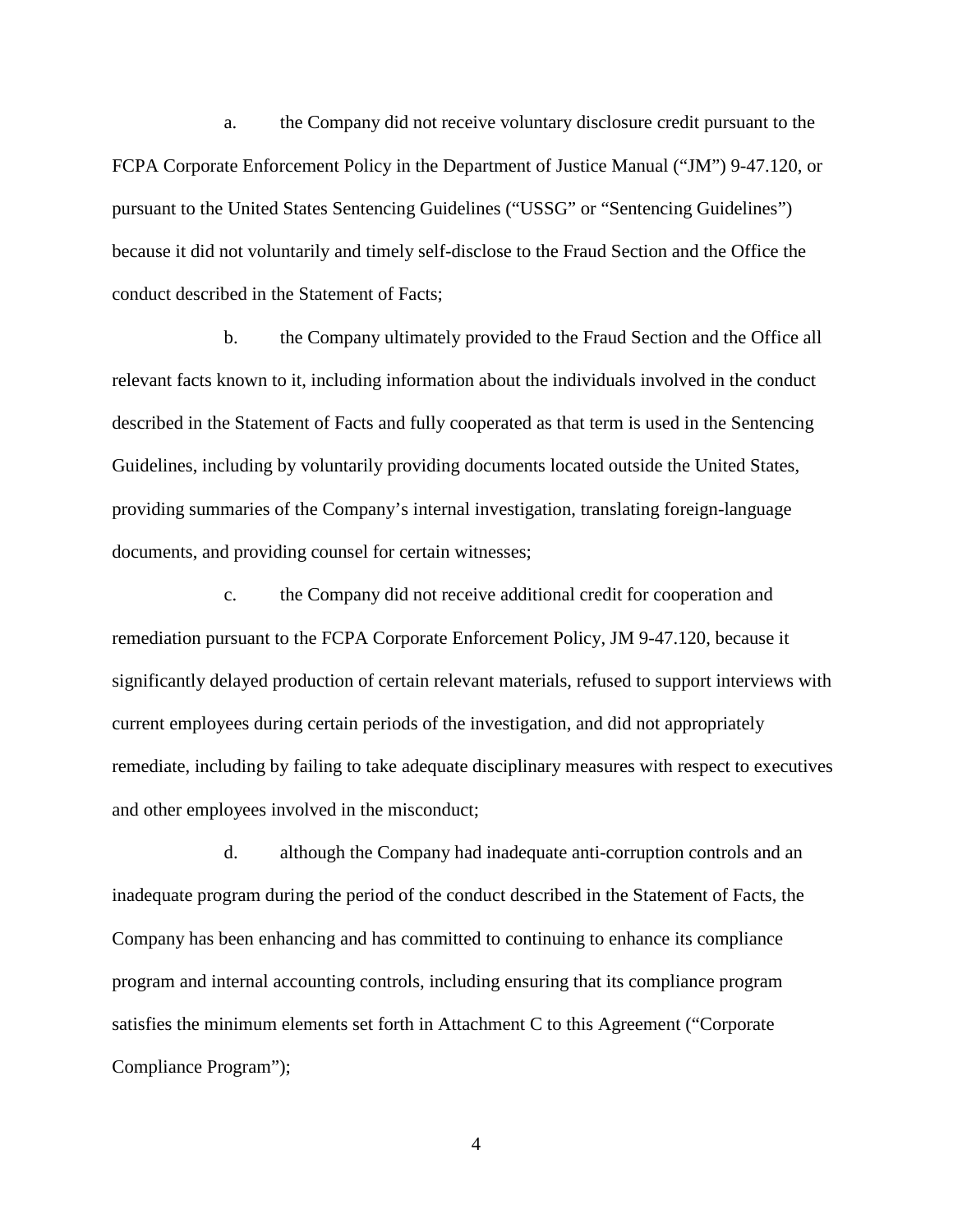a. the Company did not receive voluntary disclosure credit pursuant to the FCPA Corporate Enforcement Policy in the Department of Justice Manual ("JM") 9-47.120, or pursuant to the United States Sentencing Guidelines ("USSG" or "Sentencing Guidelines") because it did not voluntarily and timely self-disclose to the Fraud Section and the Office the conduct described in the Statement of Facts;

b. the Company ultimately provided to the Fraud Section and the Office all relevant facts known to it, including information about the individuals involved in the conduct described in the Statement of Facts and fully cooperated as that term is used in the Sentencing Guidelines, including by voluntarily providing documents located outside the United States, providing summaries of the Company's internal investigation, translating foreign-language documents, and providing counsel for certain witnesses;

c. the Company did not receive additional credit for cooperation and remediation pursuant to the FCPA Corporate Enforcement Policy, JM 9-47.120, because it significantly delayed production of certain relevant materials, refused to support interviews with current employees during certain periods of the investigation, and did not appropriately remediate, including by failing to take adequate disciplinary measures with respect to executives and other employees involved in the misconduct;

d. although the Company had inadequate anti-corruption controls and an inadequate program during the period of the conduct described in the Statement of Facts, the Company has been enhancing and has committed to continuing to enhance its compliance program and internal accounting controls, including ensuring that its compliance program satisfies the minimum elements set forth in Attachment C to this Agreement ("Corporate Compliance Program");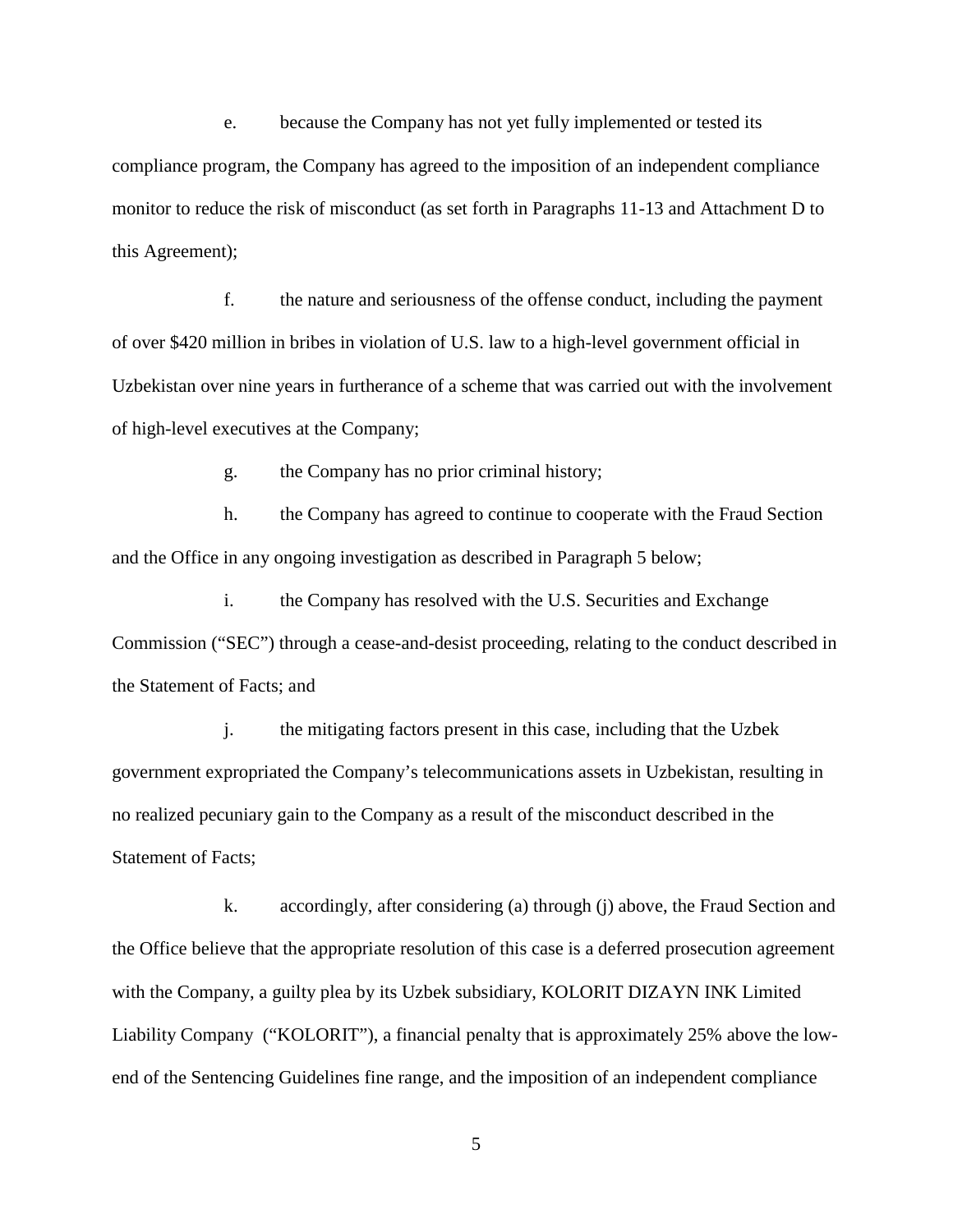e. because the Company has not yet fully implemented or tested its compliance program, the Company has agreed to the imposition of an independent compliance monitor to reduce the risk of misconduct (as set forth in Paragraphs 11-13 and Attachment D to this Agreement);

f. the nature and seriousness of the offense conduct, including the payment of over \$420 million in bribes in violation of U.S. law to a high-level government official in Uzbekistan over nine years in furtherance of a scheme that was carried out with the involvement of high-level executives at the Company;

g. the Company has no prior criminal history;

h. the Company has agreed to continue to cooperate with the Fraud Section and the Office in any ongoing investigation as described in Paragraph 5 below;

i. the Company has resolved with the U.S. Securities and Exchange Commission ("SEC") through a cease-and-desist proceeding, relating to the conduct described in the Statement of Facts; and

j. the mitigating factors present in this case, including that the Uzbek government expropriated the Company's telecommunications assets in Uzbekistan, resulting in no realized pecuniary gain to the Company as a result of the misconduct described in the Statement of Facts;

k. accordingly, after considering (a) through (j) above, the Fraud Section and the Office believe that the appropriate resolution of this case is a deferred prosecution agreement with the Company, a guilty plea by its Uzbek subsidiary, KOLORIT DIZAYN INK Limited Liability Company ("KOLORIT"), a financial penalty that is approximately 25% above the lowend of the Sentencing Guidelines fine range, and the imposition of an independent compliance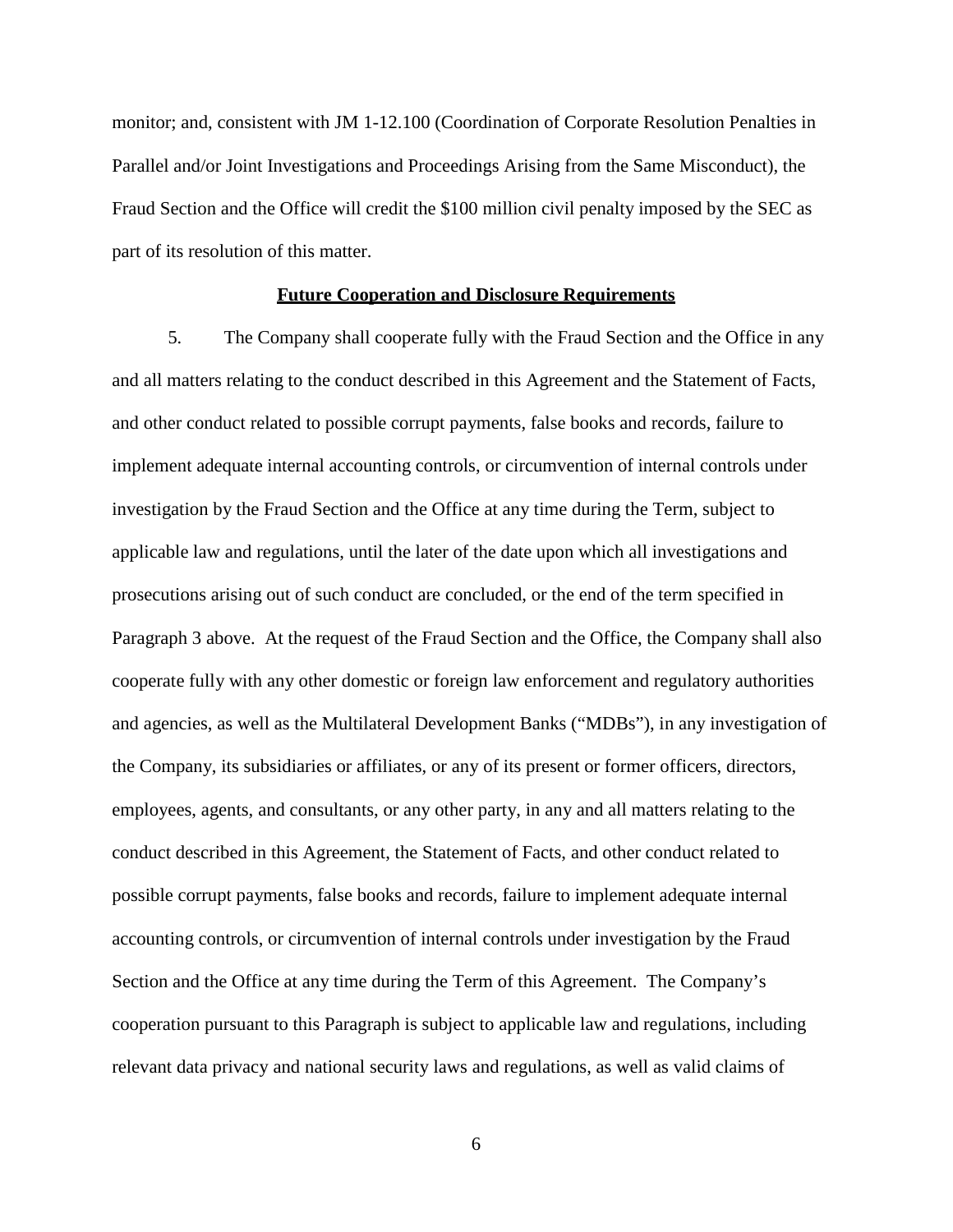monitor; and, consistent with JM 1-12.100 (Coordination of Corporate Resolution Penalties in Parallel and/or Joint Investigations and Proceedings Arising from the Same Misconduct), the Fraud Section and the Office will credit the \$100 million civil penalty imposed by the SEC as part of its resolution of this matter.

#### **Future Cooperation and Disclosure Requirements**

5. The Company shall cooperate fully with the Fraud Section and the Office in any and all matters relating to the conduct described in this Agreement and the Statement of Facts, and other conduct related to possible corrupt payments, false books and records, failure to implement adequate internal accounting controls, or circumvention of internal controls under investigation by the Fraud Section and the Office at any time during the Term, subject to applicable law and regulations, until the later of the date upon which all investigations and prosecutions arising out of such conduct are concluded, or the end of the term specified in Paragraph 3 above. At the request of the Fraud Section and the Office, the Company shall also cooperate fully with any other domestic or foreign law enforcement and regulatory authorities and agencies, as well as the Multilateral Development Banks ("MDBs"), in any investigation of the Company, its subsidiaries or affiliates, or any of its present or former officers, directors, employees, agents, and consultants, or any other party, in any and all matters relating to the conduct described in this Agreement, the Statement of Facts, and other conduct related to possible corrupt payments, false books and records, failure to implement adequate internal accounting controls, or circumvention of internal controls under investigation by the Fraud Section and the Office at any time during the Term of this Agreement. The Company's cooperation pursuant to this Paragraph is subject to applicable law and regulations, including relevant data privacy and national security laws and regulations, as well as valid claims of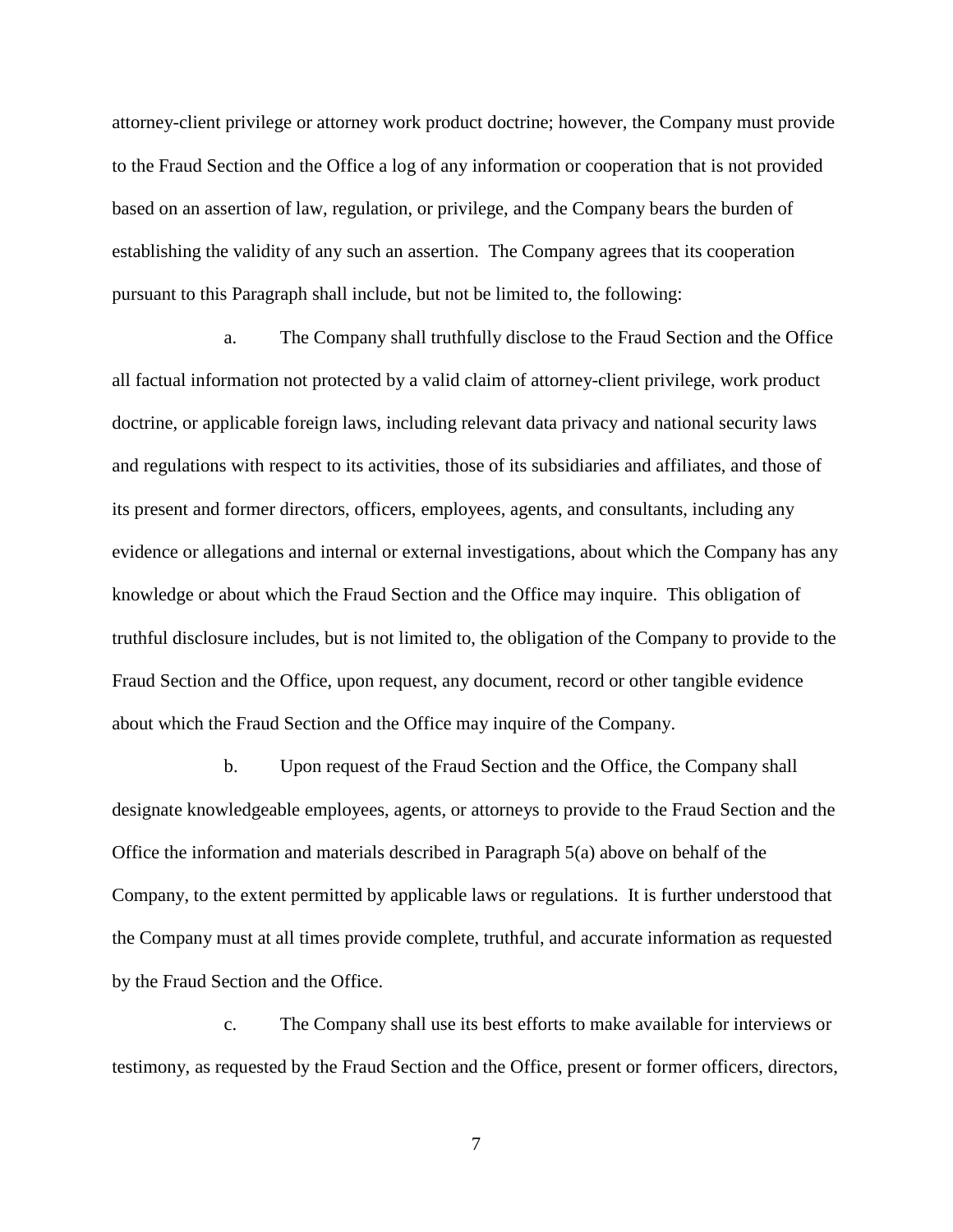attorney-client privilege or attorney work product doctrine; however, the Company must provide to the Fraud Section and the Office a log of any information or cooperation that is not provided based on an assertion of law, regulation, or privilege, and the Company bears the burden of establishing the validity of any such an assertion. The Company agrees that its cooperation pursuant to this Paragraph shall include, but not be limited to, the following:

 a. The Company shall truthfully disclose to the Fraud Section and the Office all factual information not protected by a valid claim of attorney-client privilege, work product doctrine, or applicable foreign laws, including relevant data privacy and national security laws and regulations with respect to its activities, those of its subsidiaries and affiliates, and those of its present and former directors, officers, employees, agents, and consultants, including any evidence or allegations and internal or external investigations, about which the Company has any knowledge or about which the Fraud Section and the Office may inquire. This obligation of truthful disclosure includes, but is not limited to, the obligation of the Company to provide to the Fraud Section and the Office, upon request, any document, record or other tangible evidence about which the Fraud Section and the Office may inquire of the Company.

 b. Upon request of the Fraud Section and the Office, the Company shall designate knowledgeable employees, agents, or attorneys to provide to the Fraud Section and the Office the information and materials described in Paragraph 5(a) above on behalf of the Company, to the extent permitted by applicable laws or regulations. It is further understood that the Company must at all times provide complete, truthful, and accurate information as requested by the Fraud Section and the Office.

 c. The Company shall use its best efforts to make available for interviews or testimony, as requested by the Fraud Section and the Office, present or former officers, directors,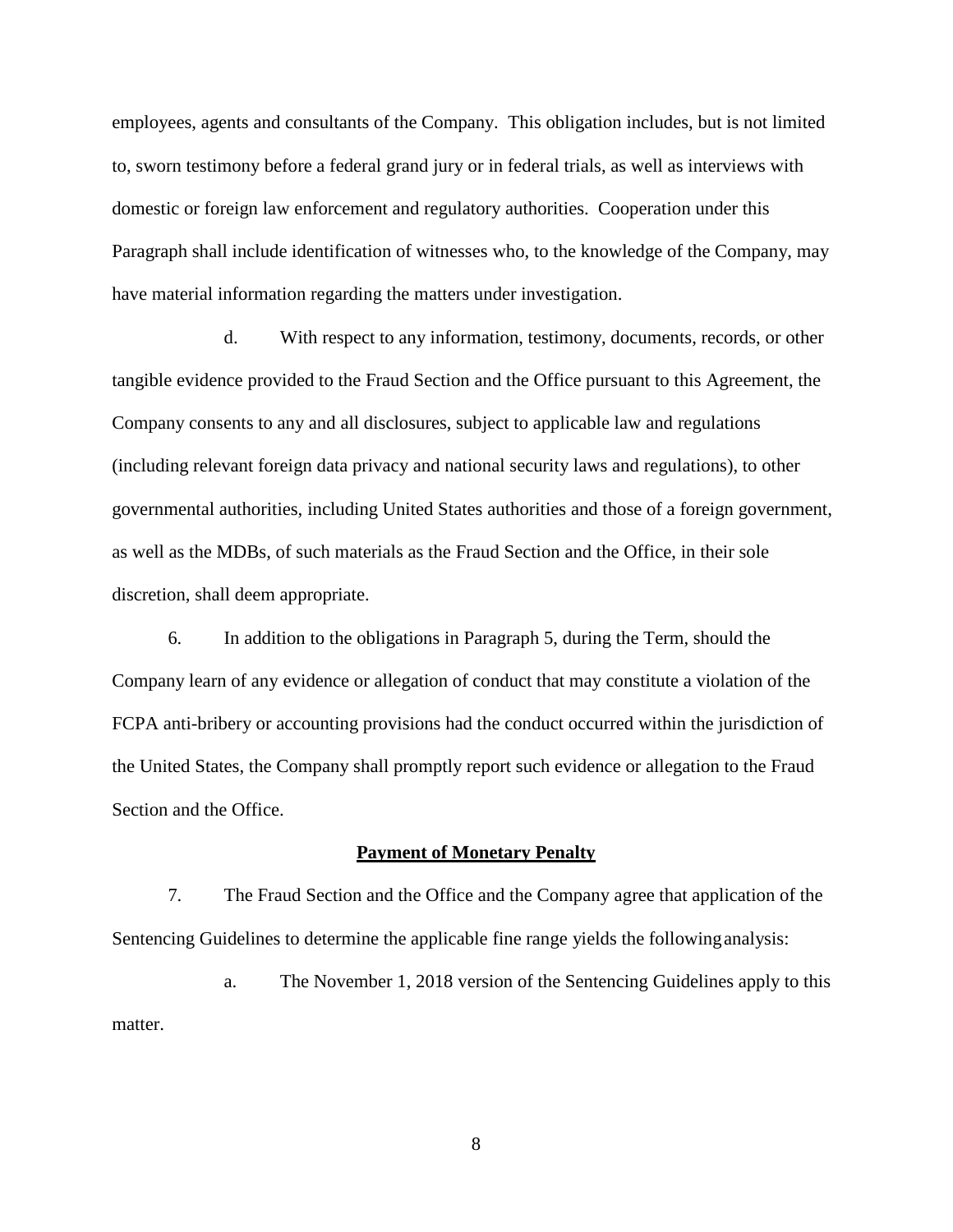employees, agents and consultants of the Company. This obligation includes, but is not limited to, sworn testimony before a federal grand jury or in federal trials, as well as interviews with domestic or foreign law enforcement and regulatory authorities. Cooperation under this Paragraph shall include identification of witnesses who, to the knowledge of the Company, may have material information regarding the matters under investigation.

 d. With respect to any information, testimony, documents, records, or other tangible evidence provided to the Fraud Section and the Office pursuant to this Agreement, the Company consents to any and all disclosures, subject to applicable law and regulations (including relevant foreign data privacy and national security laws and regulations), to other governmental authorities, including United States authorities and those of a foreign government, as well as the MDBs, of such materials as the Fraud Section and the Office, in their sole discretion, shall deem appropriate.

6. In addition to the obligations in Paragraph 5, during the Term, should the Company learn of any evidence or allegation of conduct that may constitute a violation of the FCPA anti-bribery or accounting provisions had the conduct occurred within the jurisdiction of the United States, the Company shall promptly report such evidence or allegation to the Fraud Section and the Office.

#### **Payment of Monetary Penalty**

7. The Fraud Section and the Office and the Company agree that application of the Sentencing Guidelines to determine the applicable fine range yields the following analysis:

a. The November 1, 2018 version of the Sentencing Guidelines apply to this matter.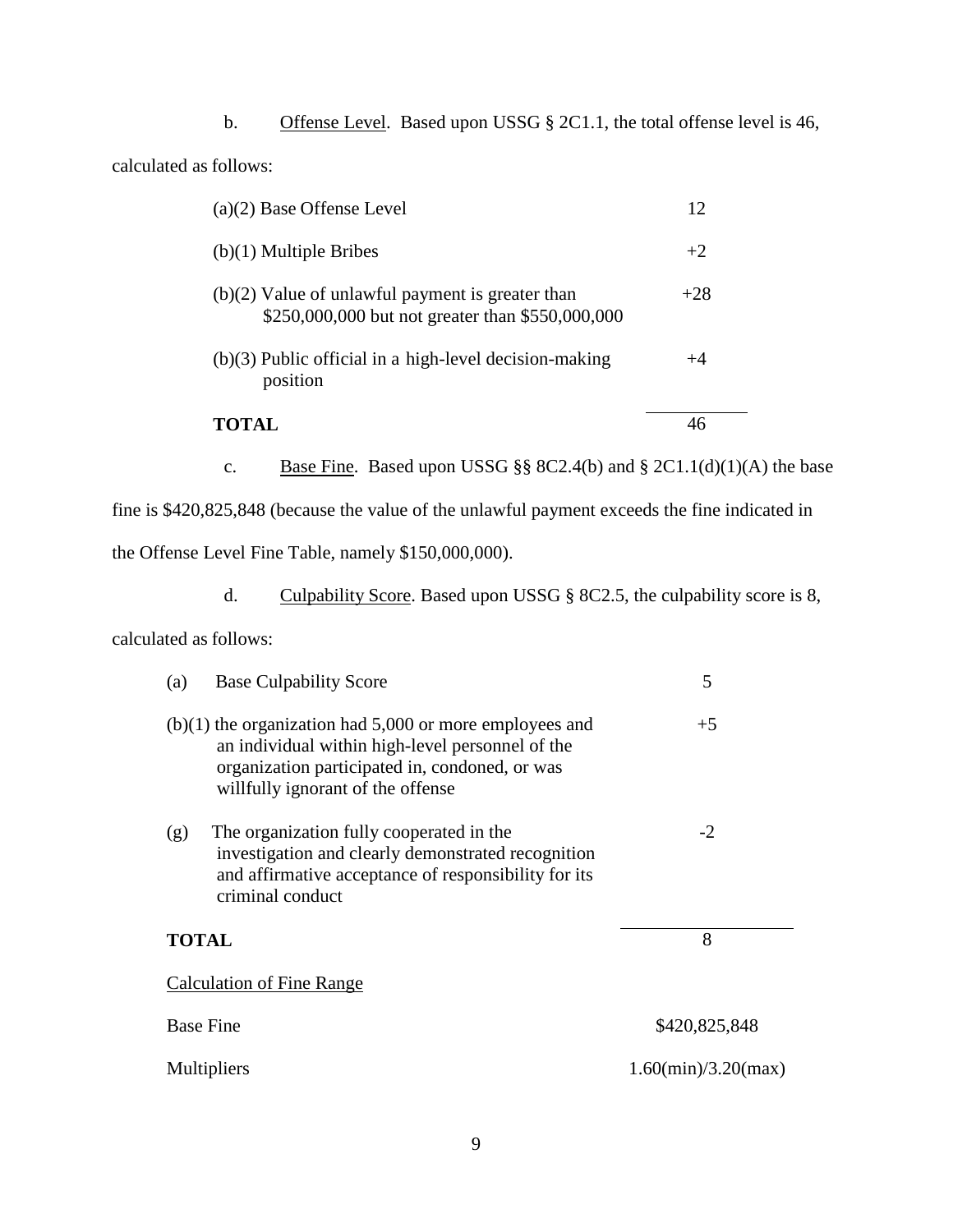b. Offense Level. Based upon USSG § 2C1.1, the total offense level is 46, calculated as follows:

| $(a)(2)$ Base Offense Level                                                                            | 12    |
|--------------------------------------------------------------------------------------------------------|-------|
| $(b)(1)$ Multiple Bribes                                                                               | $+2$  |
| $(b)(2)$ Value of unlawful payment is greater than<br>\$250,000,000 but not greater than \$550,000,000 | $+28$ |
| $(b)(3)$ Public official in a high-level decision-making<br>position                                   | +4    |
| TOTAL                                                                                                  |       |

c. Base Fine. Based upon USSG  $\S § 8C2.4(b)$  and  $\S 2C1.1(d)(1)(A)$  the base

fine is \$420,825,848 (because the value of the unlawful payment exceeds the fine indicated in

the Offense Level Fine Table, namely \$150,000,000).

d. Culpability Score. Based upon USSG § 8C2.5, the culpability score is 8,

calculated as follows:

| <b>Base Culpability Score</b><br>(a)                                                                                                                                                                 | 5                      |  |
|------------------------------------------------------------------------------------------------------------------------------------------------------------------------------------------------------|------------------------|--|
| $(b)(1)$ the organization had 5,000 or more employees and<br>an individual within high-level personnel of the<br>organization participated in, condoned, or was<br>willfully ignorant of the offense | $+5$                   |  |
| The organization fully cooperated in the<br>(g)<br>investigation and clearly demonstrated recognition<br>and affirmative acceptance of responsibility for its<br>criminal conduct                    | $-2$                   |  |
| <b>TOTAL</b>                                                                                                                                                                                         | 8                      |  |
| <b>Calculation of Fine Range</b>                                                                                                                                                                     |                        |  |
| <b>Base Fine</b>                                                                                                                                                                                     | \$420,825,848          |  |
| Multipliers                                                                                                                                                                                          | $1.60$ (min)/3.20(max) |  |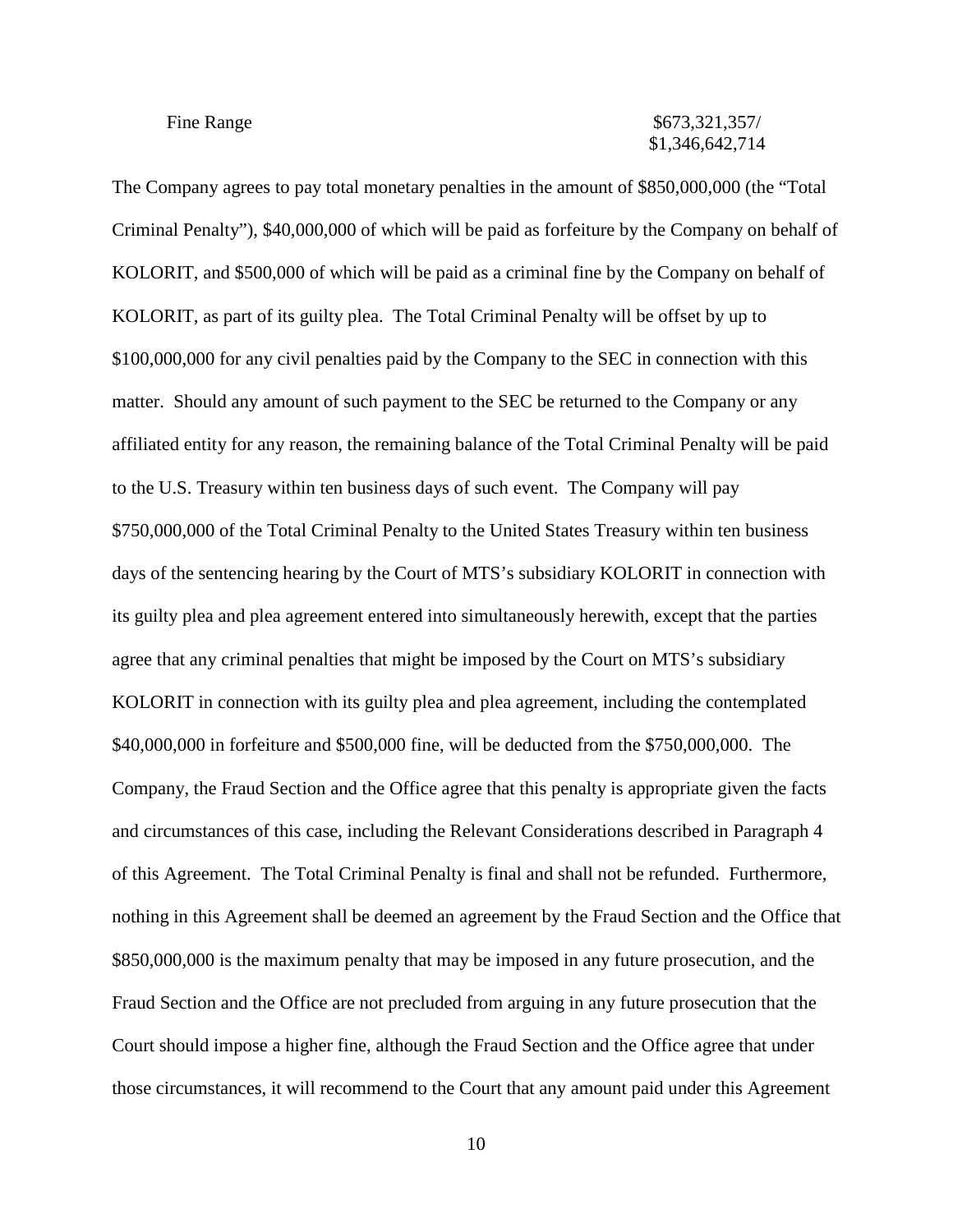#### Fine Range  $\frac{157}{256}$  S673,321,357/ \$1,346,642,714

The Company agrees to pay total monetary penalties in the amount of \$850,000,000 (the "Total Criminal Penalty"), \$40,000,000 of which will be paid as forfeiture by the Company on behalf of KOLORIT, and \$500,000 of which will be paid as a criminal fine by the Company on behalf of KOLORIT, as part of its guilty plea. The Total Criminal Penalty will be offset by up to \$100,000,000 for any civil penalties paid by the Company to the SEC in connection with this matter. Should any amount of such payment to the SEC be returned to the Company or any affiliated entity for any reason, the remaining balance of the Total Criminal Penalty will be paid to the U.S. Treasury within ten business days of such event. The Company will pay \$750,000,000 of the Total Criminal Penalty to the United States Treasury within ten business days of the sentencing hearing by the Court of MTS's subsidiary KOLORIT in connection with its guilty plea and plea agreement entered into simultaneously herewith, except that the parties agree that any criminal penalties that might be imposed by the Court on MTS's subsidiary KOLORIT in connection with its guilty plea and plea agreement, including the contemplated \$40,000,000 in forfeiture and \$500,000 fine, will be deducted from the \$750,000,000. The Company, the Fraud Section and the Office agree that this penalty is appropriate given the facts and circumstances of this case, including the Relevant Considerations described in Paragraph 4 of this Agreement. The Total Criminal Penalty is final and shall not be refunded. Furthermore, nothing in this Agreement shall be deemed an agreement by the Fraud Section and the Office that \$850,000,000 is the maximum penalty that may be imposed in any future prosecution, and the Fraud Section and the Office are not precluded from arguing in any future prosecution that the Court should impose a higher fine, although the Fraud Section and the Office agree that under those circumstances, it will recommend to the Court that any amount paid under this Agreement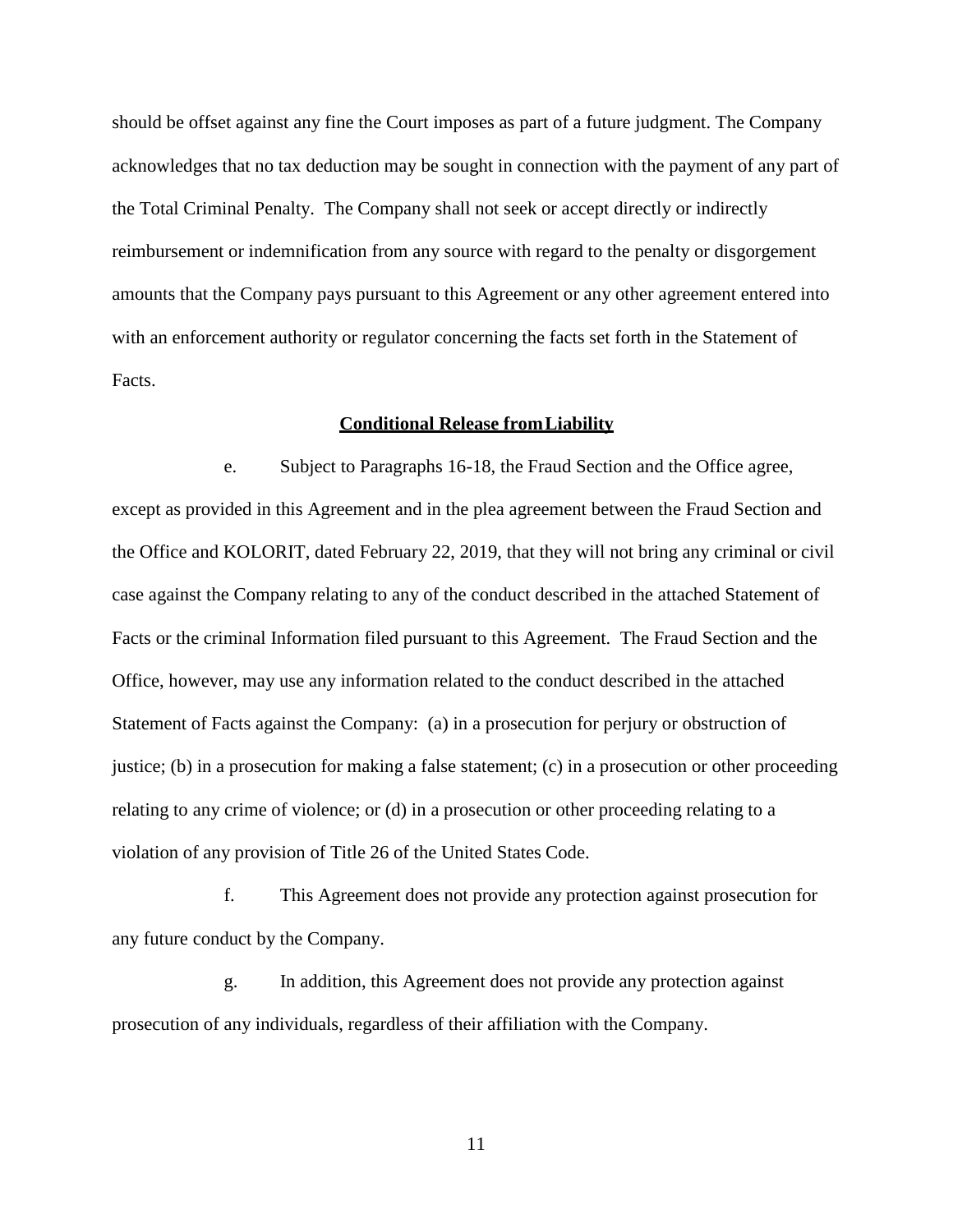should be offset against any fine the Court imposes as part of a future judgment. The Company acknowledges that no tax deduction may be sought in connection with the payment of any part of the Total Criminal Penalty. The Company shall not seek or accept directly or indirectly reimbursement or indemnification from any source with regard to the penalty or disgorgement amounts that the Company pays pursuant to this Agreement or any other agreement entered into with an enforcement authority or regulator concerning the facts set forth in the Statement of Facts.

#### **Conditional Release from Liability**

e. Subject to Paragraphs 16-18, the Fraud Section and the Office agree, except as provided in this Agreement and in the plea agreement between the Fraud Section and the Office and KOLORIT, dated February 22, 2019, that they will not bring any criminal or civil case against the Company relating to any of the conduct described in the attached Statement of Facts or the criminal Information filed pursuant to this Agreement. The Fraud Section and the Office, however, may use any information related to the conduct described in the attached Statement of Facts against the Company: (a) in a prosecution for perjury or obstruction of justice; (b) in a prosecution for making a false statement; (c) in a prosecution or other proceeding relating to any crime of violence; or (d) in a prosecution or other proceeding relating to a violation of any provision of Title 26 of the United States Code.

f. This Agreement does not provide any protection against prosecution for any future conduct by the Company.

g. In addition, this Agreement does not provide any protection against prosecution of any individuals, regardless of their affiliation with the Company.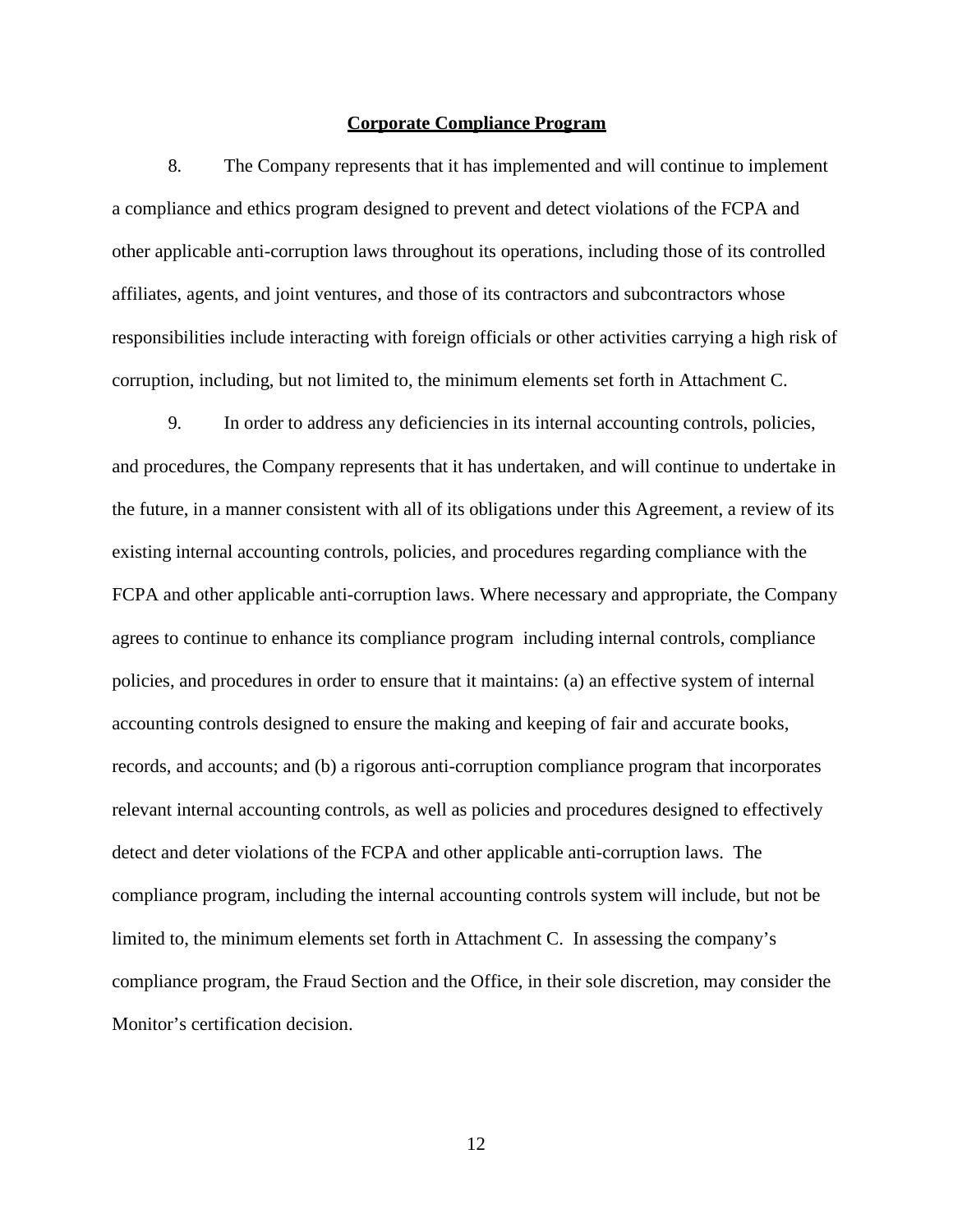#### **Corporate Compliance Program**

8. The Company represents that it has implemented and will continue to implement a compliance and ethics program designed to prevent and detect violations of the FCPA and other applicable anti-corruption laws throughout its operations, including those of its controlled affiliates, agents, and joint ventures, and those of its contractors and subcontractors whose responsibilities include interacting with foreign officials or other activities carrying a high risk of corruption, including, but not limited to, the minimum elements set forth in Attachment C.

9. In order to address any deficiencies in its internal accounting controls, policies, and procedures, the Company represents that it has undertaken, and will continue to undertake in the future, in a manner consistent with all of its obligations under this Agreement, a review of its existing internal accounting controls, policies, and procedures regarding compliance with the FCPA and other applicable anti-corruption laws. Where necessary and appropriate, the Company agrees to continue to enhance its compliance program including internal controls, compliance policies, and procedures in order to ensure that it maintains: (a) an effective system of internal accounting controls designed to ensure the making and keeping of fair and accurate books, records, and accounts; and (b) a rigorous anti-corruption compliance program that incorporates relevant internal accounting controls, as well as policies and procedures designed to effectively detect and deter violations of the FCPA and other applicable anti-corruption laws. The compliance program, including the internal accounting controls system will include, but not be limited to, the minimum elements set forth in Attachment C. In assessing the company's compliance program, the Fraud Section and the Office, in their sole discretion, may consider the Monitor's certification decision.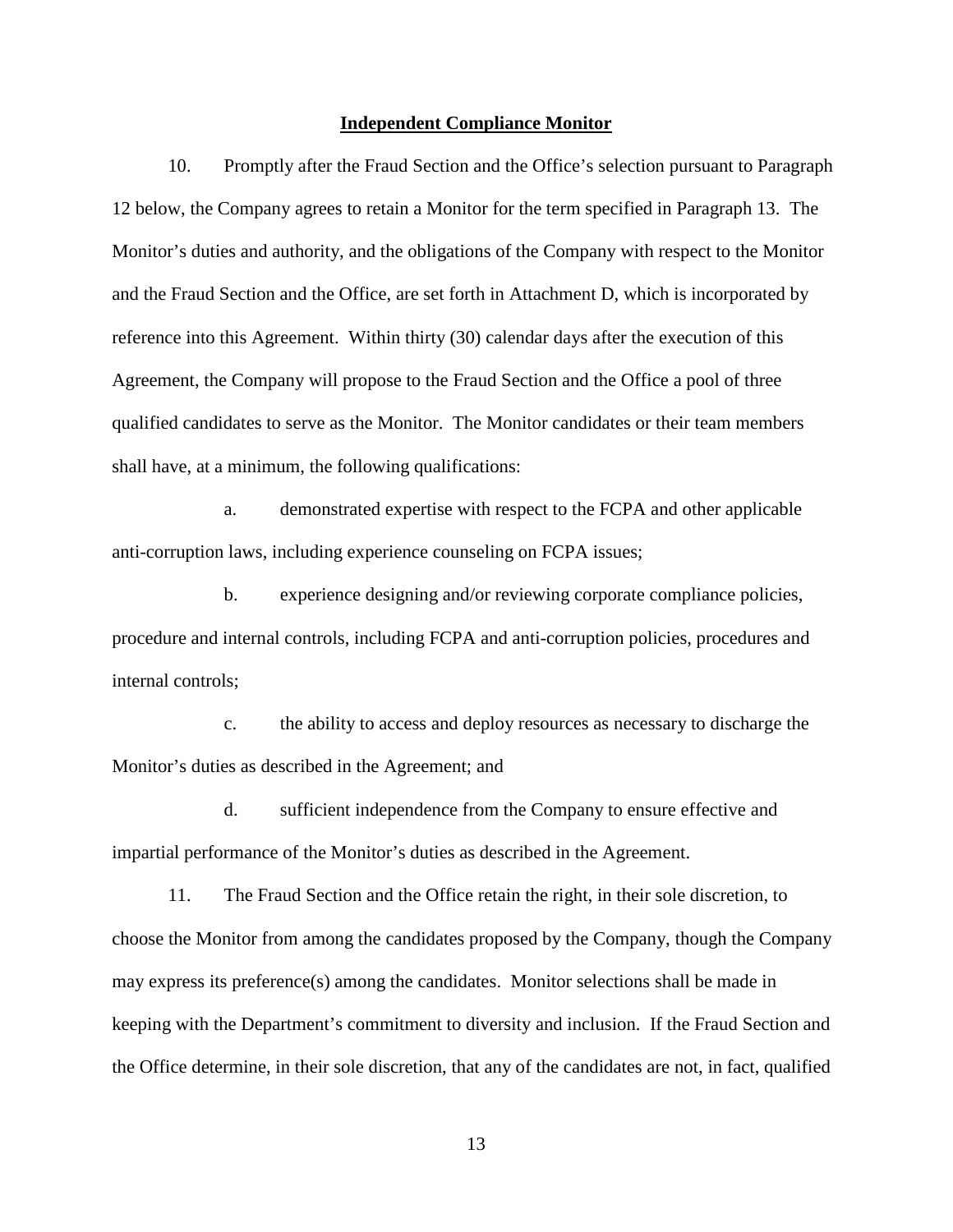#### **Independent Compliance Monitor**

10. Promptly after the Fraud Section and the Office's selection pursuant to Paragraph 12 below, the Company agrees to retain a Monitor for the term specified in Paragraph 13. The Monitor's duties and authority, and the obligations of the Company with respect to the Monitor and the Fraud Section and the Office, are set forth in Attachment D, which is incorporated by reference into this Agreement. Within thirty (30) calendar days after the execution of this Agreement, the Company will propose to the Fraud Section and the Office a pool of three qualified candidates to serve as the Monitor. The Monitor candidates or their team members shall have, at a minimum, the following qualifications:

a. demonstrated expertise with respect to the FCPA and other applicable anti-corruption laws, including experience counseling on FCPA issues;

b. experience designing and/or reviewing corporate compliance policies, procedure and internal controls, including FCPA and anti-corruption policies, procedures and internal controls;

c. the ability to access and deploy resources as necessary to discharge the Monitor's duties as described in the Agreement; and

d. sufficient independence from the Company to ensure effective and impartial performance of the Monitor's duties as described in the Agreement.

11. The Fraud Section and the Office retain the right, in their sole discretion, to choose the Monitor from among the candidates proposed by the Company, though the Company may express its preference(s) among the candidates. Monitor selections shall be made in keeping with the Department's commitment to diversity and inclusion. If the Fraud Section and the Office determine, in their sole discretion, that any of the candidates are not, in fact, qualified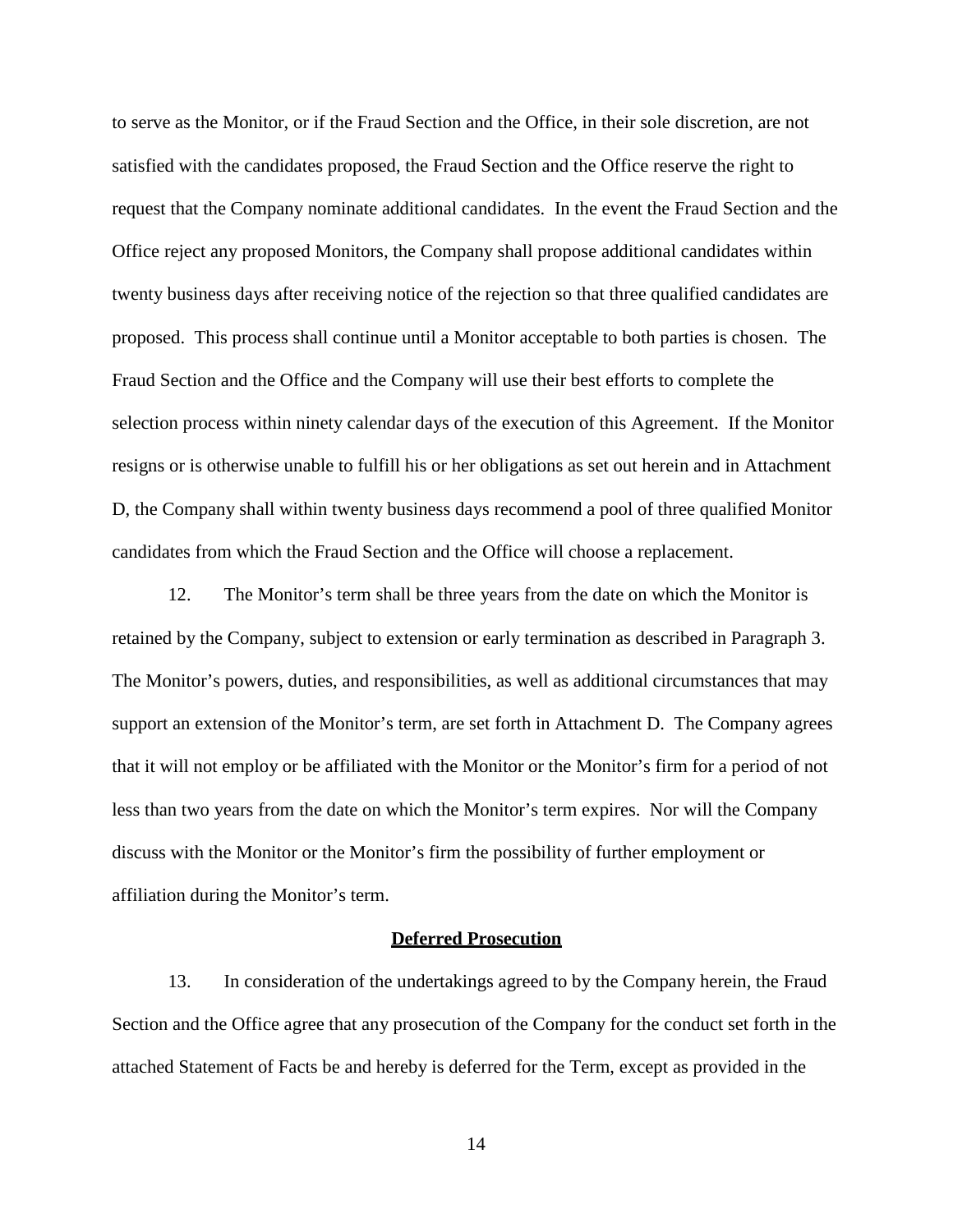to serve as the Monitor, or if the Fraud Section and the Office, in their sole discretion, are not satisfied with the candidates proposed, the Fraud Section and the Office reserve the right to request that the Company nominate additional candidates. In the event the Fraud Section and the Office reject any proposed Monitors, the Company shall propose additional candidates within twenty business days after receiving notice of the rejection so that three qualified candidates are proposed. This process shall continue until a Monitor acceptable to both parties is chosen. The Fraud Section and the Office and the Company will use their best efforts to complete the selection process within ninety calendar days of the execution of this Agreement. If the Monitor resigns or is otherwise unable to fulfill his or her obligations as set out herein and in Attachment D, the Company shall within twenty business days recommend a pool of three qualified Monitor candidates from which the Fraud Section and the Office will choose a replacement.

12. The Monitor's term shall be three years from the date on which the Monitor is retained by the Company, subject to extension or early termination as described in Paragraph 3. The Monitor's powers, duties, and responsibilities, as well as additional circumstances that may support an extension of the Monitor's term, are set forth in Attachment D. The Company agrees that it will not employ or be affiliated with the Monitor or the Monitor's firm for a period of not less than two years from the date on which the Monitor's term expires. Nor will the Company discuss with the Monitor or the Monitor's firm the possibility of further employment or affiliation during the Monitor's term.

#### **Deferred Prosecution**

13. In consideration of the undertakings agreed to by the Company herein, the Fraud Section and the Office agree that any prosecution of the Company for the conduct set forth in the attached Statement of Facts be and hereby is deferred for the Term, except as provided in the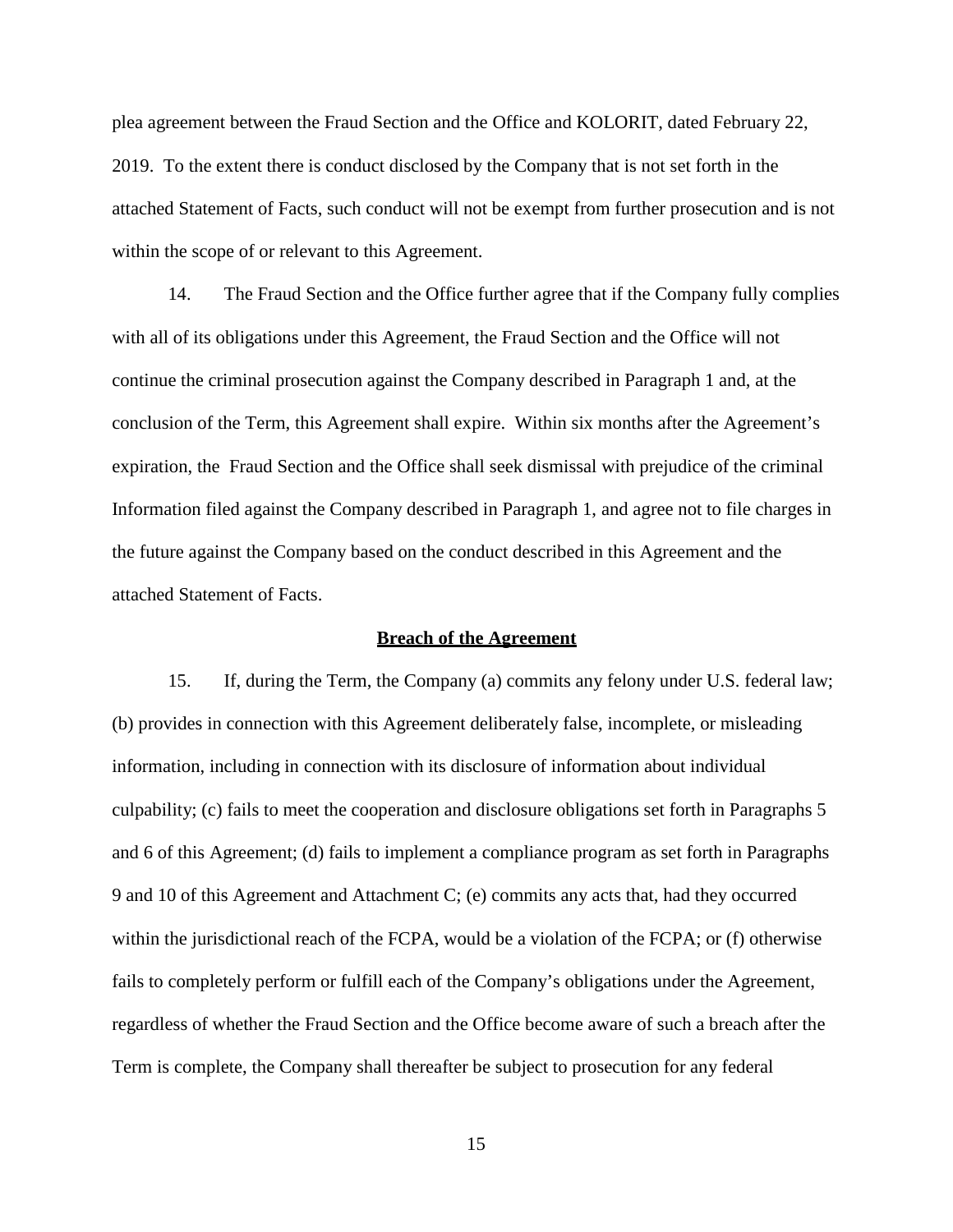plea agreement between the Fraud Section and the Office and KOLORIT, dated February 22, 2019. To the extent there is conduct disclosed by the Company that is not set forth in the attached Statement of Facts, such conduct will not be exempt from further prosecution and is not within the scope of or relevant to this Agreement.

14. The Fraud Section and the Office further agree that if the Company fully complies with all of its obligations under this Agreement, the Fraud Section and the Office will not continue the criminal prosecution against the Company described in Paragraph 1 and, at the conclusion of the Term, this Agreement shall expire. Within six months after the Agreement's expiration, the Fraud Section and the Office shall seek dismissal with prejudice of the criminal Information filed against the Company described in Paragraph 1, and agree not to file charges in the future against the Company based on the conduct described in this Agreement and the attached Statement of Facts.

#### **Breach of the Agreement**

15. If, during the Term, the Company (a) commits any felony under U.S. federal law; (b) provides in connection with this Agreement deliberately false, incomplete, or misleading information, including in connection with its disclosure of information about individual culpability; (c) fails to meet the cooperation and disclosure obligations set forth in Paragraphs 5 and 6 of this Agreement; (d) fails to implement a compliance program as set forth in Paragraphs 9 and 10 of this Agreement and Attachment C; (e) commits any acts that, had they occurred within the jurisdictional reach of the FCPA, would be a violation of the FCPA; or (f) otherwise fails to completely perform or fulfill each of the Company's obligations under the Agreement, regardless of whether the Fraud Section and the Office become aware of such a breach after the Term is complete, the Company shall thereafter be subject to prosecution for any federal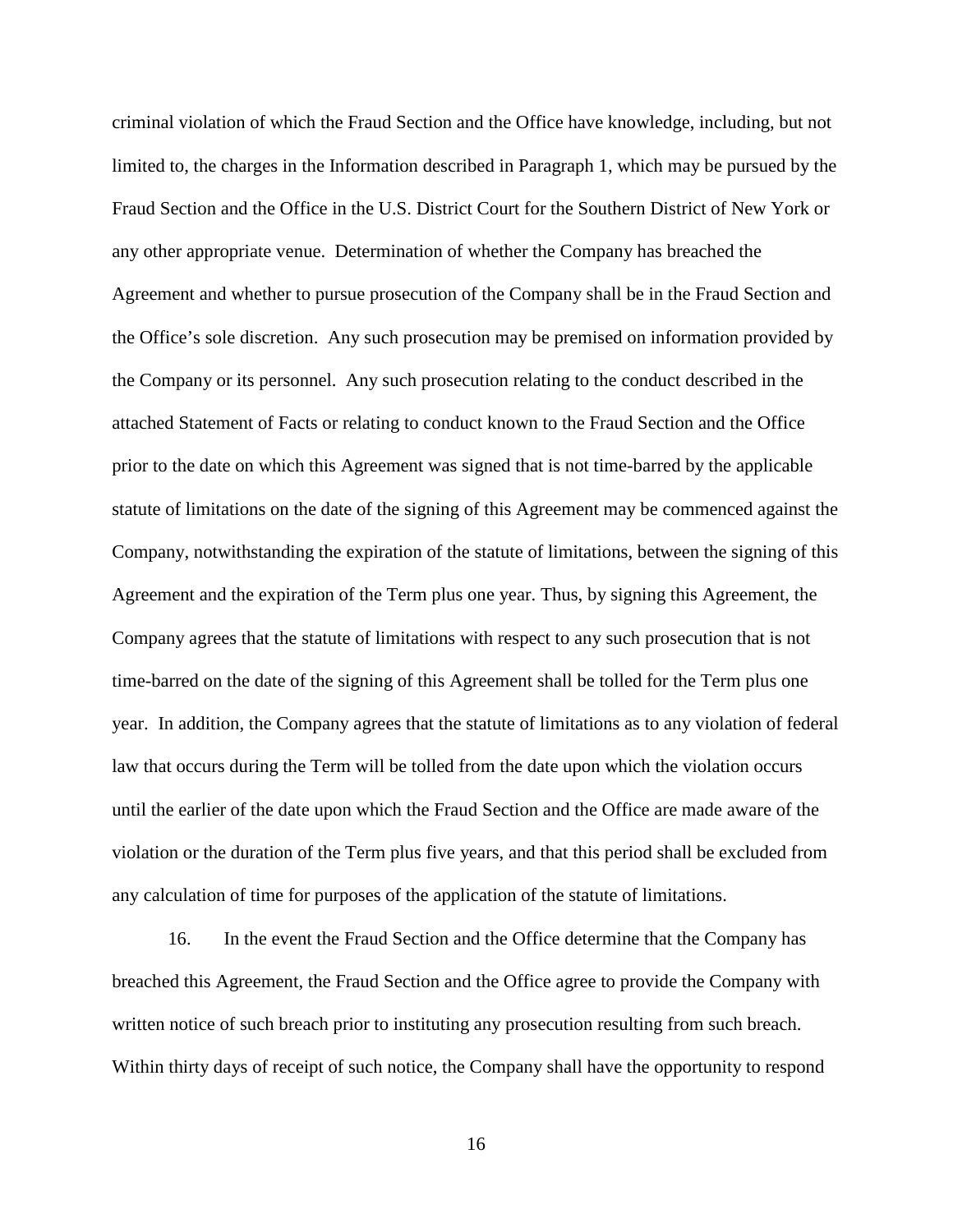criminal violation of which the Fraud Section and the Office have knowledge, including, but not limited to, the charges in the Information described in Paragraph 1, which may be pursued by the Fraud Section and the Office in the U.S. District Court for the Southern District of New York or any other appropriate venue. Determination of whether the Company has breached the Agreement and whether to pursue prosecution of the Company shall be in the Fraud Section and the Office's sole discretion. Any such prosecution may be premised on information provided by the Company or its personnel. Any such prosecution relating to the conduct described in the attached Statement of Facts or relating to conduct known to the Fraud Section and the Office prior to the date on which this Agreement was signed that is not time-barred by the applicable statute of limitations on the date of the signing of this Agreement may be commenced against the Company, notwithstanding the expiration of the statute of limitations, between the signing of this Agreement and the expiration of the Term plus one year. Thus, by signing this Agreement, the Company agrees that the statute of limitations with respect to any such prosecution that is not time-barred on the date of the signing of this Agreement shall be tolled for the Term plus one year. In addition, the Company agrees that the statute of limitations as to any violation of federal law that occurs during the Term will be tolled from the date upon which the violation occurs until the earlier of the date upon which the Fraud Section and the Office are made aware of the violation or the duration of the Term plus five years, and that this period shall be excluded from any calculation of time for purposes of the application of the statute of limitations.

16. In the event the Fraud Section and the Office determine that the Company has breached this Agreement, the Fraud Section and the Office agree to provide the Company with written notice of such breach prior to instituting any prosecution resulting from such breach. Within thirty days of receipt of such notice, the Company shall have the opportunity to respond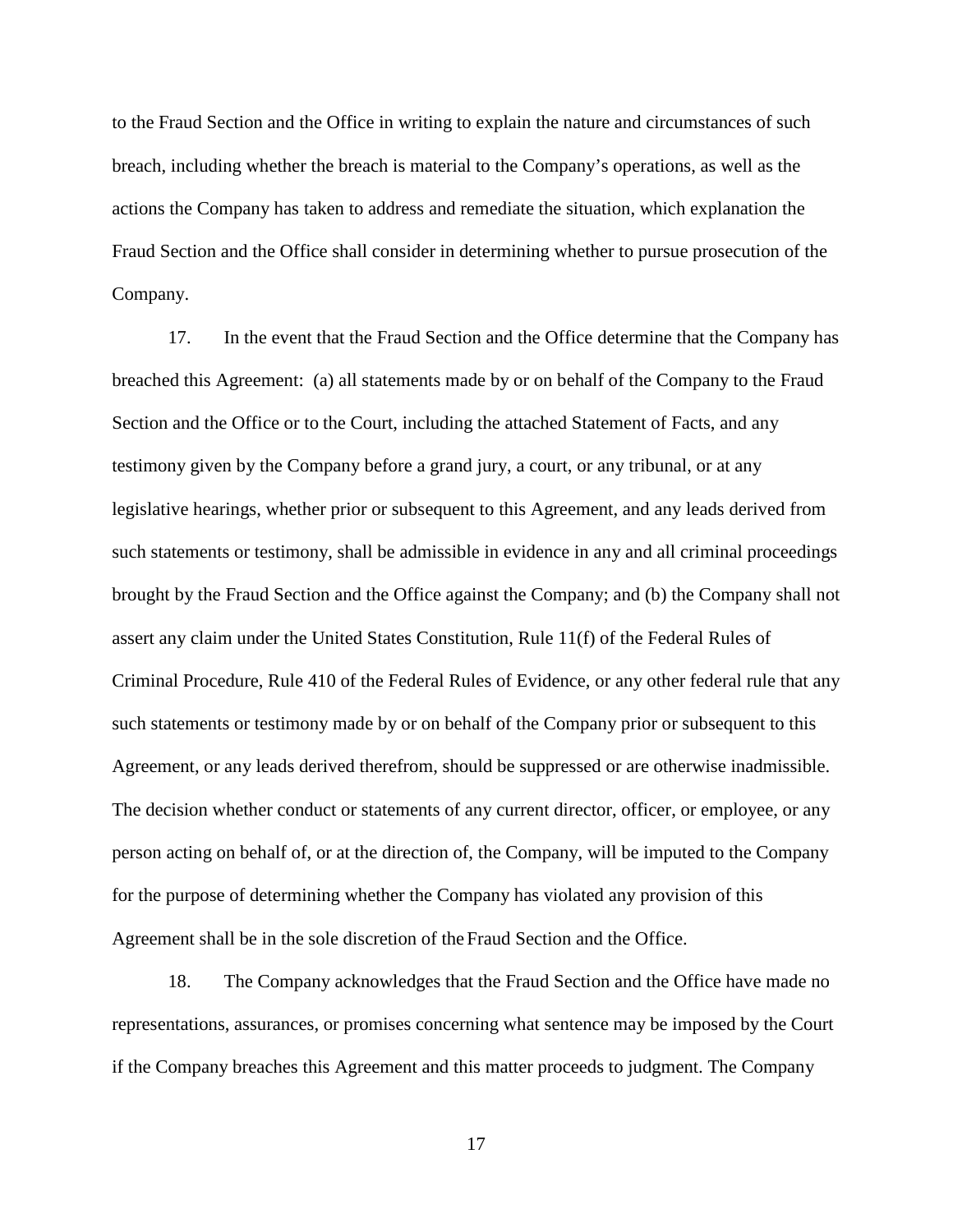to the Fraud Section and the Office in writing to explain the nature and circumstances of such breach, including whether the breach is material to the Company's operations, as well as the actions the Company has taken to address and remediate the situation, which explanation the Fraud Section and the Office shall consider in determining whether to pursue prosecution of the Company.

17. In the event that the Fraud Section and the Office determine that the Company has breached this Agreement: (a) all statements made by or on behalf of the Company to the Fraud Section and the Office or to the Court, including the attached Statement of Facts, and any testimony given by the Company before a grand jury, a court, or any tribunal, or at any legislative hearings, whether prior or subsequent to this Agreement, and any leads derived from such statements or testimony, shall be admissible in evidence in any and all criminal proceedings brought by the Fraud Section and the Office against the Company; and (b) the Company shall not assert any claim under the United States Constitution, Rule 11(f) of the Federal Rules of Criminal Procedure, Rule 410 of the Federal Rules of Evidence, or any other federal rule that any such statements or testimony made by or on behalf of the Company prior or subsequent to this Agreement, or any leads derived therefrom, should be suppressed or are otherwise inadmissible. The decision whether conduct or statements of any current director, officer, or employee, or any person acting on behalf of, or at the direction of, the Company, will be imputed to the Company for the purpose of determining whether the Company has violated any provision of this Agreement shall be in the sole discretion of the Fraud Section and the Office.

18. The Company acknowledges that the Fraud Section and the Office have made no representations, assurances, or promises concerning what sentence may be imposed by the Court if the Company breaches this Agreement and this matter proceeds to judgment. The Company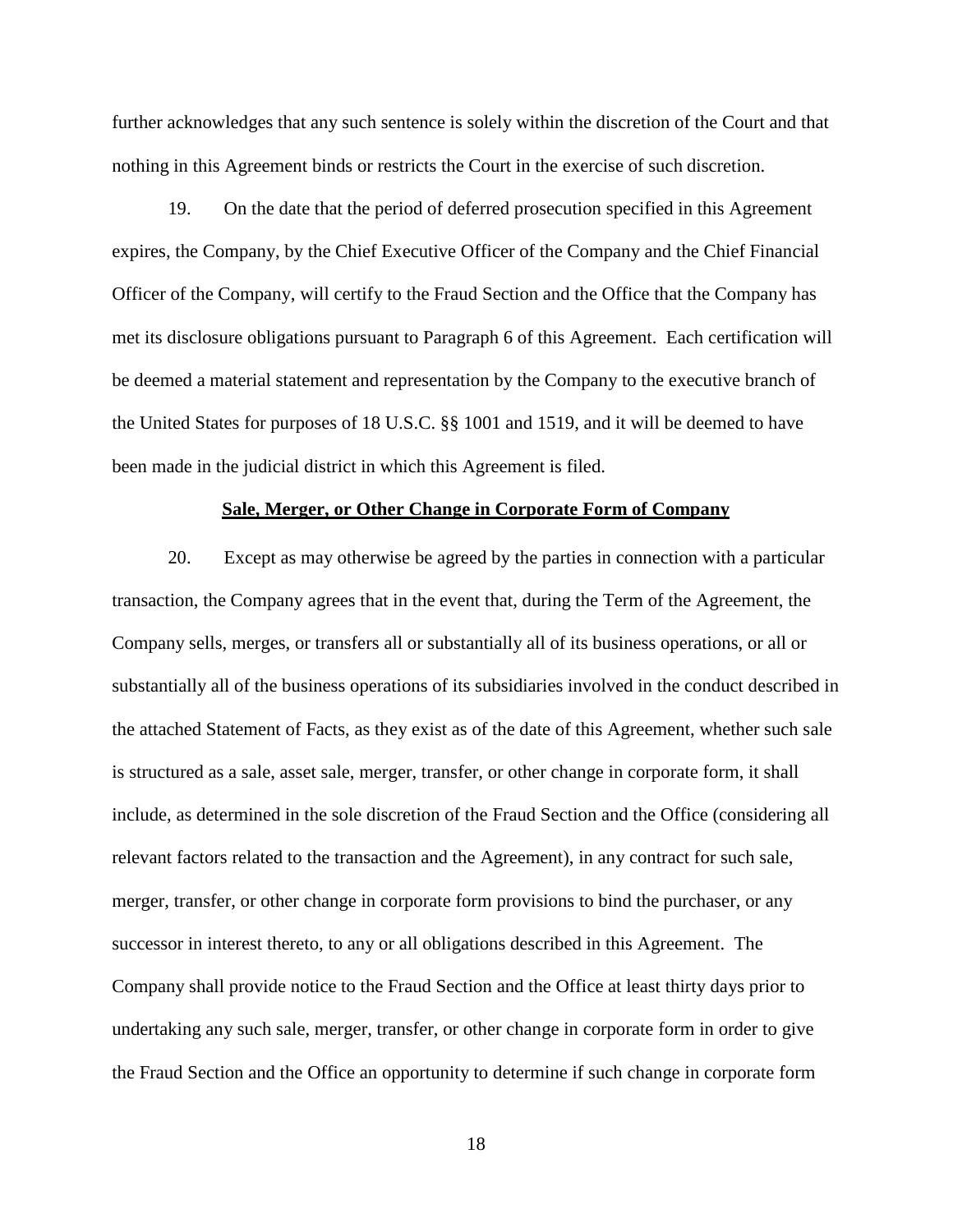further acknowledges that any such sentence is solely within the discretion of the Court and that nothing in this Agreement binds or restricts the Court in the exercise of such discretion.

19. On the date that the period of deferred prosecution specified in this Agreement expires, the Company, by the Chief Executive Officer of the Company and the Chief Financial Officer of the Company, will certify to the Fraud Section and the Office that the Company has met its disclosure obligations pursuant to Paragraph 6 of this Agreement. Each certification will be deemed a material statement and representation by the Company to the executive branch of the United States for purposes of 18 U.S.C. §§ 1001 and 1519, and it will be deemed to have been made in the judicial district in which this Agreement is filed.

#### **Sale, Merger, or Other Change in Corporate Form of Company**

20. Except as may otherwise be agreed by the parties in connection with a particular transaction, the Company agrees that in the event that, during the Term of the Agreement, the Company sells, merges, or transfers all or substantially all of its business operations, or all or substantially all of the business operations of its subsidiaries involved in the conduct described in the attached Statement of Facts, as they exist as of the date of this Agreement, whether such sale is structured as a sale, asset sale, merger, transfer, or other change in corporate form, it shall include, as determined in the sole discretion of the Fraud Section and the Office (considering all relevant factors related to the transaction and the Agreement), in any contract for such sale, merger, transfer, or other change in corporate form provisions to bind the purchaser, or any successor in interest thereto, to any or all obligations described in this Agreement. The Company shall provide notice to the Fraud Section and the Office at least thirty days prior to undertaking any such sale, merger, transfer, or other change in corporate form in order to give the Fraud Section and the Office an opportunity to determine if such change in corporate form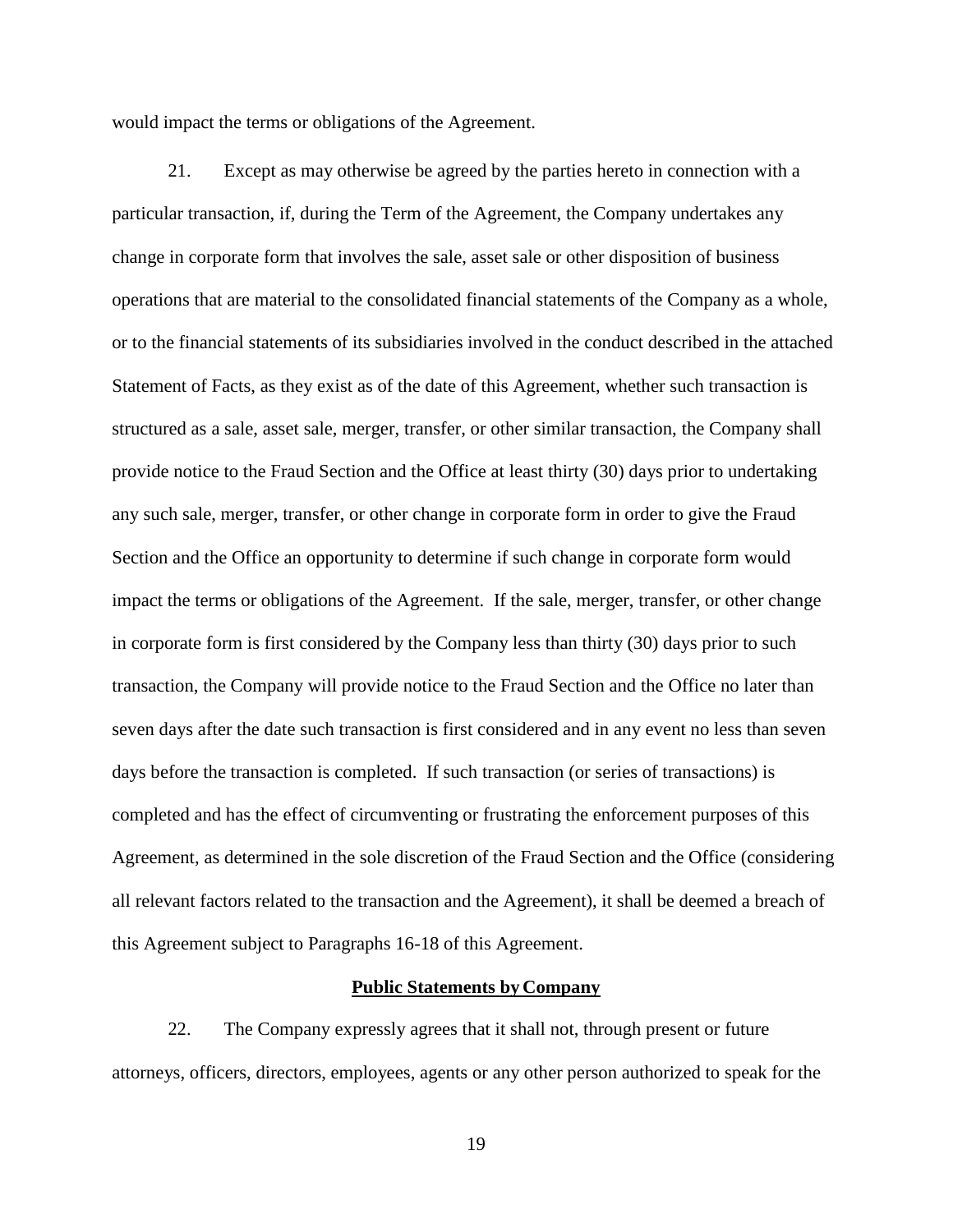would impact the terms or obligations of the Agreement.

21. Except as may otherwise be agreed by the parties hereto in connection with a particular transaction, if, during the Term of the Agreement, the Company undertakes any change in corporate form that involves the sale, asset sale or other disposition of business operations that are material to the consolidated financial statements of the Company as a whole, or to the financial statements of its subsidiaries involved in the conduct described in the attached Statement of Facts, as they exist as of the date of this Agreement, whether such transaction is structured as a sale, asset sale, merger, transfer, or other similar transaction, the Company shall provide notice to the Fraud Section and the Office at least thirty (30) days prior to undertaking any such sale, merger, transfer, or other change in corporate form in order to give the Fraud Section and the Office an opportunity to determine if such change in corporate form would impact the terms or obligations of the Agreement. If the sale, merger, transfer, or other change in corporate form is first considered by the Company less than thirty (30) days prior to such transaction, the Company will provide notice to the Fraud Section and the Office no later than seven days after the date such transaction is first considered and in any event no less than seven days before the transaction is completed. If such transaction (or series of transactions) is completed and has the effect of circumventing or frustrating the enforcement purposes of this Agreement, as determined in the sole discretion of the Fraud Section and the Office (considering all relevant factors related to the transaction and the Agreement), it shall be deemed a breach of this Agreement subject to Paragraphs 16-18 of this Agreement.

#### **Public Statements by Company**

22. The Company expressly agrees that it shall not, through present or future attorneys, officers, directors, employees, agents or any other person authorized to speak for the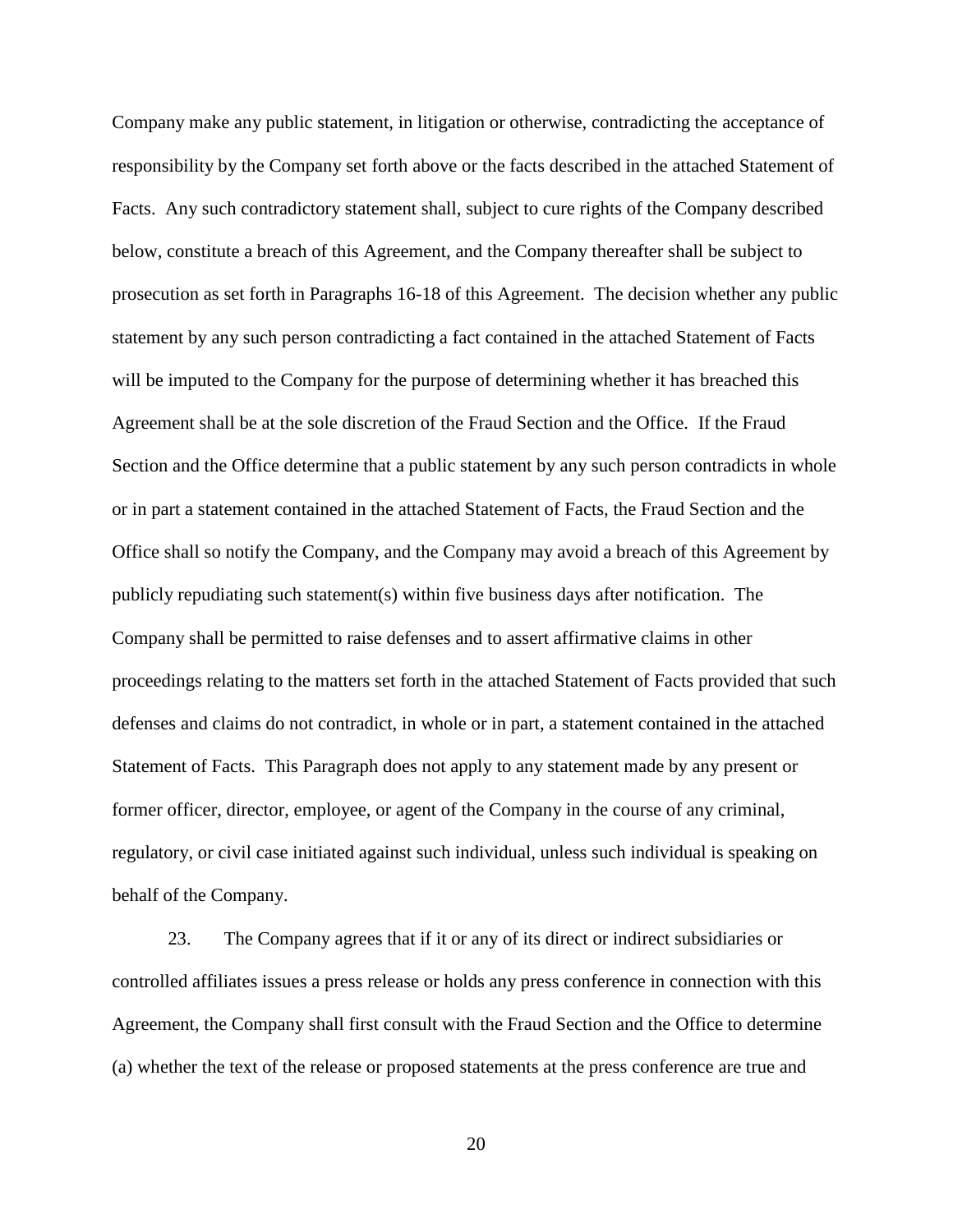Company make any public statement, in litigation or otherwise, contradicting the acceptance of responsibility by the Company set forth above or the facts described in the attached Statement of Facts. Any such contradictory statement shall, subject to cure rights of the Company described below, constitute a breach of this Agreement, and the Company thereafter shall be subject to prosecution as set forth in Paragraphs 16-18 of this Agreement. The decision whether any public statement by any such person contradicting a fact contained in the attached Statement of Facts will be imputed to the Company for the purpose of determining whether it has breached this Agreement shall be at the sole discretion of the Fraud Section and the Office. If the Fraud Section and the Office determine that a public statement by any such person contradicts in whole or in part a statement contained in the attached Statement of Facts, the Fraud Section and the Office shall so notify the Company, and the Company may avoid a breach of this Agreement by publicly repudiating such statement(s) within five business days after notification. The Company shall be permitted to raise defenses and to assert affirmative claims in other proceedings relating to the matters set forth in the attached Statement of Facts provided that such defenses and claims do not contradict, in whole or in part, a statement contained in the attached Statement of Facts. This Paragraph does not apply to any statement made by any present or former officer, director, employee, or agent of the Company in the course of any criminal, regulatory, or civil case initiated against such individual, unless such individual is speaking on behalf of the Company.

23. The Company agrees that if it or any of its direct or indirect subsidiaries or controlled affiliates issues a press release or holds any press conference in connection with this Agreement, the Company shall first consult with the Fraud Section and the Office to determine (a) whether the text of the release or proposed statements at the press conference are true and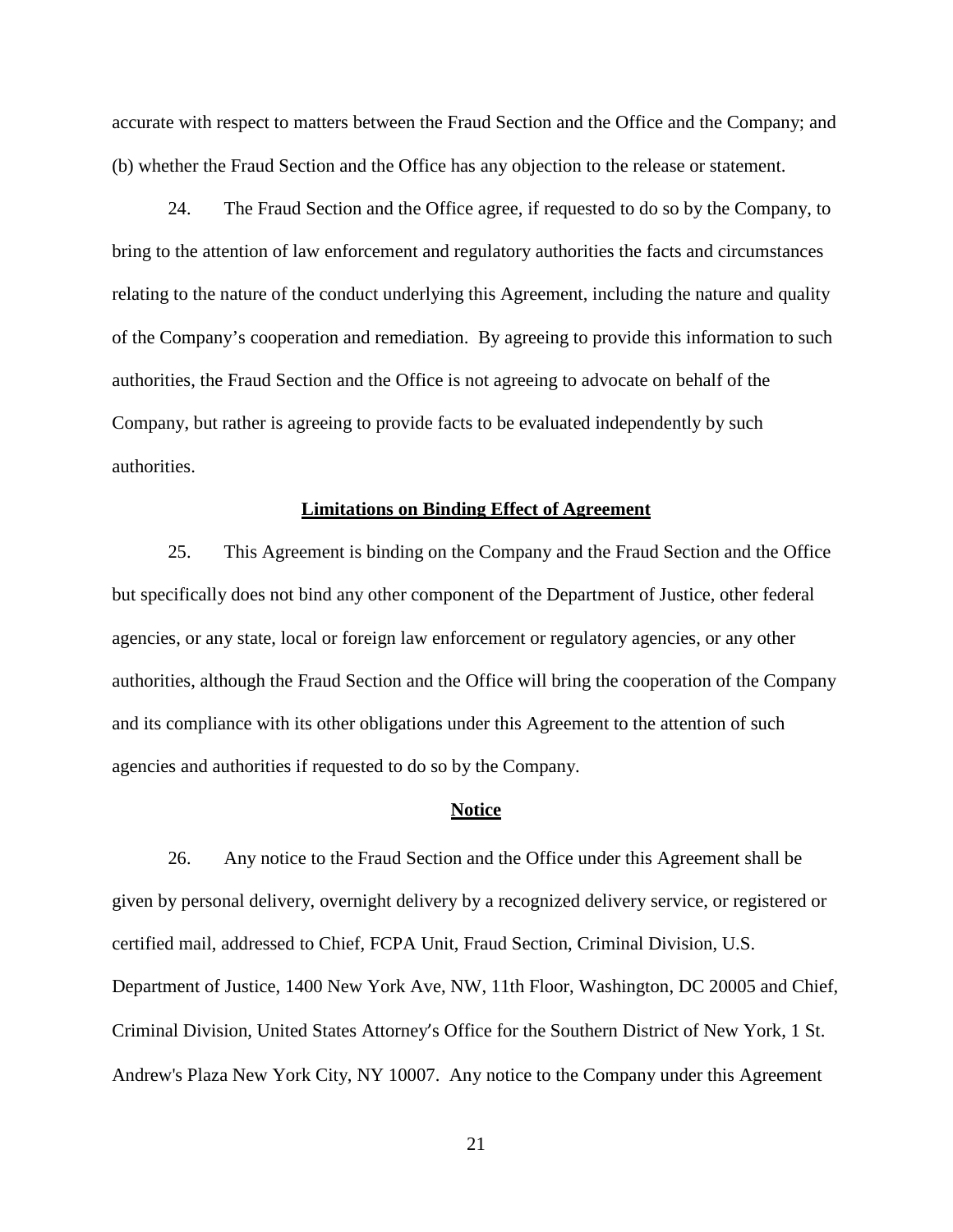accurate with respect to matters between the Fraud Section and the Office and the Company; and (b) whether the Fraud Section and the Office has any objection to the release or statement.

24. The Fraud Section and the Office agree, if requested to do so by the Company, to bring to the attention of law enforcement and regulatory authorities the facts and circumstances relating to the nature of the conduct underlying this Agreement, including the nature and quality of the Company's cooperation and remediation. By agreeing to provide this information to such authorities, the Fraud Section and the Office is not agreeing to advocate on behalf of the Company, but rather is agreeing to provide facts to be evaluated independently by such authorities.

#### **Limitations on Binding Effect of Agreement**

25. This Agreement is binding on the Company and the Fraud Section and the Office but specifically does not bind any other component of the Department of Justice, other federal agencies, or any state, local or foreign law enforcement or regulatory agencies, or any other authorities, although the Fraud Section and the Office will bring the cooperation of the Company and its compliance with its other obligations under this Agreement to the attention of such agencies and authorities if requested to do so by the Company.

#### **Notice**

26. Any notice to the Fraud Section and the Office under this Agreement shall be given by personal delivery, overnight delivery by a recognized delivery service, or registered or certified mail, addressed to Chief, FCPA Unit, Fraud Section, Criminal Division, U.S. Department of Justice, 1400 New York Ave, NW, 11th Floor, Washington, DC 20005 and Chief, Criminal Division, United States Attorney's Office for the Southern District of New York, 1 St. Andrew's Plaza New York City, NY 10007. Any notice to the Company under this Agreement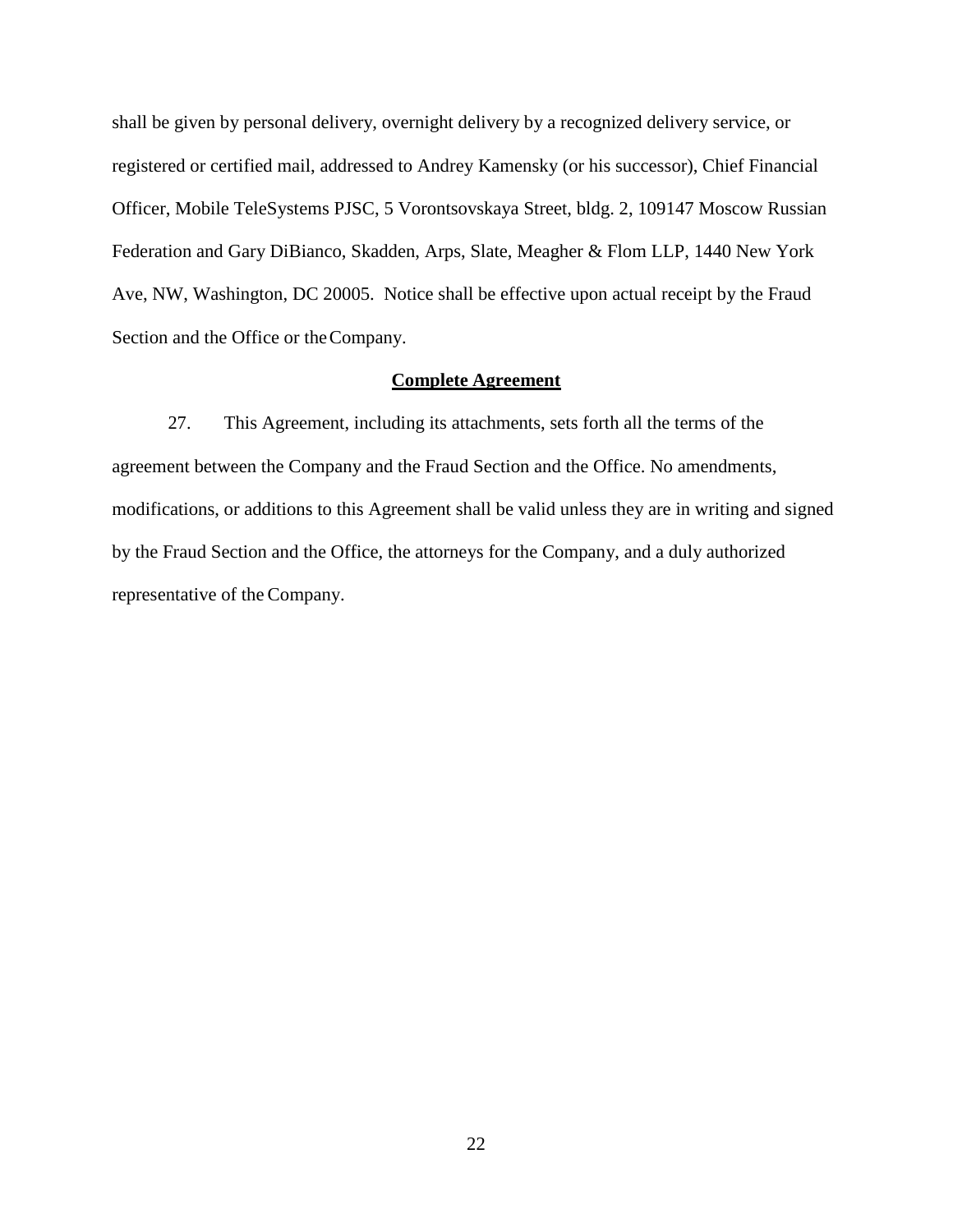shall be given by personal delivery, overnight delivery by a recognized delivery service, or registered or certified mail, addressed to Andrey Kamensky (or his successor), Chief Financial Officer, Mobile TeleSystems PJSC, 5 Vorontsovskaya Street, bldg. 2, 109147 Moscow Russian Federation and Gary DiBianco, Skadden, Arps, Slate, Meagher & Flom LLP, 1440 New York Ave, NW, Washington, DC 20005. Notice shall be effective upon actual receipt by the Fraud Section and the Office or the Company.

## **Complete Agreement**

27. This Agreement, including its attachments, sets forth all the terms of the agreement between the Company and the Fraud Section and the Office. No amendments, modifications, or additions to this Agreement shall be valid unless they are in writing and signed by the Fraud Section and the Office, the attorneys for the Company, and a duly authorized representative of the Company.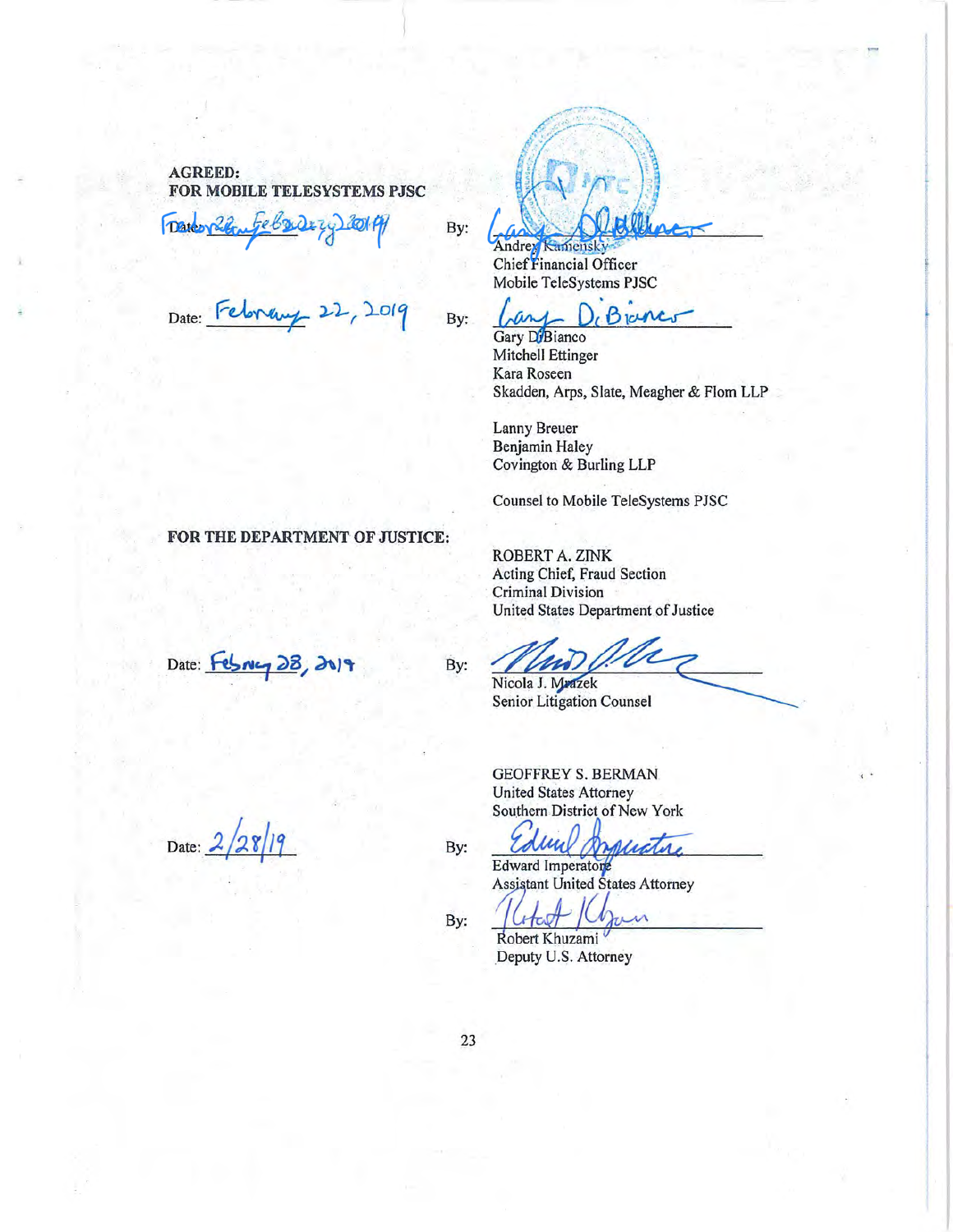#### **AGREED:** FOR MOBILE TELESYSTEMS PJSC

rebour **LOIPH Date** 

By:

Date: Februa

FOR THE DEPARTMENT OF JUSTICE:

Date: Februcy 28, 2019

Date: 2

By:

Andrey Kamensky Mobile TeleSystems PJSC

Branc

Gary DiBianco **Mitchell Ettinger** Kara Roseen Skadden, Arps, Slate, Meagher & Flom LLP

Lanny Breuer **Benjamin Haley** Covington & Burling LLP

Counsel to Mobile TeleSystems PJSC

ROBERT A. ZINK Acting Chief, Fraud Section Criminal Division United States Department of Justice

Nicola J. Mrazek Senior Litigation Counsel

**GEOFFREY S. BERMAN United States Attorney** Southern District of New York

lu Alictor

Edward Imperatore **Assistant United States Attorney** 

 $\overline{\mathcal{M}}$ 

Robert Khuzami Deputy U.S. Attorney

By:

By:

By: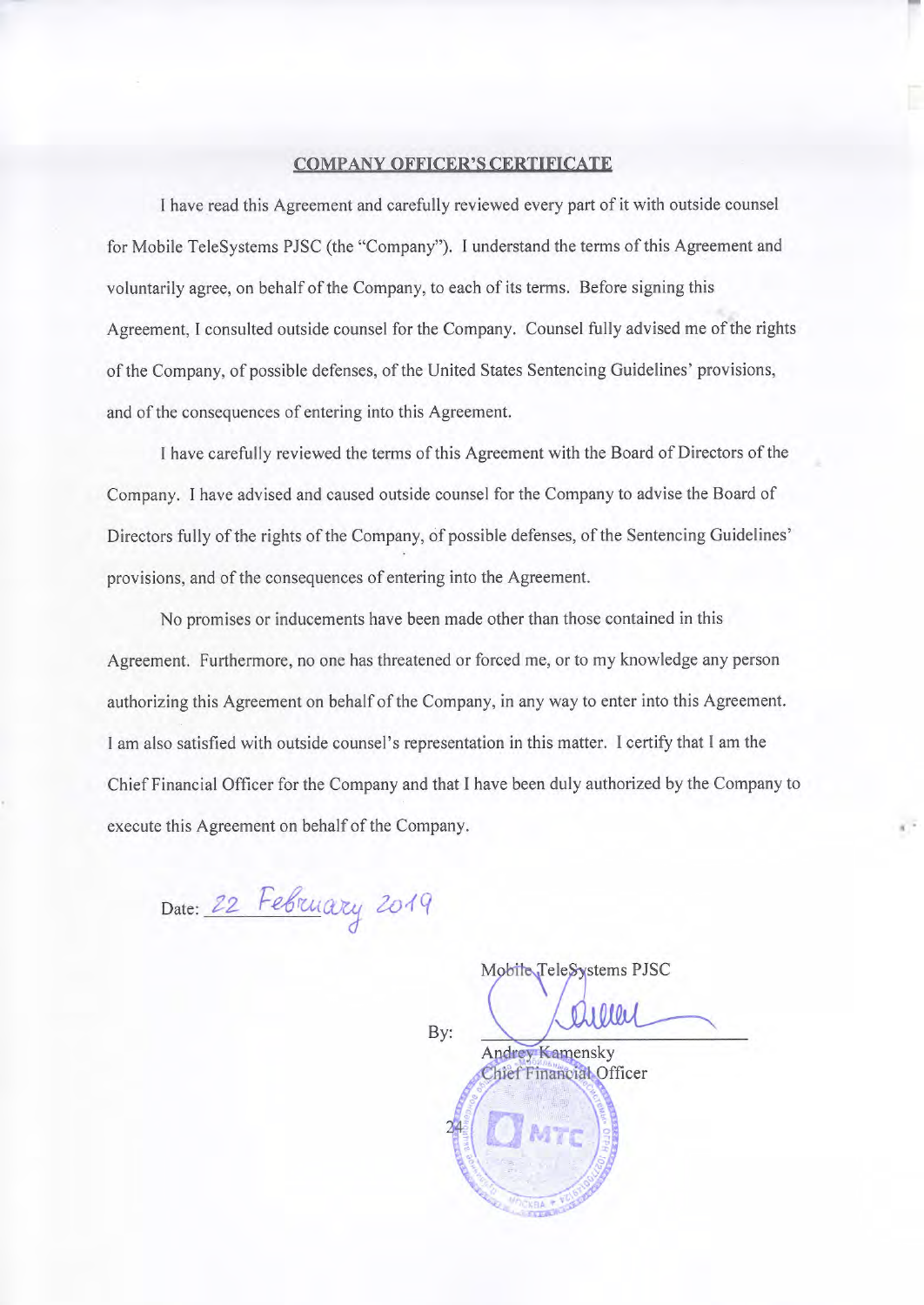# **COMPANY OFFICER'S CERTIFICATE**

I have read this Agreement and carefully reviewed every part of it with outside counsel for Mobile TeleSystems PJSC (the "Company"). I understand the terms of this Agreement and voluntarily agree, on behalf of the Company, to each of its terms. Before signing this Agreement, I consulted outside counsel for the Company. Counsel fully advised me of the rights of the Company, of possible defenses, of the United States Sentencing Guidelines' provisions, and of the consequences of entering into this Agreement.

I have carefully reviewed the terms of this Agreement with the Board of Directors of the Company. I have advised and caused outside counsel for the Company to advise the Board of Directors fully of the rights of the Company, of possible defenses, of the Sentencing Guidelines' provisions, and of the consequences of entering into the Agreement.

No promises or inducements have been made other than those contained in this Agreement. Furthermore, no one has threatened or forced me, or to my knowledge any person authorizing this Agreement on behalf of the Company, in any way to enter into this Agreement. I am also satisfied with outside counsel's representation in this matter. I certify that I am the Chief Financial Officer for the Company and that I have been duly authorized by the Company to execute this Agreement on behalf of the Company.

Date: 22 February 2019

By: Andrey Kamensky Chief Financial Officer

Mobile TeleSystems PJSC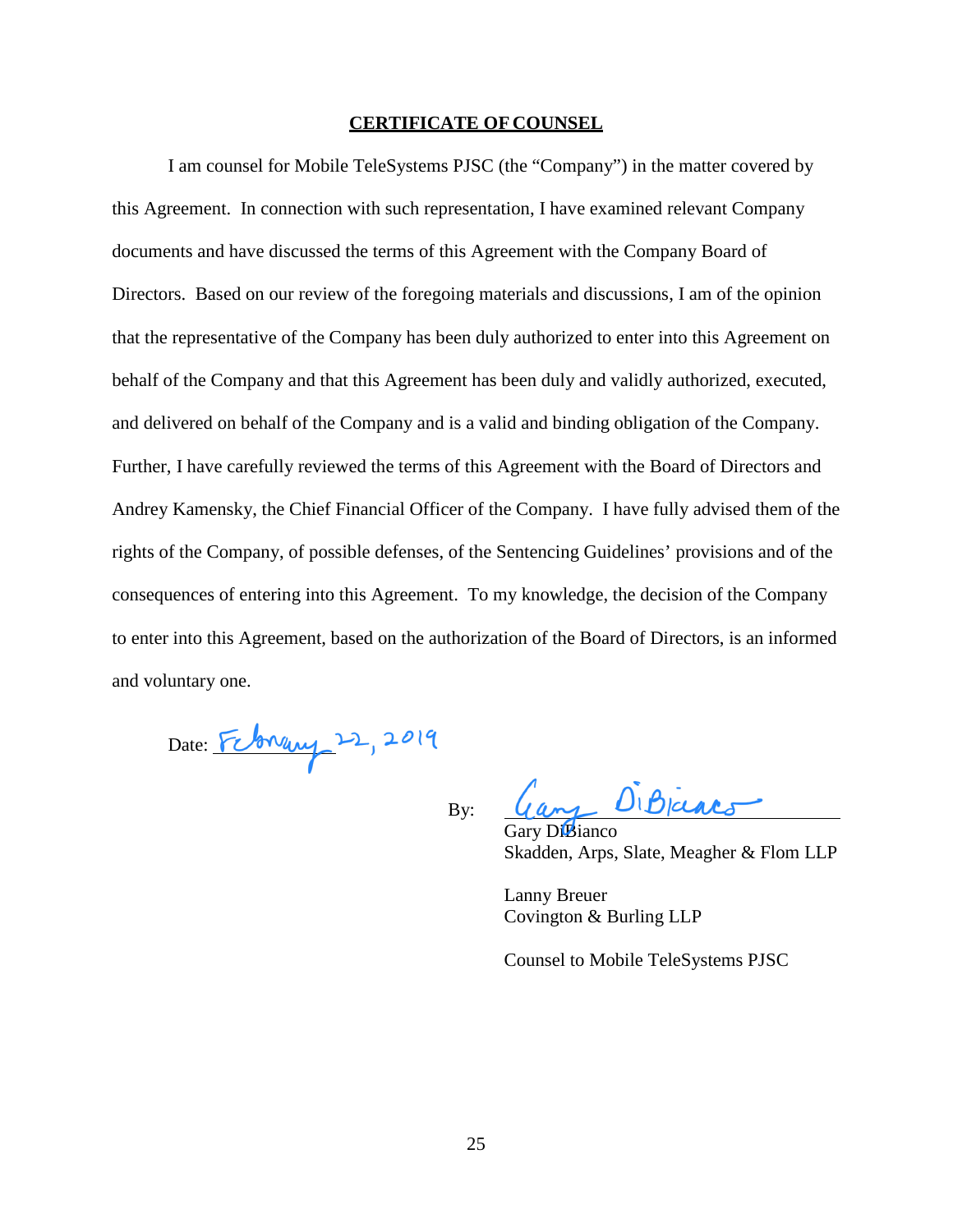#### **CERTIFICATE OF COUNSEL**

I am counsel for Mobile TeleSystems PJSC (the "Company") in the matter covered by this Agreement. In connection with such representation, I have examined relevant Company documents and have discussed the terms of this Agreement with the Company Board of Directors. Based on our review of the foregoing materials and discussions, I am of the opinion that the representative of the Company has been duly authorized to enter into this Agreement on behalf of the Company and that this Agreement has been duly and validly authorized, executed, and delivered on behalf of the Company and is a valid and binding obligation of the Company. Further, I have carefully reviewed the terms of this Agreement with the Board of Directors and Andrey Kamensky, the Chief Financial Officer of the Company. I have fully advised them of the rights of the Company, of possible defenses, of the Sentencing Guidelines' provisions and of the consequences of entering into this Agreement. To my knowledge, the decision of the Company to enter into this Agreement, based on the authorization of the Board of Directors, is an informed and voluntary one.

Date: February 22, 2019

By:

DiBjars

y Di**B**ianco Skadden, Arps, Slate, Meagher & Flom LLP

Lanny Breuer Covington & Burling LLP

Counsel to Mobile TeleSystems PJSC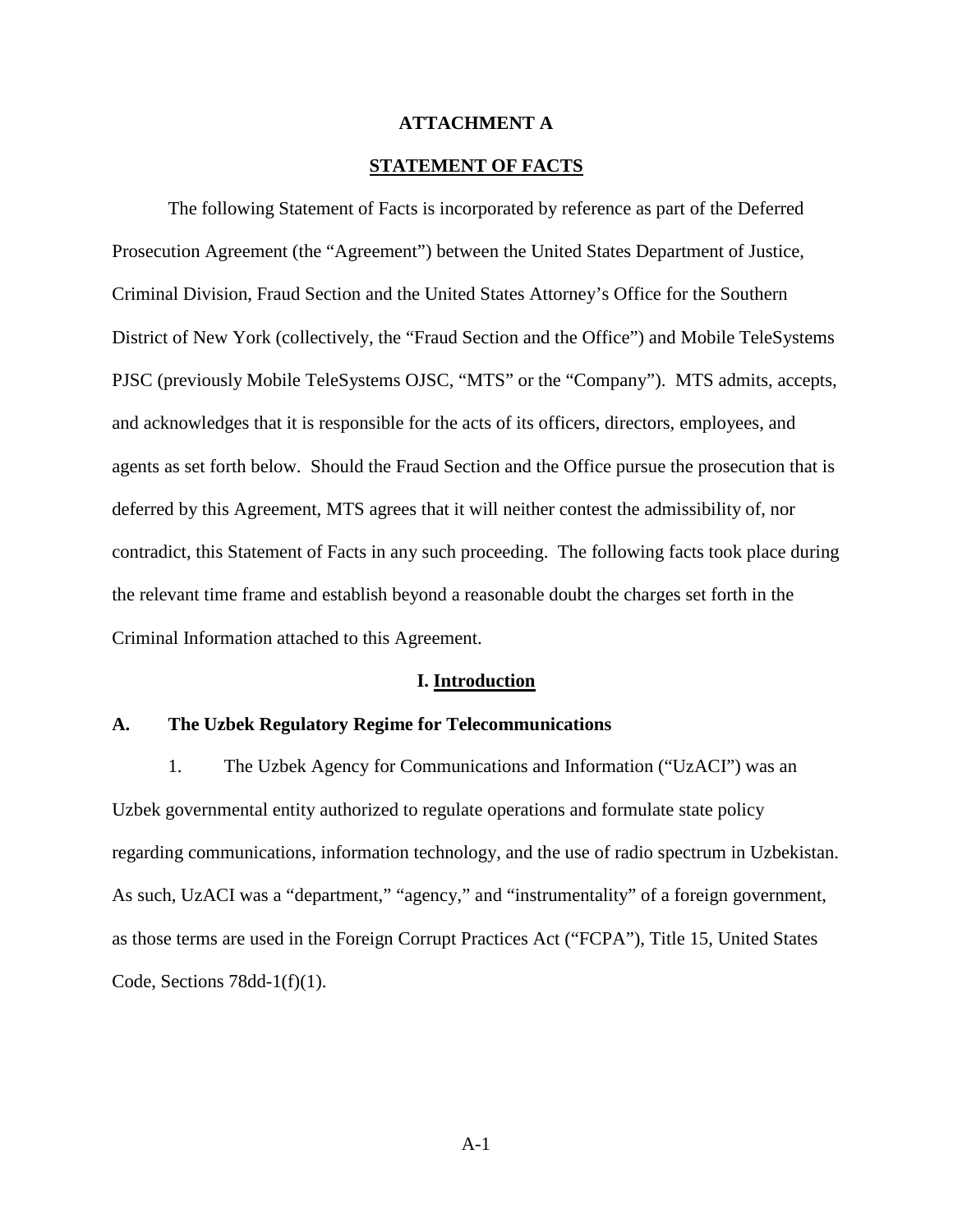#### **ATTACHMENT A**

## **STATEMENT OF FACTS**

The following Statement of Facts is incorporated by reference as part of the Deferred Prosecution Agreement (the "Agreement") between the United States Department of Justice, Criminal Division, Fraud Section and the United States Attorney's Office for the Southern District of New York (collectively, the "Fraud Section and the Office") and Mobile TeleSystems PJSC (previously Mobile TeleSystems OJSC, "MTS" or the "Company"). MTS admits, accepts, and acknowledges that it is responsible for the acts of its officers, directors, employees, and agents as set forth below. Should the Fraud Section and the Office pursue the prosecution that is deferred by this Agreement, MTS agrees that it will neither contest the admissibility of, nor contradict, this Statement of Facts in any such proceeding. The following facts took place during the relevant time frame and establish beyond a reasonable doubt the charges set forth in the Criminal Information attached to this Agreement.

#### **I. Introduction**

#### **A. The Uzbek Regulatory Regime for Telecommunications**

1. The Uzbek Agency for Communications and Information ("UzACI") was an Uzbek governmental entity authorized to regulate operations and formulate state policy regarding communications, information technology, and the use of radio spectrum in Uzbekistan. As such, UzACI was a "department," "agency," and "instrumentality" of a foreign government, as those terms are used in the Foreign Corrupt Practices Act ("FCPA"), Title 15, United States Code, Sections  $78\text{dd}-1(f)(1)$ .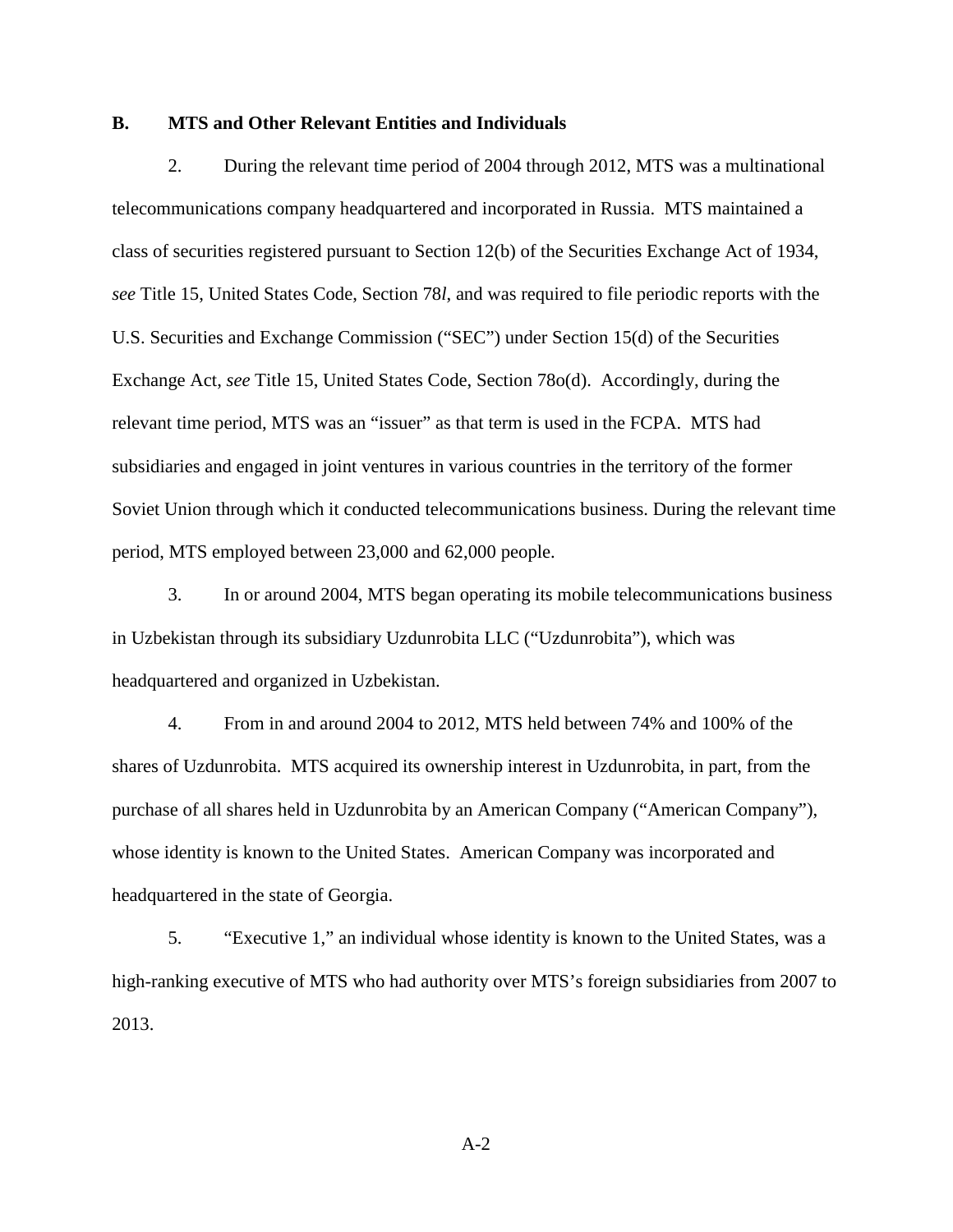### **B. MTS and Other Relevant Entities and Individuals**

2. During the relevant time period of 2004 through 2012, MTS was a multinational telecommunications company headquartered and incorporated in Russia. MTS maintained a class of securities registered pursuant to Section 12(b) of the Securities Exchange Act of 1934, *see* Title 15, United States Code, Section 78*l*, and was required to file periodic reports with the U.S. Securities and Exchange Commission ("SEC") under Section 15(d) of the Securities Exchange Act, *see* Title 15, United States Code, Section 78o(d). Accordingly, during the relevant time period, MTS was an "issuer" as that term is used in the FCPA. MTS had subsidiaries and engaged in joint ventures in various countries in the territory of the former Soviet Union through which it conducted telecommunications business. During the relevant time period, MTS employed between 23,000 and 62,000 people.

3. In or around 2004, MTS began operating its mobile telecommunications business in Uzbekistan through its subsidiary Uzdunrobita LLC ("Uzdunrobita"), which was headquartered and organized in Uzbekistan.

4. From in and around 2004 to 2012, MTS held between 74% and 100% of the shares of Uzdunrobita. MTS acquired its ownership interest in Uzdunrobita, in part, from the purchase of all shares held in Uzdunrobita by an American Company ("American Company"), whose identity is known to the United States. American Company was incorporated and headquartered in the state of Georgia.

5. "Executive 1," an individual whose identity is known to the United States, was a high-ranking executive of MTS who had authority over MTS's foreign subsidiaries from 2007 to 2013.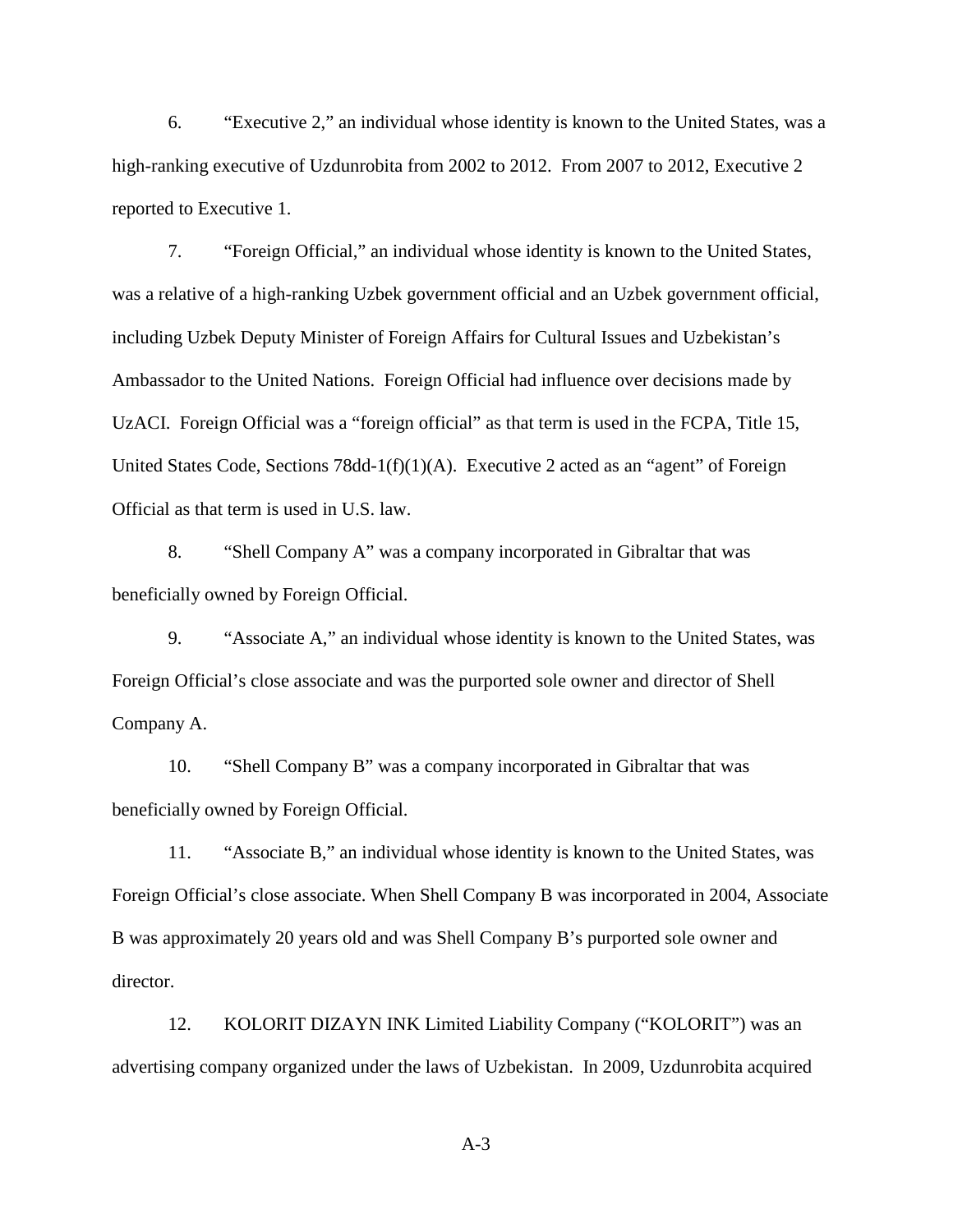6. "Executive 2," an individual whose identity is known to the United States, was a high-ranking executive of Uzdunrobita from 2002 to 2012. From 2007 to 2012, Executive 2 reported to Executive 1.

7. "Foreign Official," an individual whose identity is known to the United States, was a relative of a high-ranking Uzbek government official and an Uzbek government official, including Uzbek Deputy Minister of Foreign Affairs for Cultural Issues and Uzbekistan's Ambassador to the United Nations. Foreign Official had influence over decisions made by UzACI. Foreign Official was a "foreign official" as that term is used in the FCPA, Title 15, United States Code, Sections 78dd-1(f)(1)(A). Executive 2 acted as an "agent" of Foreign Official as that term is used in U.S. law.

8. "Shell Company A" was a company incorporated in Gibraltar that was beneficially owned by Foreign Official.

9. "Associate A," an individual whose identity is known to the United States, was Foreign Official's close associate and was the purported sole owner and director of Shell Company A.

10. "Shell Company B" was a company incorporated in Gibraltar that was beneficially owned by Foreign Official.

11. "Associate B," an individual whose identity is known to the United States, was Foreign Official's close associate. When Shell Company B was incorporated in 2004, Associate B was approximately 20 years old and was Shell Company B's purported sole owner and director.

12. KOLORIT DIZAYN INK Limited Liability Company ("KOLORIT") was an advertising company organized under the laws of Uzbekistan. In 2009, Uzdunrobita acquired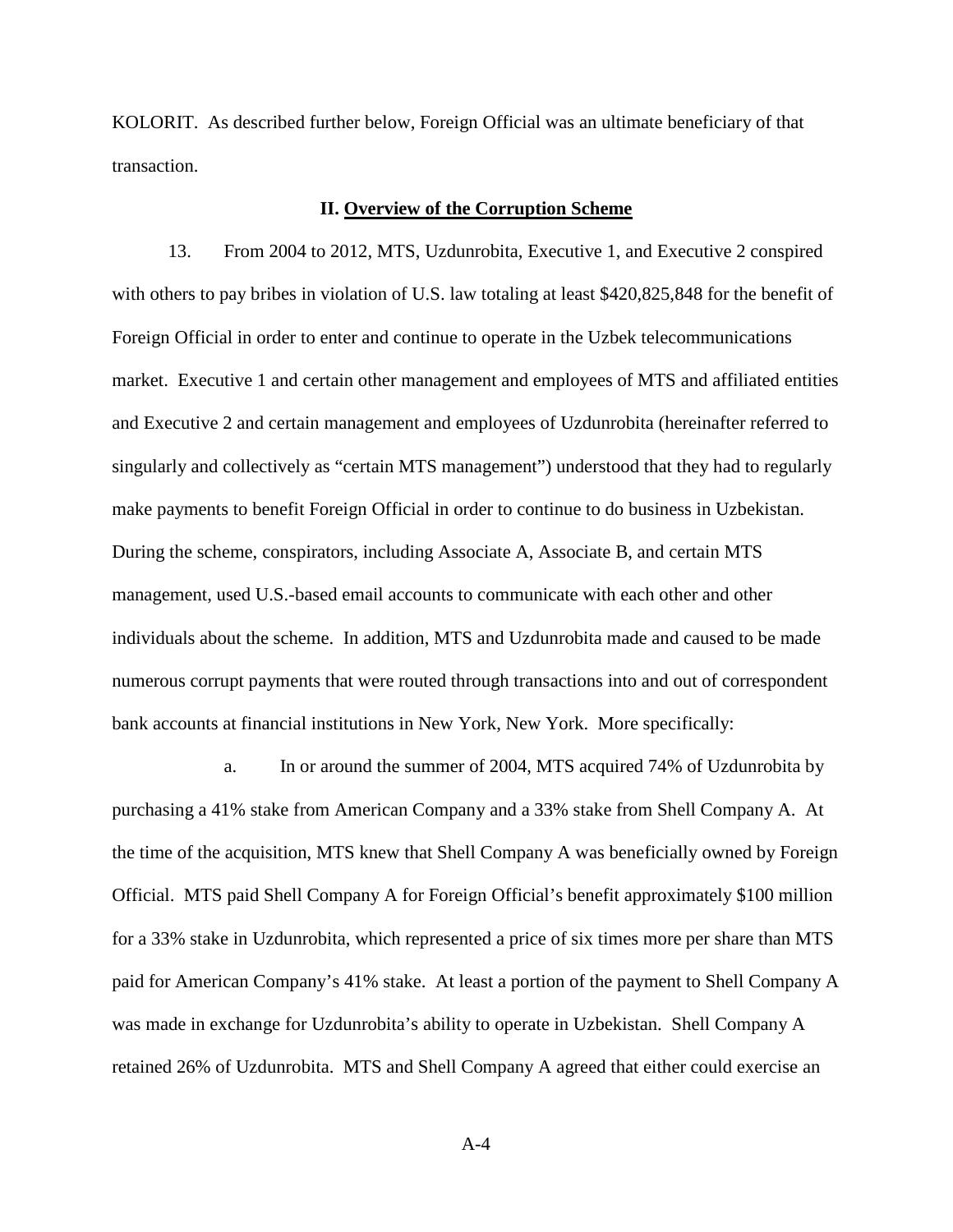KOLORIT. As described further below, Foreign Official was an ultimate beneficiary of that transaction.

#### **II. Overview of the Corruption Scheme**

13. From 2004 to 2012, MTS, Uzdunrobita, Executive 1, and Executive 2 conspired with others to pay bribes in violation of U.S. law totaling at least \$420,825,848 for the benefit of Foreign Official in order to enter and continue to operate in the Uzbek telecommunications market. Executive 1 and certain other management and employees of MTS and affiliated entities and Executive 2 and certain management and employees of Uzdunrobita (hereinafter referred to singularly and collectively as "certain MTS management") understood that they had to regularly make payments to benefit Foreign Official in order to continue to do business in Uzbekistan. During the scheme, conspirators, including Associate A, Associate B, and certain MTS management, used U.S.-based email accounts to communicate with each other and other individuals about the scheme. In addition, MTS and Uzdunrobita made and caused to be made numerous corrupt payments that were routed through transactions into and out of correspondent bank accounts at financial institutions in New York, New York. More specifically:

a. In or around the summer of 2004, MTS acquired 74% of Uzdunrobita by purchasing a 41% stake from American Company and a 33% stake from Shell Company A. At the time of the acquisition, MTS knew that Shell Company A was beneficially owned by Foreign Official. MTS paid Shell Company A for Foreign Official's benefit approximately \$100 million for a 33% stake in Uzdunrobita, which represented a price of six times more per share than MTS paid for American Company's 41% stake. At least a portion of the payment to Shell Company A was made in exchange for Uzdunrobita's ability to operate in Uzbekistan. Shell Company A retained 26% of Uzdunrobita. MTS and Shell Company A agreed that either could exercise an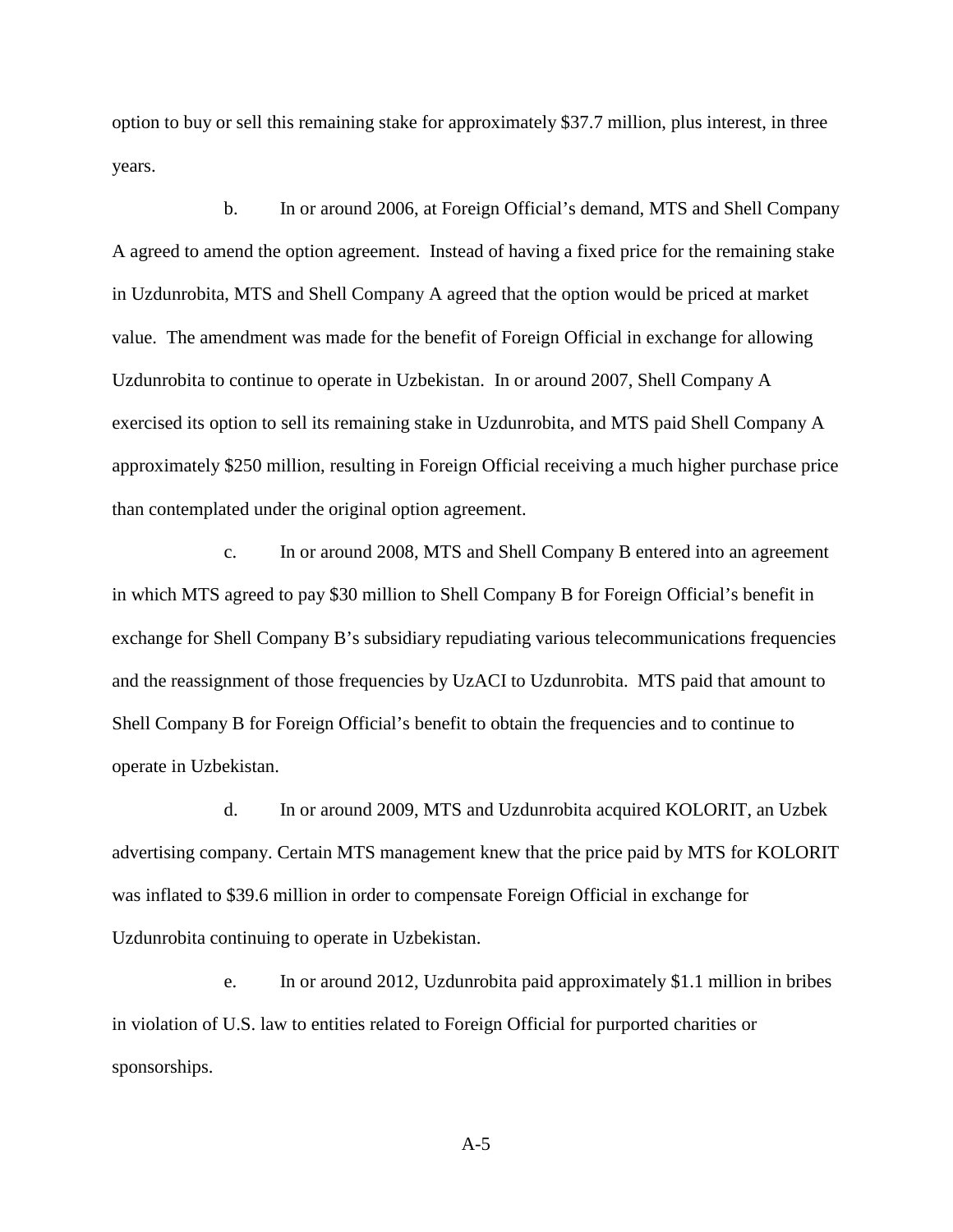option to buy or sell this remaining stake for approximately \$37.7 million, plus interest, in three years.

b. In or around 2006, at Foreign Official's demand, MTS and Shell Company A agreed to amend the option agreement. Instead of having a fixed price for the remaining stake in Uzdunrobita, MTS and Shell Company A agreed that the option would be priced at market value. The amendment was made for the benefit of Foreign Official in exchange for allowing Uzdunrobita to continue to operate in Uzbekistan. In or around 2007, Shell Company A exercised its option to sell its remaining stake in Uzdunrobita, and MTS paid Shell Company A approximately \$250 million, resulting in Foreign Official receiving a much higher purchase price than contemplated under the original option agreement.

c. In or around 2008, MTS and Shell Company B entered into an agreement in which MTS agreed to pay \$30 million to Shell Company B for Foreign Official's benefit in exchange for Shell Company B's subsidiary repudiating various telecommunications frequencies and the reassignment of those frequencies by UzACI to Uzdunrobita. MTS paid that amount to Shell Company B for Foreign Official's benefit to obtain the frequencies and to continue to operate in Uzbekistan.

d. In or around 2009, MTS and Uzdunrobita acquired KOLORIT, an Uzbek advertising company. Certain MTS management knew that the price paid by MTS for KOLORIT was inflated to \$39.6 million in order to compensate Foreign Official in exchange for Uzdunrobita continuing to operate in Uzbekistan.

e. In or around 2012, Uzdunrobita paid approximately \$1.1 million in bribes in violation of U.S. law to entities related to Foreign Official for purported charities or sponsorships.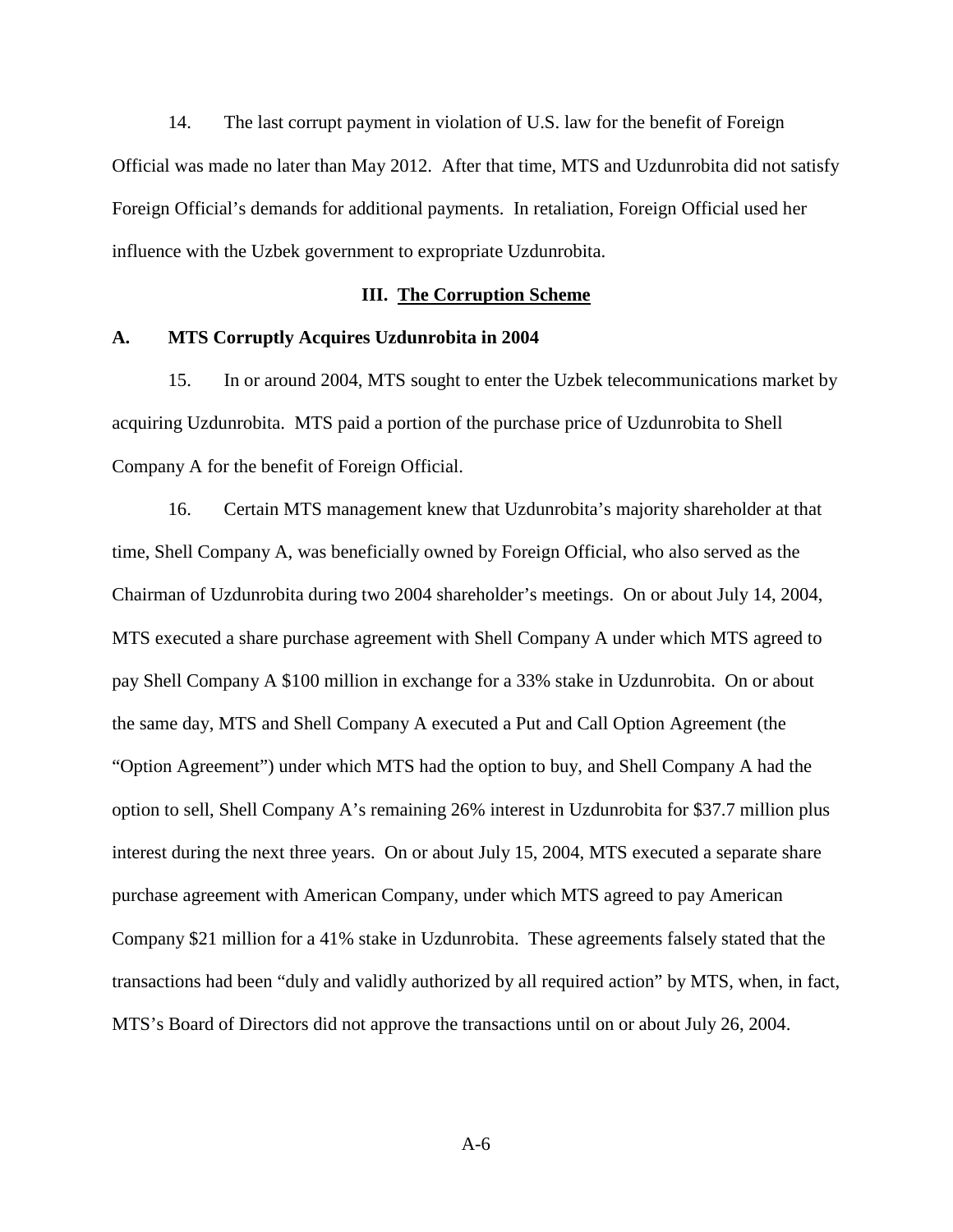14. The last corrupt payment in violation of U.S. law for the benefit of Foreign Official was made no later than May 2012. After that time, MTS and Uzdunrobita did not satisfy Foreign Official's demands for additional payments. In retaliation, Foreign Official used her influence with the Uzbek government to expropriate Uzdunrobita.

#### **III. The Corruption Scheme**

#### **A. MTS Corruptly Acquires Uzdunrobita in 2004**

15. In or around 2004, MTS sought to enter the Uzbek telecommunications market by acquiring Uzdunrobita. MTS paid a portion of the purchase price of Uzdunrobita to Shell Company A for the benefit of Foreign Official.

16. Certain MTS management knew that Uzdunrobita's majority shareholder at that time, Shell Company A, was beneficially owned by Foreign Official, who also served as the Chairman of Uzdunrobita during two 2004 shareholder's meetings. On or about July 14, 2004, MTS executed a share purchase agreement with Shell Company A under which MTS agreed to pay Shell Company A \$100 million in exchange for a 33% stake in Uzdunrobita. On or about the same day, MTS and Shell Company A executed a Put and Call Option Agreement (the "Option Agreement") under which MTS had the option to buy, and Shell Company A had the option to sell, Shell Company A's remaining 26% interest in Uzdunrobita for \$37.7 million plus interest during the next three years. On or about July 15, 2004, MTS executed a separate share purchase agreement with American Company, under which MTS agreed to pay American Company \$21 million for a 41% stake in Uzdunrobita. These agreements falsely stated that the transactions had been "duly and validly authorized by all required action" by MTS, when, in fact, MTS's Board of Directors did not approve the transactions until on or about July 26, 2004.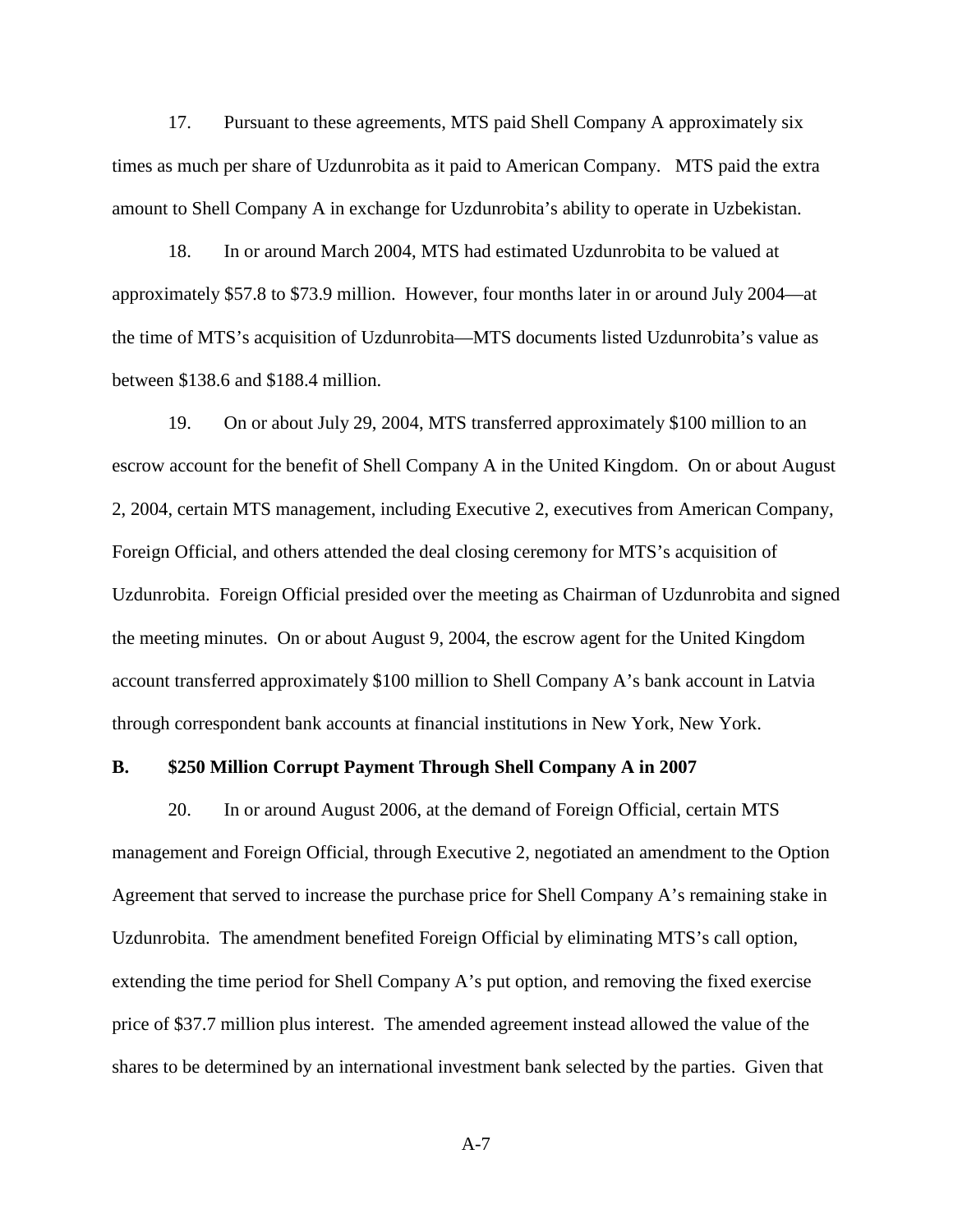17. Pursuant to these agreements, MTS paid Shell Company A approximately six times as much per share of Uzdunrobita as it paid to American Company. MTS paid the extra amount to Shell Company A in exchange for Uzdunrobita's ability to operate in Uzbekistan.

18. In or around March 2004, MTS had estimated Uzdunrobita to be valued at approximately \$57.8 to \$73.9 million. However, four months later in or around July 2004—at the time of MTS's acquisition of Uzdunrobita—MTS documents listed Uzdunrobita's value as between \$138.6 and \$188.4 million.

19. On or about July 29, 2004, MTS transferred approximately \$100 million to an escrow account for the benefit of Shell Company A in the United Kingdom. On or about August 2, 2004, certain MTS management, including Executive 2, executives from American Company, Foreign Official, and others attended the deal closing ceremony for MTS's acquisition of Uzdunrobita. Foreign Official presided over the meeting as Chairman of Uzdunrobita and signed the meeting minutes. On or about August 9, 2004, the escrow agent for the United Kingdom account transferred approximately \$100 million to Shell Company A's bank account in Latvia through correspondent bank accounts at financial institutions in New York, New York.

#### **B. \$250 Million Corrupt Payment Through Shell Company A in 2007**

20. In or around August 2006, at the demand of Foreign Official, certain MTS management and Foreign Official, through Executive 2, negotiated an amendment to the Option Agreement that served to increase the purchase price for Shell Company A's remaining stake in Uzdunrobita. The amendment benefited Foreign Official by eliminating MTS's call option, extending the time period for Shell Company A's put option, and removing the fixed exercise price of \$37.7 million plus interest. The amended agreement instead allowed the value of the shares to be determined by an international investment bank selected by the parties. Given that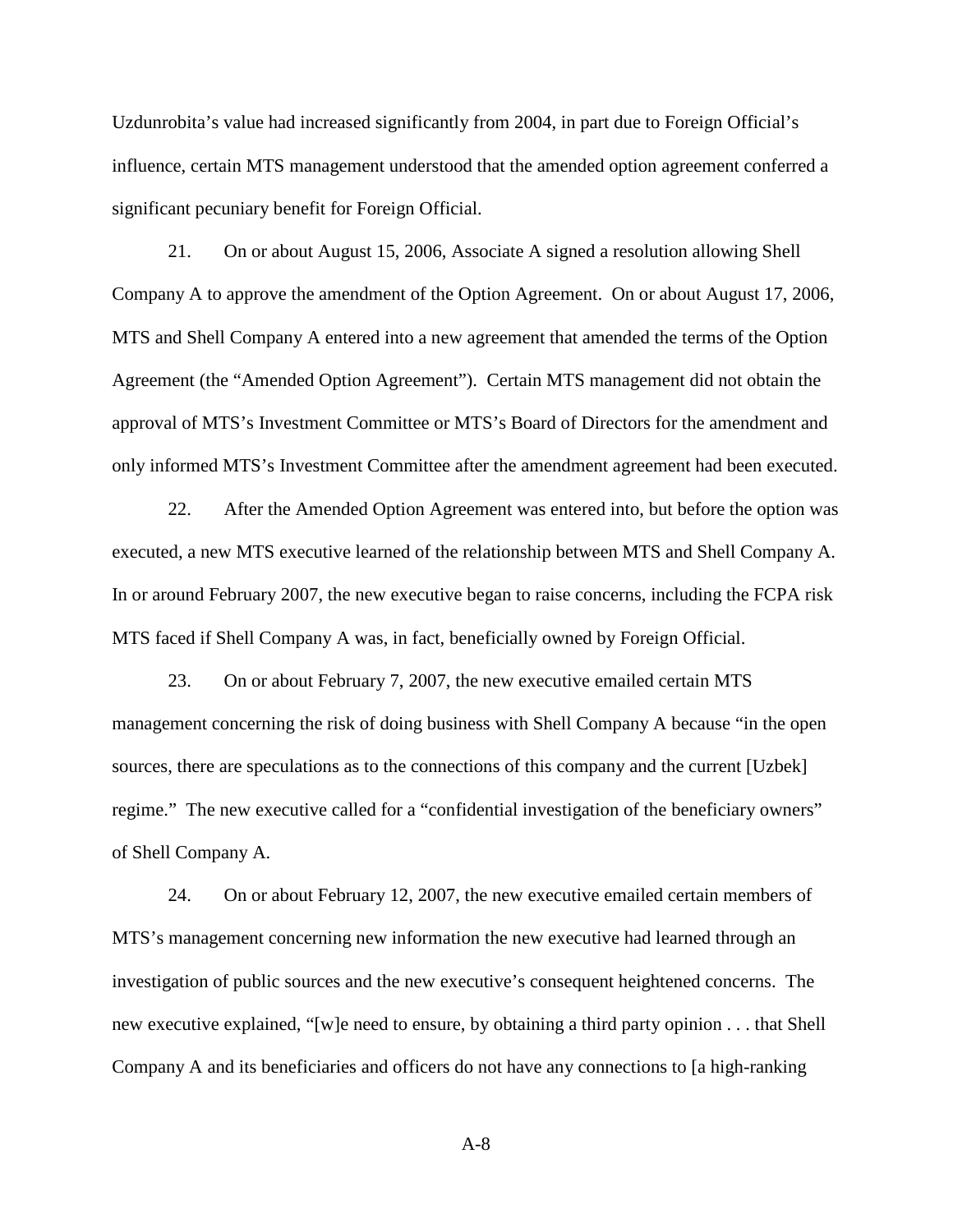Uzdunrobita's value had increased significantly from 2004, in part due to Foreign Official's influence, certain MTS management understood that the amended option agreement conferred a significant pecuniary benefit for Foreign Official.

21. On or about August 15, 2006, Associate A signed a resolution allowing Shell Company A to approve the amendment of the Option Agreement. On or about August 17, 2006, MTS and Shell Company A entered into a new agreement that amended the terms of the Option Agreement (the "Amended Option Agreement"). Certain MTS management did not obtain the approval of MTS's Investment Committee or MTS's Board of Directors for the amendment and only informed MTS's Investment Committee after the amendment agreement had been executed.

22. After the Amended Option Agreement was entered into, but before the option was executed, a new MTS executive learned of the relationship between MTS and Shell Company A. In or around February 2007, the new executive began to raise concerns, including the FCPA risk MTS faced if Shell Company A was, in fact, beneficially owned by Foreign Official.

23. On or about February 7, 2007, the new executive emailed certain MTS management concerning the risk of doing business with Shell Company A because "in the open sources, there are speculations as to the connections of this company and the current [Uzbek] regime." The new executive called for a "confidential investigation of the beneficiary owners" of Shell Company A.

24. On or about February 12, 2007, the new executive emailed certain members of MTS's management concerning new information the new executive had learned through an investigation of public sources and the new executive's consequent heightened concerns. The new executive explained, "[w]e need to ensure, by obtaining a third party opinion . . . that Shell Company A and its beneficiaries and officers do not have any connections to [a high-ranking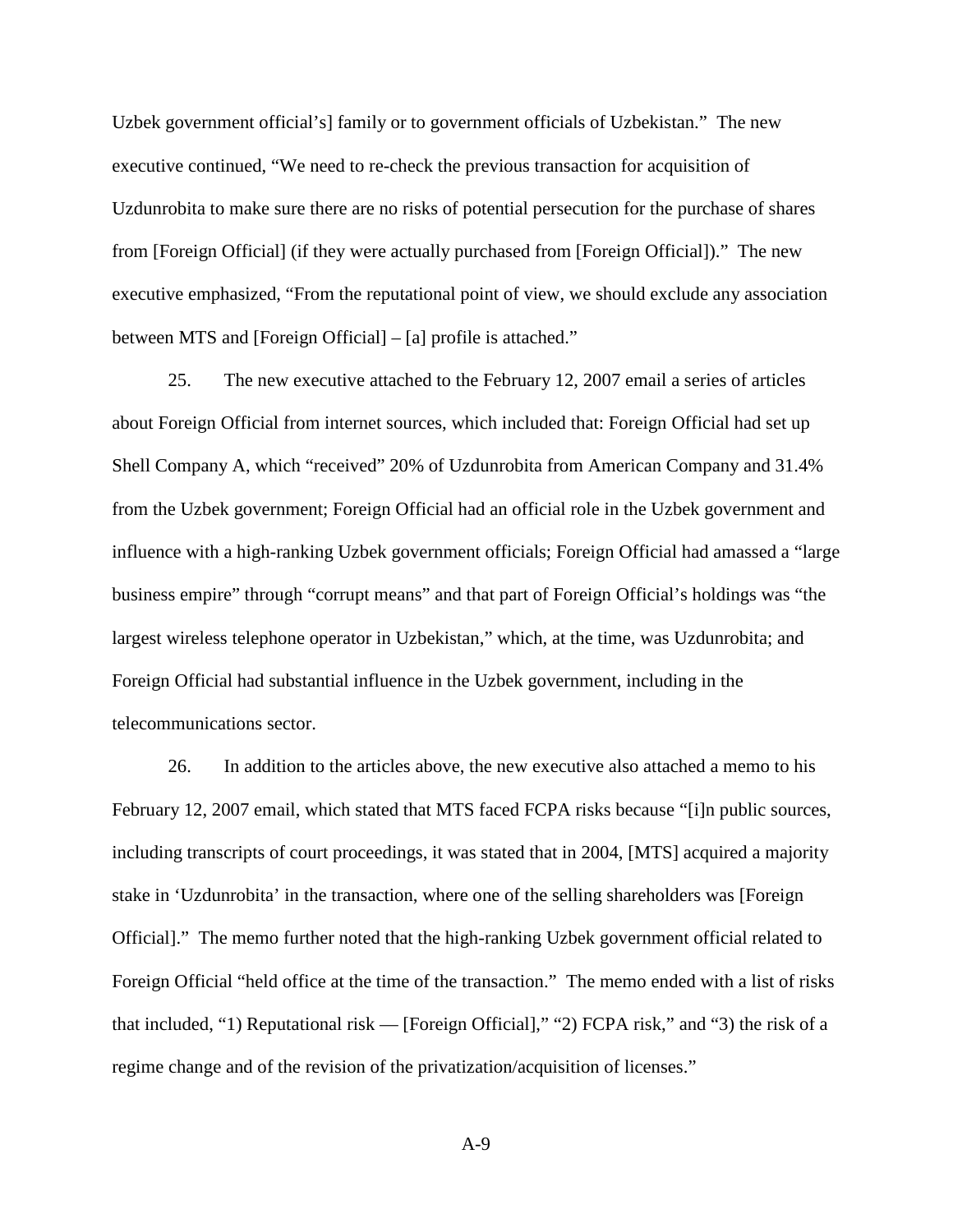Uzbek government official's] family or to government officials of Uzbekistan." The new executive continued, "We need to re-check the previous transaction for acquisition of Uzdunrobita to make sure there are no risks of potential persecution for the purchase of shares from [Foreign Official] (if they were actually purchased from [Foreign Official])." The new executive emphasized, "From the reputational point of view, we should exclude any association between MTS and [Foreign Official] – [a] profile is attached."

25. The new executive attached to the February 12, 2007 email a series of articles about Foreign Official from internet sources, which included that: Foreign Official had set up Shell Company A, which "received" 20% of Uzdunrobita from American Company and 31.4% from the Uzbek government; Foreign Official had an official role in the Uzbek government and influence with a high-ranking Uzbek government officials; Foreign Official had amassed a "large business empire" through "corrupt means" and that part of Foreign Official's holdings was "the largest wireless telephone operator in Uzbekistan," which, at the time, was Uzdunrobita; and Foreign Official had substantial influence in the Uzbek government, including in the telecommunications sector.

26. In addition to the articles above, the new executive also attached a memo to his February 12, 2007 email, which stated that MTS faced FCPA risks because "[i]n public sources, including transcripts of court proceedings, it was stated that in 2004, [MTS] acquired a majority stake in 'Uzdunrobita' in the transaction, where one of the selling shareholders was [Foreign Official]." The memo further noted that the high-ranking Uzbek government official related to Foreign Official "held office at the time of the transaction." The memo ended with a list of risks that included, "1) Reputational risk — [Foreign Official]," "2) FCPA risk," and "3) the risk of a regime change and of the revision of the privatization/acquisition of licenses."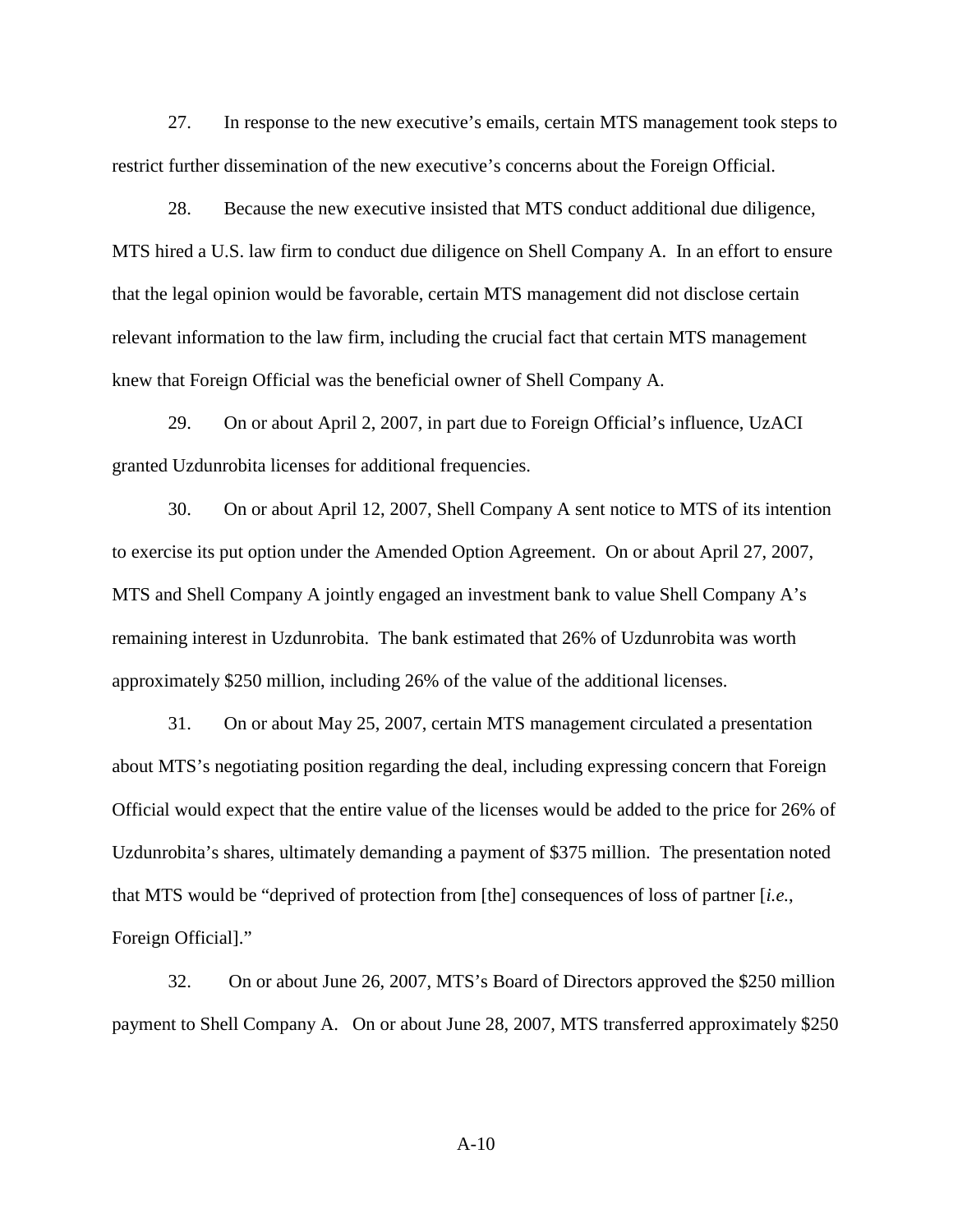27. In response to the new executive's emails, certain MTS management took steps to restrict further dissemination of the new executive's concerns about the Foreign Official.

28. Because the new executive insisted that MTS conduct additional due diligence, MTS hired a U.S. law firm to conduct due diligence on Shell Company A. In an effort to ensure that the legal opinion would be favorable, certain MTS management did not disclose certain relevant information to the law firm, including the crucial fact that certain MTS management knew that Foreign Official was the beneficial owner of Shell Company A.

29. On or about April 2, 2007, in part due to Foreign Official's influence, UzACI granted Uzdunrobita licenses for additional frequencies.

30. On or about April 12, 2007, Shell Company A sent notice to MTS of its intention to exercise its put option under the Amended Option Agreement. On or about April 27, 2007, MTS and Shell Company A jointly engaged an investment bank to value Shell Company A's remaining interest in Uzdunrobita. The bank estimated that 26% of Uzdunrobita was worth approximately \$250 million, including 26% of the value of the additional licenses.

31. On or about May 25, 2007, certain MTS management circulated a presentation about MTS's negotiating position regarding the deal, including expressing concern that Foreign Official would expect that the entire value of the licenses would be added to the price for 26% of Uzdunrobita's shares, ultimately demanding a payment of \$375 million. The presentation noted that MTS would be "deprived of protection from [the] consequences of loss of partner [*i.e.*, Foreign Official]."

32. On or about June 26, 2007, MTS's Board of Directors approved the \$250 million payment to Shell Company A. On or about June 28, 2007, MTS transferred approximately \$250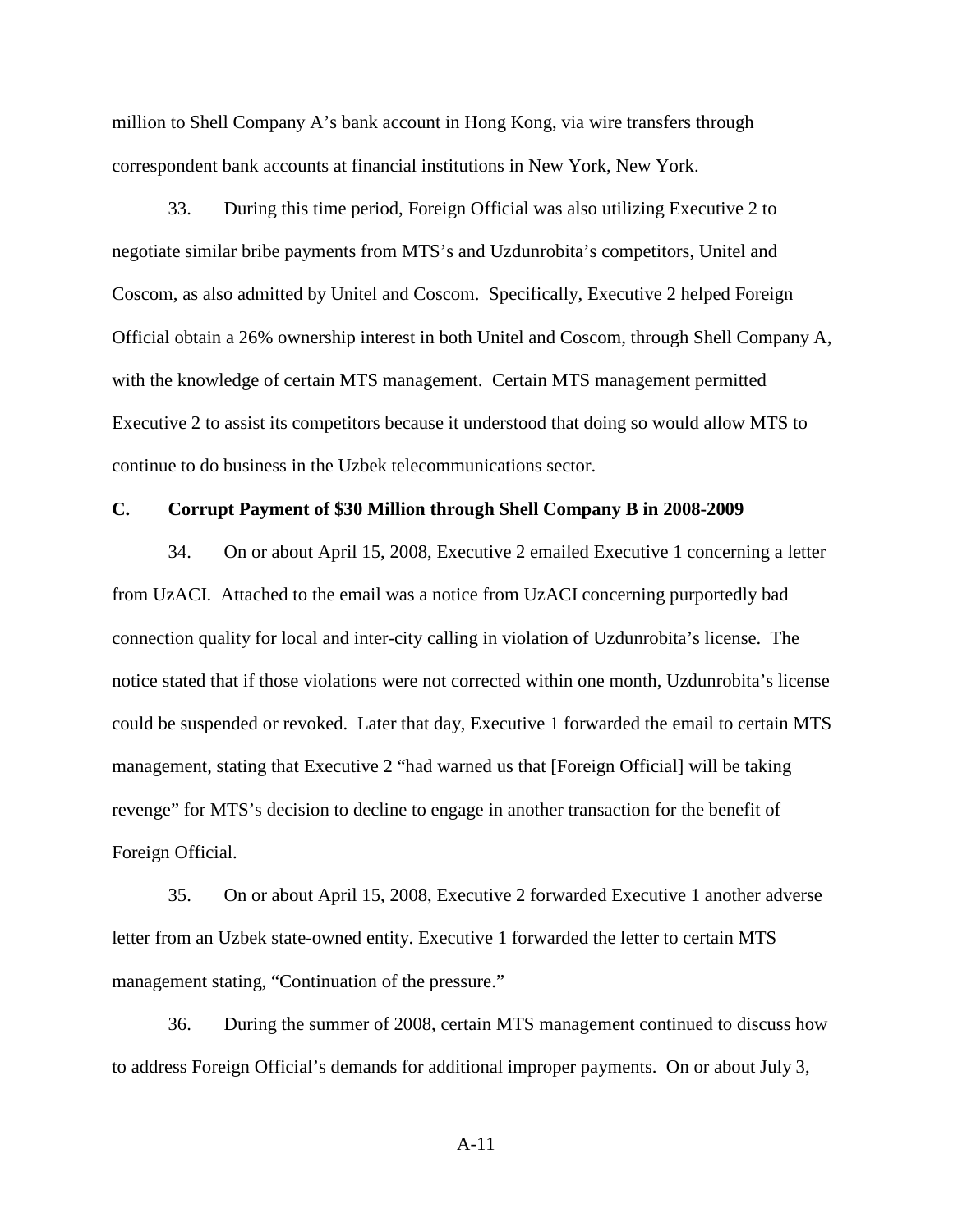million to Shell Company A's bank account in Hong Kong, via wire transfers through correspondent bank accounts at financial institutions in New York, New York.

33. During this time period, Foreign Official was also utilizing Executive 2 to negotiate similar bribe payments from MTS's and Uzdunrobita's competitors, Unitel and Coscom, as also admitted by Unitel and Coscom. Specifically, Executive 2 helped Foreign Official obtain a 26% ownership interest in both Unitel and Coscom, through Shell Company A, with the knowledge of certain MTS management. Certain MTS management permitted Executive 2 to assist its competitors because it understood that doing so would allow MTS to continue to do business in the Uzbek telecommunications sector.

# **C. Corrupt Payment of \$30 Million through Shell Company B in 2008-2009**

34. On or about April 15, 2008, Executive 2 emailed Executive 1 concerning a letter from UzACI. Attached to the email was a notice from UzACI concerning purportedly bad connection quality for local and inter-city calling in violation of Uzdunrobita's license. The notice stated that if those violations were not corrected within one month, Uzdunrobita's license could be suspended or revoked. Later that day, Executive 1 forwarded the email to certain MTS management, stating that Executive 2 "had warned us that [Foreign Official] will be taking revenge" for MTS's decision to decline to engage in another transaction for the benefit of Foreign Official.

35. On or about April 15, 2008, Executive 2 forwarded Executive 1 another adverse letter from an Uzbek state-owned entity. Executive 1 forwarded the letter to certain MTS management stating, "Continuation of the pressure."

36. During the summer of 2008, certain MTS management continued to discuss how to address Foreign Official's demands for additional improper payments. On or about July 3,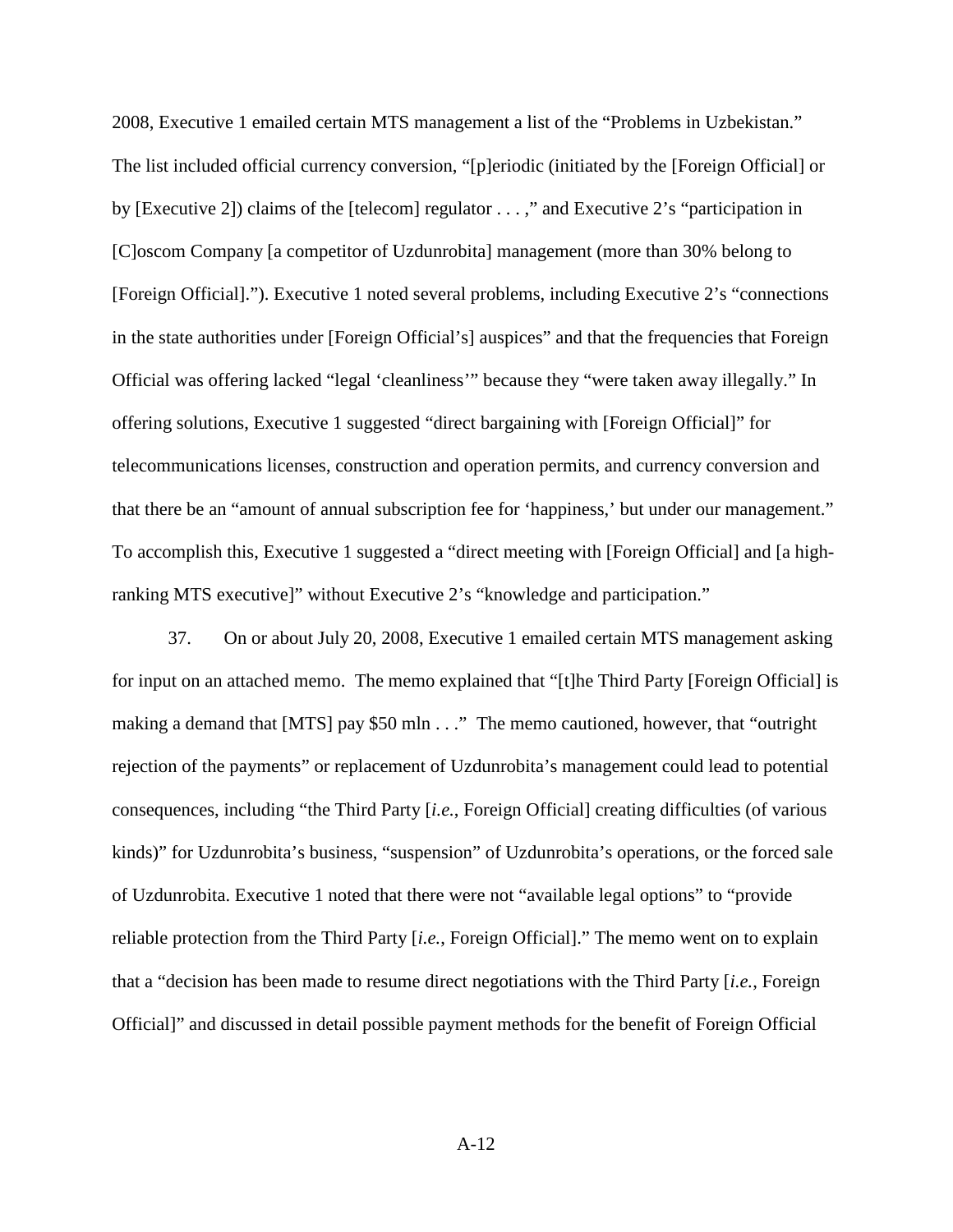2008, Executive 1 emailed certain MTS management a list of the "Problems in Uzbekistan." The list included official currency conversion, "[p]eriodic (initiated by the [Foreign Official] or by [Executive 2]) claims of the [telecom] regulator . . . ," and Executive 2's "participation in [C]oscom Company [a competitor of Uzdunrobita] management (more than 30% belong to [Foreign Official]."). Executive 1 noted several problems, including Executive 2's "connections in the state authorities under [Foreign Official's] auspices" and that the frequencies that Foreign Official was offering lacked "legal 'cleanliness'" because they "were taken away illegally." In offering solutions, Executive 1 suggested "direct bargaining with [Foreign Official]" for telecommunications licenses, construction and operation permits, and currency conversion and that there be an "amount of annual subscription fee for 'happiness,' but under our management." To accomplish this, Executive 1 suggested a "direct meeting with [Foreign Official] and [a highranking MTS executive]" without Executive 2's "knowledge and participation."

37. On or about July 20, 2008, Executive 1 emailed certain MTS management asking for input on an attached memo. The memo explained that "[t]he Third Party [Foreign Official] is making a demand that [MTS] pay \$50 mln . . ." The memo cautioned, however, that "outright rejection of the payments" or replacement of Uzdunrobita's management could lead to potential consequences, including "the Third Party [*i.e.*, Foreign Official] creating difficulties (of various kinds)" for Uzdunrobita's business, "suspension" of Uzdunrobita's operations, or the forced sale of Uzdunrobita. Executive 1 noted that there were not "available legal options" to "provide reliable protection from the Third Party [*i.e.*, Foreign Official]." The memo went on to explain that a "decision has been made to resume direct negotiations with the Third Party [*i.e.*, Foreign Official]" and discussed in detail possible payment methods for the benefit of Foreign Official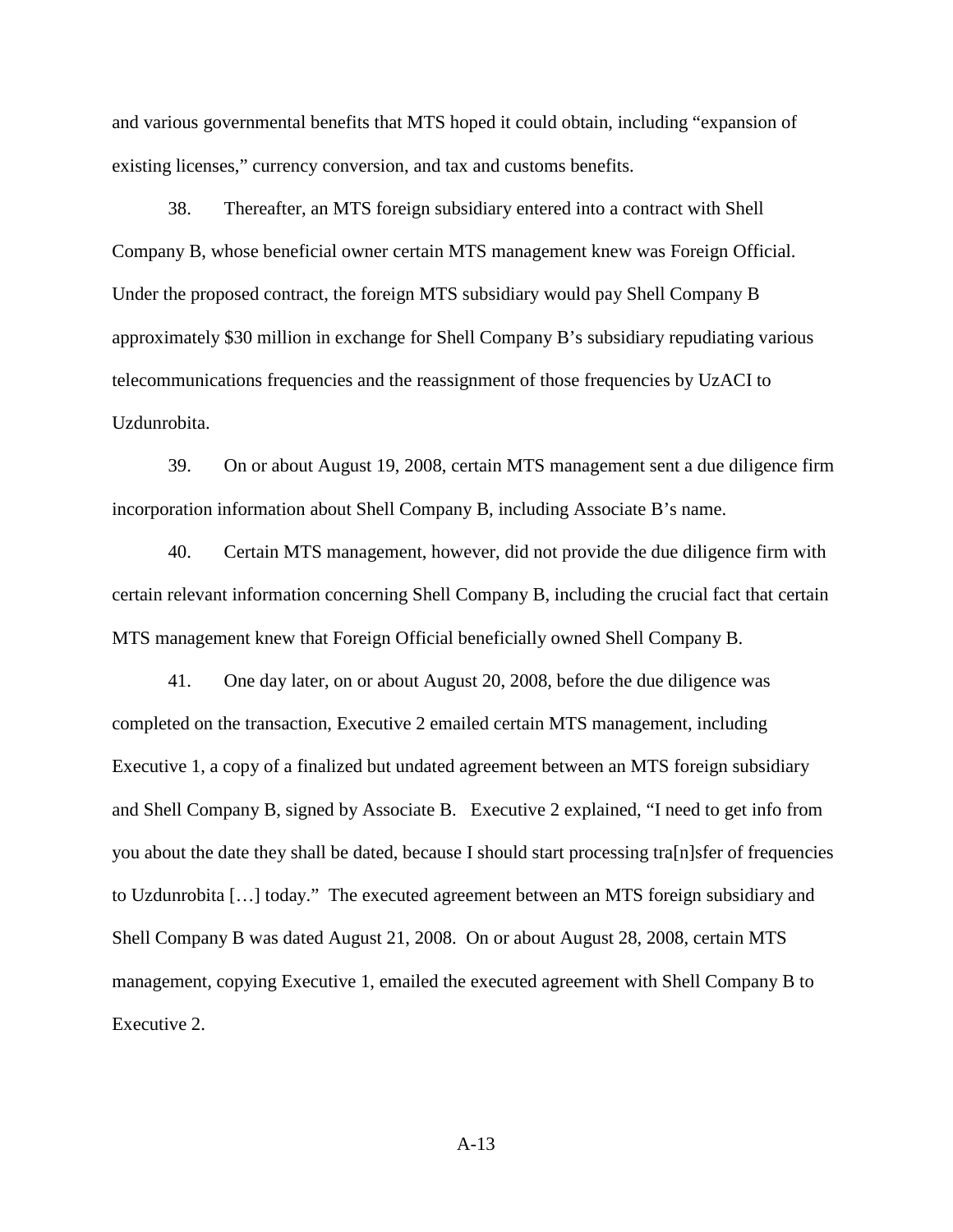and various governmental benefits that MTS hoped it could obtain, including "expansion of existing licenses," currency conversion, and tax and customs benefits.

38. Thereafter, an MTS foreign subsidiary entered into a contract with Shell Company B, whose beneficial owner certain MTS management knew was Foreign Official. Under the proposed contract, the foreign MTS subsidiary would pay Shell Company B approximately \$30 million in exchange for Shell Company B's subsidiary repudiating various telecommunications frequencies and the reassignment of those frequencies by UzACI to Uzdunrobita.

39. On or about August 19, 2008, certain MTS management sent a due diligence firm incorporation information about Shell Company B, including Associate B's name.

40. Certain MTS management, however, did not provide the due diligence firm with certain relevant information concerning Shell Company B, including the crucial fact that certain MTS management knew that Foreign Official beneficially owned Shell Company B.

41. One day later, on or about August 20, 2008, before the due diligence was completed on the transaction, Executive 2 emailed certain MTS management, including Executive 1, a copy of a finalized but undated agreement between an MTS foreign subsidiary and Shell Company B, signed by Associate B. Executive 2 explained, "I need to get info from you about the date they shall be dated, because I should start processing tra[n]sfer of frequencies to Uzdunrobita […] today." The executed agreement between an MTS foreign subsidiary and Shell Company B was dated August 21, 2008. On or about August 28, 2008, certain MTS management, copying Executive 1, emailed the executed agreement with Shell Company B to Executive 2.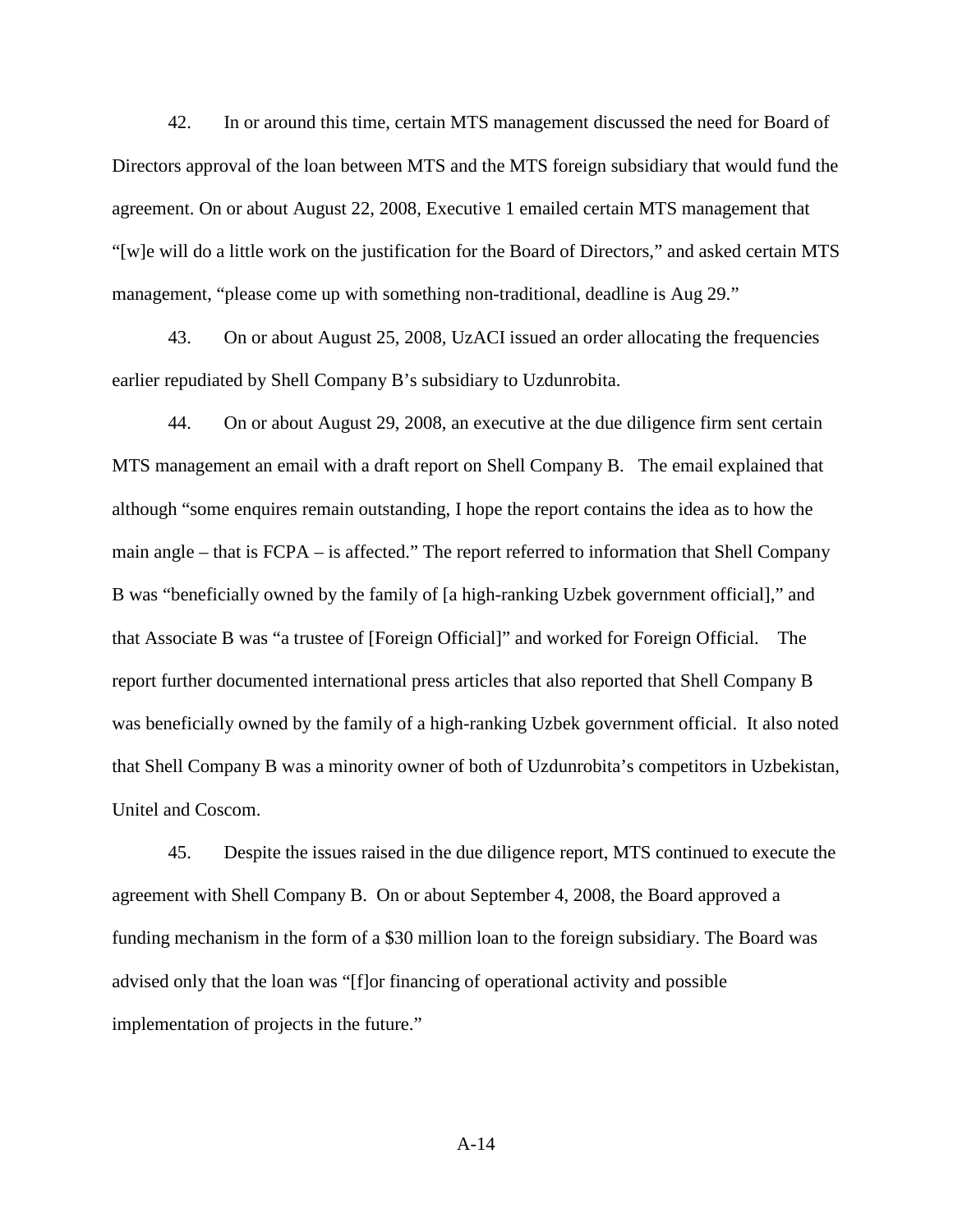42. In or around this time, certain MTS management discussed the need for Board of Directors approval of the loan between MTS and the MTS foreign subsidiary that would fund the agreement. On or about August 22, 2008, Executive 1 emailed certain MTS management that "[w]e will do a little work on the justification for the Board of Directors," and asked certain MTS management, "please come up with something non-traditional, deadline is Aug 29."

43. On or about August 25, 2008, UzACI issued an order allocating the frequencies earlier repudiated by Shell Company B's subsidiary to Uzdunrobita.

44. On or about August 29, 2008, an executive at the due diligence firm sent certain MTS management an email with a draft report on Shell Company B. The email explained that although "some enquires remain outstanding, I hope the report contains the idea as to how the main angle – that is FCPA – is affected." The report referred to information that Shell Company B was "beneficially owned by the family of [a high-ranking Uzbek government official]," and that Associate B was "a trustee of [Foreign Official]" and worked for Foreign Official. The report further documented international press articles that also reported that Shell Company B was beneficially owned by the family of a high-ranking Uzbek government official. It also noted that Shell Company B was a minority owner of both of Uzdunrobita's competitors in Uzbekistan, Unitel and Coscom.

45. Despite the issues raised in the due diligence report, MTS continued to execute the agreement with Shell Company B. On or about September 4, 2008, the Board approved a funding mechanism in the form of a \$30 million loan to the foreign subsidiary. The Board was advised only that the loan was "[f]or financing of operational activity and possible implementation of projects in the future."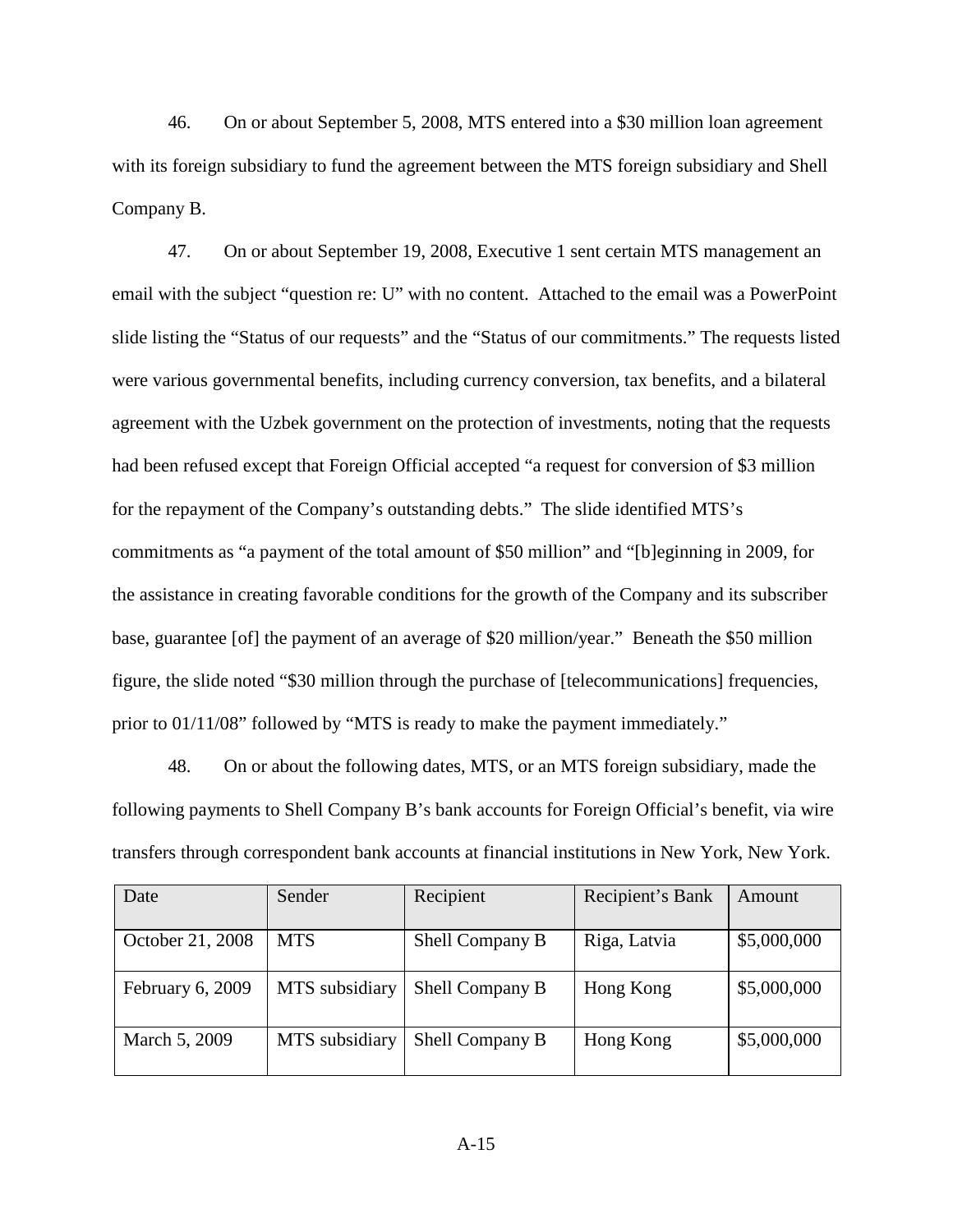46. On or about September 5, 2008, MTS entered into a \$30 million loan agreement with its foreign subsidiary to fund the agreement between the MTS foreign subsidiary and Shell Company B.

47. On or about September 19, 2008, Executive 1 sent certain MTS management an email with the subject "question re: U" with no content. Attached to the email was a PowerPoint slide listing the "Status of our requests" and the "Status of our commitments." The requests listed were various governmental benefits, including currency conversion, tax benefits, and a bilateral agreement with the Uzbek government on the protection of investments, noting that the requests had been refused except that Foreign Official accepted "a request for conversion of \$3 million for the repayment of the Company's outstanding debts." The slide identified MTS's commitments as "a payment of the total amount of \$50 million" and "[b]eginning in 2009, for the assistance in creating favorable conditions for the growth of the Company and its subscriber base, guarantee [of] the payment of an average of \$20 million/year." Beneath the \$50 million figure, the slide noted "\$30 million through the purchase of [telecommunications] frequencies, prior to 01/11/08" followed by "MTS is ready to make the payment immediately."

48. On or about the following dates, MTS, or an MTS foreign subsidiary, made the following payments to Shell Company B's bank accounts for Foreign Official's benefit, via wire transfers through correspondent bank accounts at financial institutions in New York, New York.

| Date             | Sender         | Recipient       | Recipient's Bank | Amount      |
|------------------|----------------|-----------------|------------------|-------------|
| October 21, 2008 | <b>MTS</b>     | Shell Company B | Riga, Latvia     | \$5,000,000 |
| February 6, 2009 | MTS subsidiary | Shell Company B | Hong Kong        | \$5,000,000 |
| March 5, 2009    | MTS subsidiary | Shell Company B | Hong Kong        | \$5,000,000 |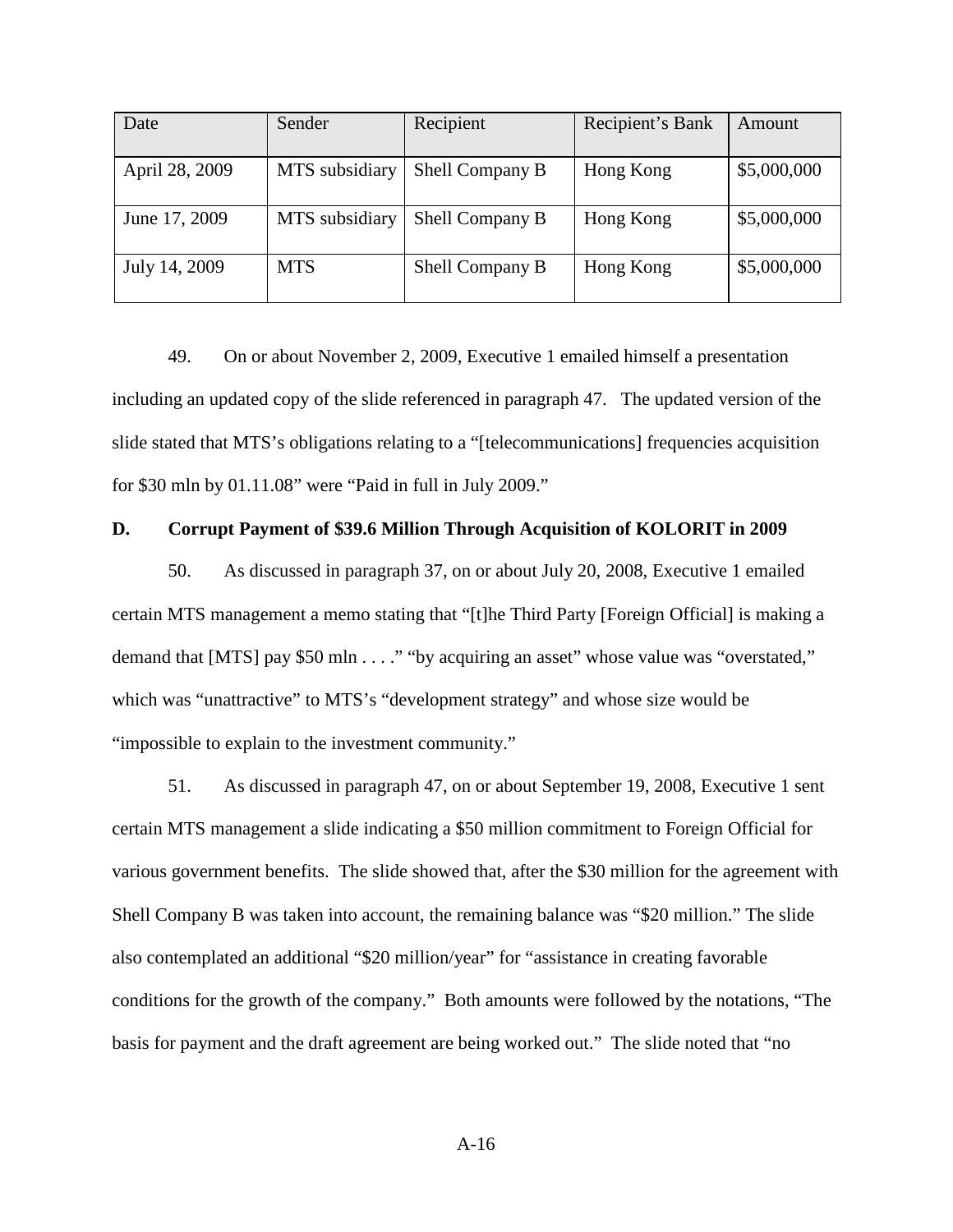| Date           | Sender         | Recipient       | Recipient's Bank | Amount      |
|----------------|----------------|-----------------|------------------|-------------|
| April 28, 2009 | MTS subsidiary | Shell Company B | Hong Kong        | \$5,000,000 |
| June 17, 2009  | MTS subsidiary | Shell Company B | Hong Kong        | \$5,000,000 |
| July 14, 2009  | <b>MTS</b>     | Shell Company B | Hong Kong        | \$5,000,000 |

49. On or about November 2, 2009, Executive 1 emailed himself a presentation including an updated copy of the slide referenced in paragraph 47. The updated version of the slide stated that MTS's obligations relating to a "[telecommunications] frequencies acquisition for \$30 mln by 01.11.08" were "Paid in full in July 2009."

#### **D. Corrupt Payment of \$39.6 Million Through Acquisition of KOLORIT in 2009**

50. As discussed in paragraph 37, on or about July 20, 2008, Executive 1 emailed certain MTS management a memo stating that "[t]he Third Party [Foreign Official] is making a demand that [MTS] pay \$50 mln . . . ." "by acquiring an asset" whose value was "overstated," which was "unattractive" to MTS's "development strategy" and whose size would be "impossible to explain to the investment community."

51. As discussed in paragraph 47, on or about September 19, 2008, Executive 1 sent certain MTS management a slide indicating a \$50 million commitment to Foreign Official for various government benefits. The slide showed that, after the \$30 million for the agreement with Shell Company B was taken into account, the remaining balance was "\$20 million." The slide also contemplated an additional "\$20 million/year" for "assistance in creating favorable conditions for the growth of the company." Both amounts were followed by the notations, "The basis for payment and the draft agreement are being worked out." The slide noted that "no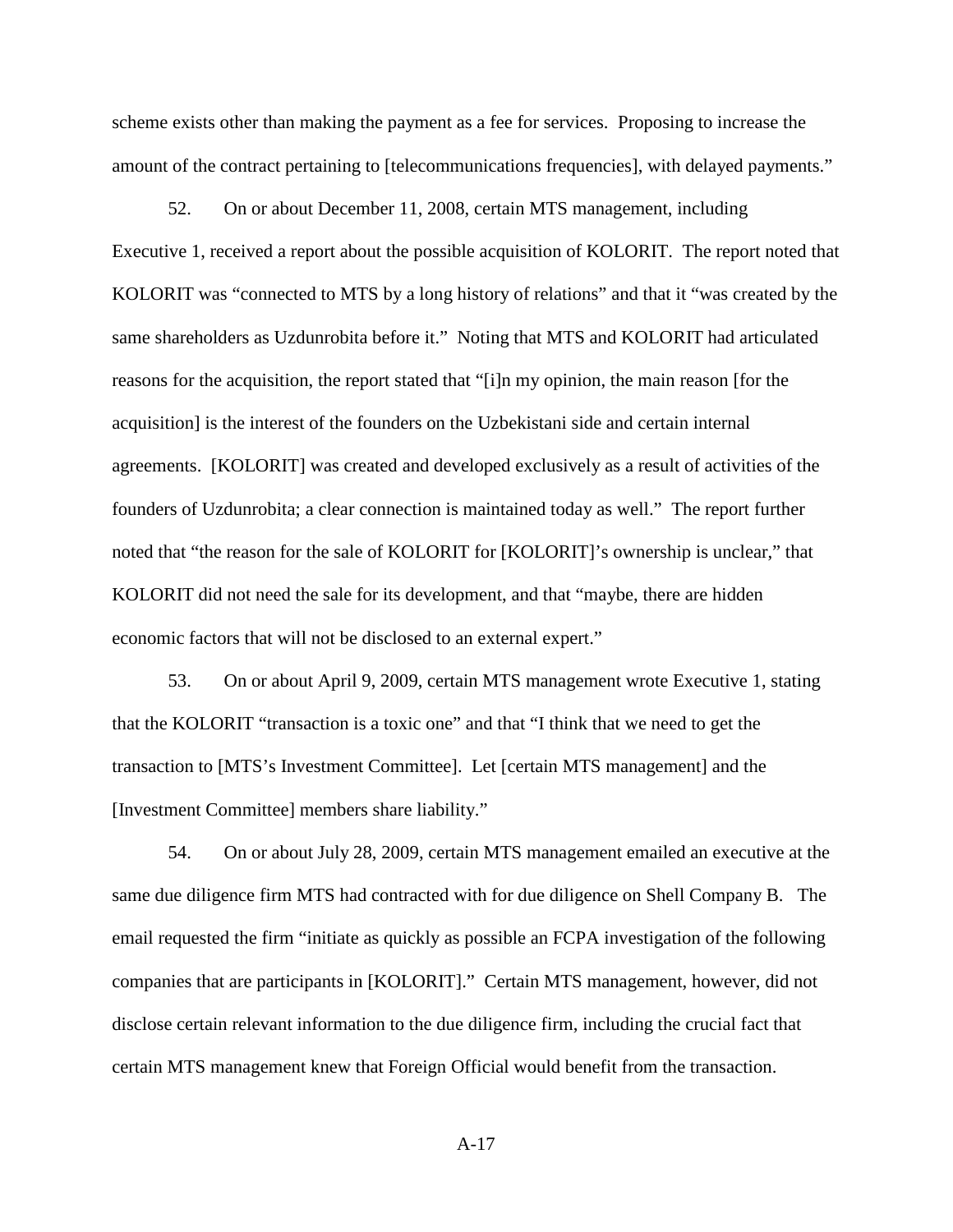scheme exists other than making the payment as a fee for services. Proposing to increase the amount of the contract pertaining to [telecommunications frequencies], with delayed payments."

52. On or about December 11, 2008, certain MTS management, including Executive 1, received a report about the possible acquisition of KOLORIT. The report noted that KOLORIT was "connected to MTS by a long history of relations" and that it "was created by the same shareholders as Uzdunrobita before it." Noting that MTS and KOLORIT had articulated reasons for the acquisition, the report stated that "[i]n my opinion, the main reason [for the acquisition] is the interest of the founders on the Uzbekistani side and certain internal agreements. [KOLORIT] was created and developed exclusively as a result of activities of the founders of Uzdunrobita; a clear connection is maintained today as well." The report further noted that "the reason for the sale of KOLORIT for [KOLORIT]'s ownership is unclear," that KOLORIT did not need the sale for its development, and that "maybe, there are hidden economic factors that will not be disclosed to an external expert."

53. On or about April 9, 2009, certain MTS management wrote Executive 1, stating that the KOLORIT "transaction is a toxic one" and that "I think that we need to get the transaction to [MTS's Investment Committee]. Let [certain MTS management] and the [Investment Committee] members share liability."

54. On or about July 28, 2009, certain MTS management emailed an executive at the same due diligence firm MTS had contracted with for due diligence on Shell Company B. The email requested the firm "initiate as quickly as possible an FCPA investigation of the following companies that are participants in [KOLORIT]." Certain MTS management, however, did not disclose certain relevant information to the due diligence firm, including the crucial fact that certain MTS management knew that Foreign Official would benefit from the transaction.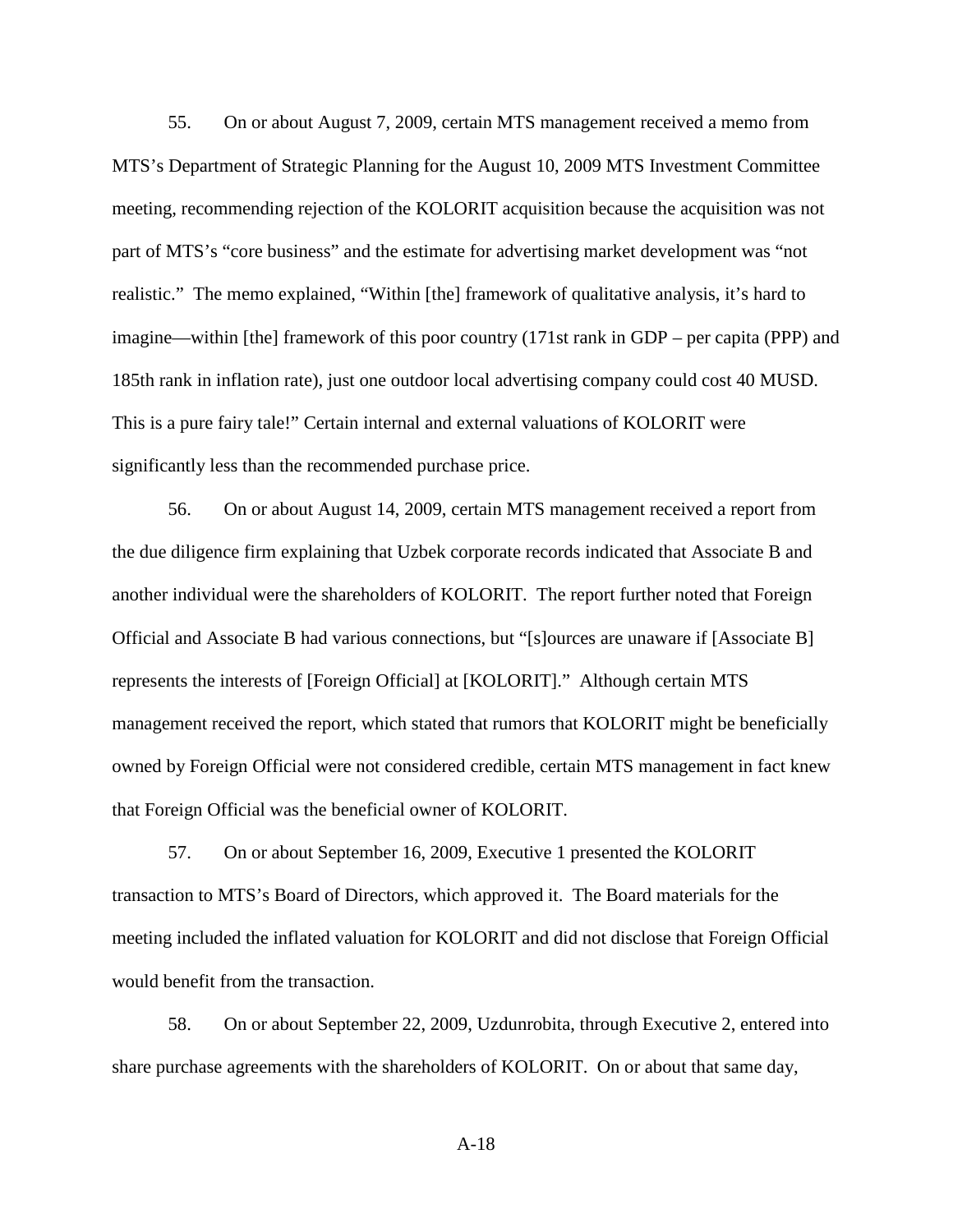55. On or about August 7, 2009, certain MTS management received a memo from MTS's Department of Strategic Planning for the August 10, 2009 MTS Investment Committee meeting, recommending rejection of the KOLORIT acquisition because the acquisition was not part of MTS's "core business" and the estimate for advertising market development was "not realistic." The memo explained, "Within [the] framework of qualitative analysis, it's hard to imagine—within [the] framework of this poor country (171st rank in GDP – per capita (PPP) and 185th rank in inflation rate), just one outdoor local advertising company could cost 40 MUSD. This is a pure fairy tale!" Certain internal and external valuations of KOLORIT were significantly less than the recommended purchase price.

56. On or about August 14, 2009, certain MTS management received a report from the due diligence firm explaining that Uzbek corporate records indicated that Associate B and another individual were the shareholders of KOLORIT. The report further noted that Foreign Official and Associate B had various connections, but "[s]ources are unaware if [Associate B] represents the interests of [Foreign Official] at [KOLORIT]." Although certain MTS management received the report, which stated that rumors that KOLORIT might be beneficially owned by Foreign Official were not considered credible, certain MTS management in fact knew that Foreign Official was the beneficial owner of KOLORIT.

57. On or about September 16, 2009, Executive 1 presented the KOLORIT transaction to MTS's Board of Directors, which approved it. The Board materials for the meeting included the inflated valuation for KOLORIT and did not disclose that Foreign Official would benefit from the transaction.

58. On or about September 22, 2009, Uzdunrobita, through Executive 2, entered into share purchase agreements with the shareholders of KOLORIT. On or about that same day,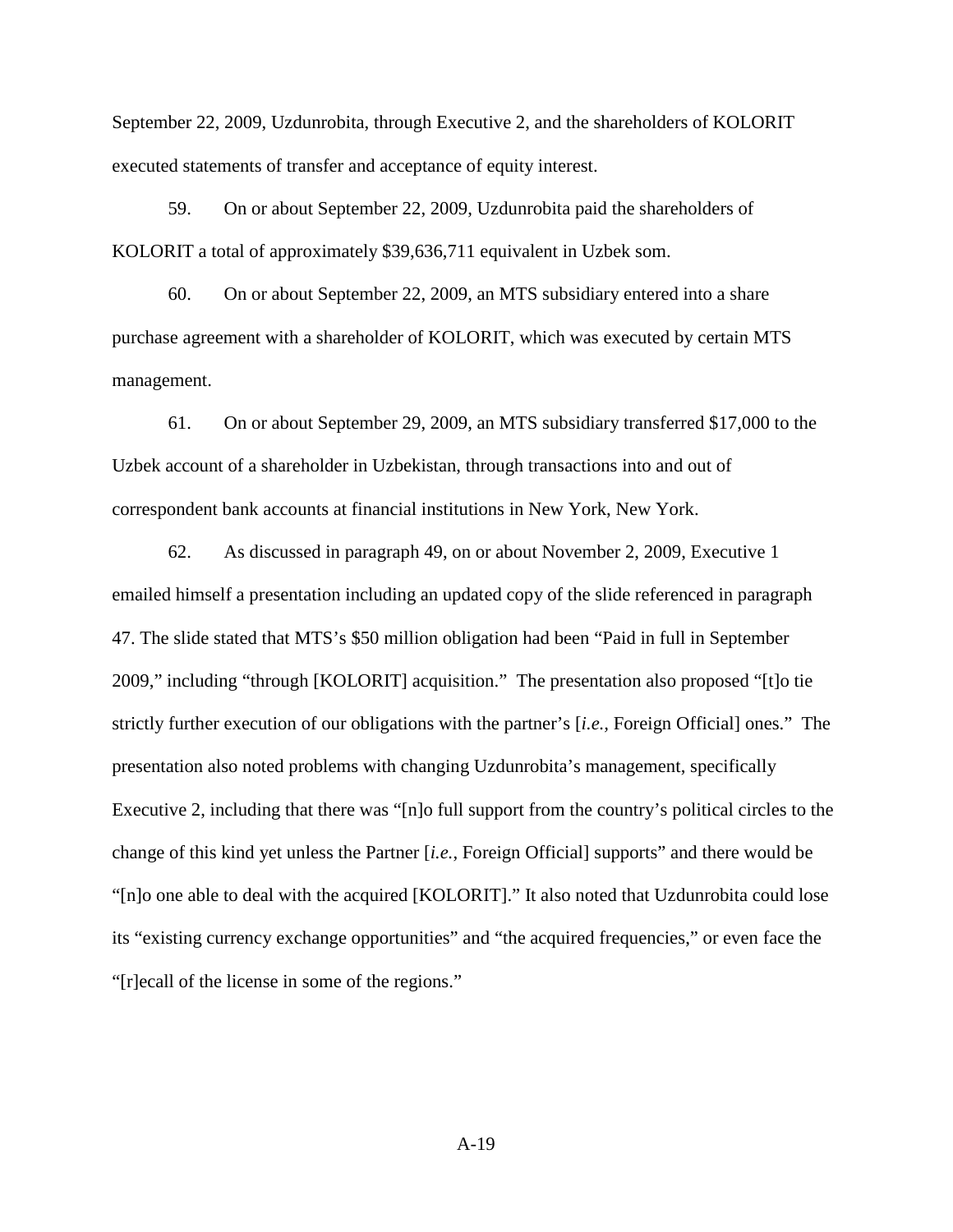September 22, 2009, Uzdunrobita, through Executive 2, and the shareholders of KOLORIT executed statements of transfer and acceptance of equity interest.

59. On or about September 22, 2009, Uzdunrobita paid the shareholders of KOLORIT a total of approximately \$39,636,711 equivalent in Uzbek som.

60. On or about September 22, 2009, an MTS subsidiary entered into a share purchase agreement with a shareholder of KOLORIT, which was executed by certain MTS management.

61. On or about September 29, 2009, an MTS subsidiary transferred \$17,000 to the Uzbek account of a shareholder in Uzbekistan, through transactions into and out of correspondent bank accounts at financial institutions in New York, New York.

62. As discussed in paragraph 49, on or about November 2, 2009, Executive 1 emailed himself a presentation including an updated copy of the slide referenced in paragraph 47. The slide stated that MTS's \$50 million obligation had been "Paid in full in September 2009," including "through [KOLORIT] acquisition." The presentation also proposed "[t]o tie strictly further execution of our obligations with the partner's [*i.e.,* Foreign Official] ones." The presentation also noted problems with changing Uzdunrobita's management, specifically Executive 2, including that there was "[n]o full support from the country's political circles to the change of this kind yet unless the Partner [*i.e.*, Foreign Official] supports" and there would be "[n]o one able to deal with the acquired [KOLORIT]." It also noted that Uzdunrobita could lose its "existing currency exchange opportunities" and "the acquired frequencies," or even face the "[r]ecall of the license in some of the regions."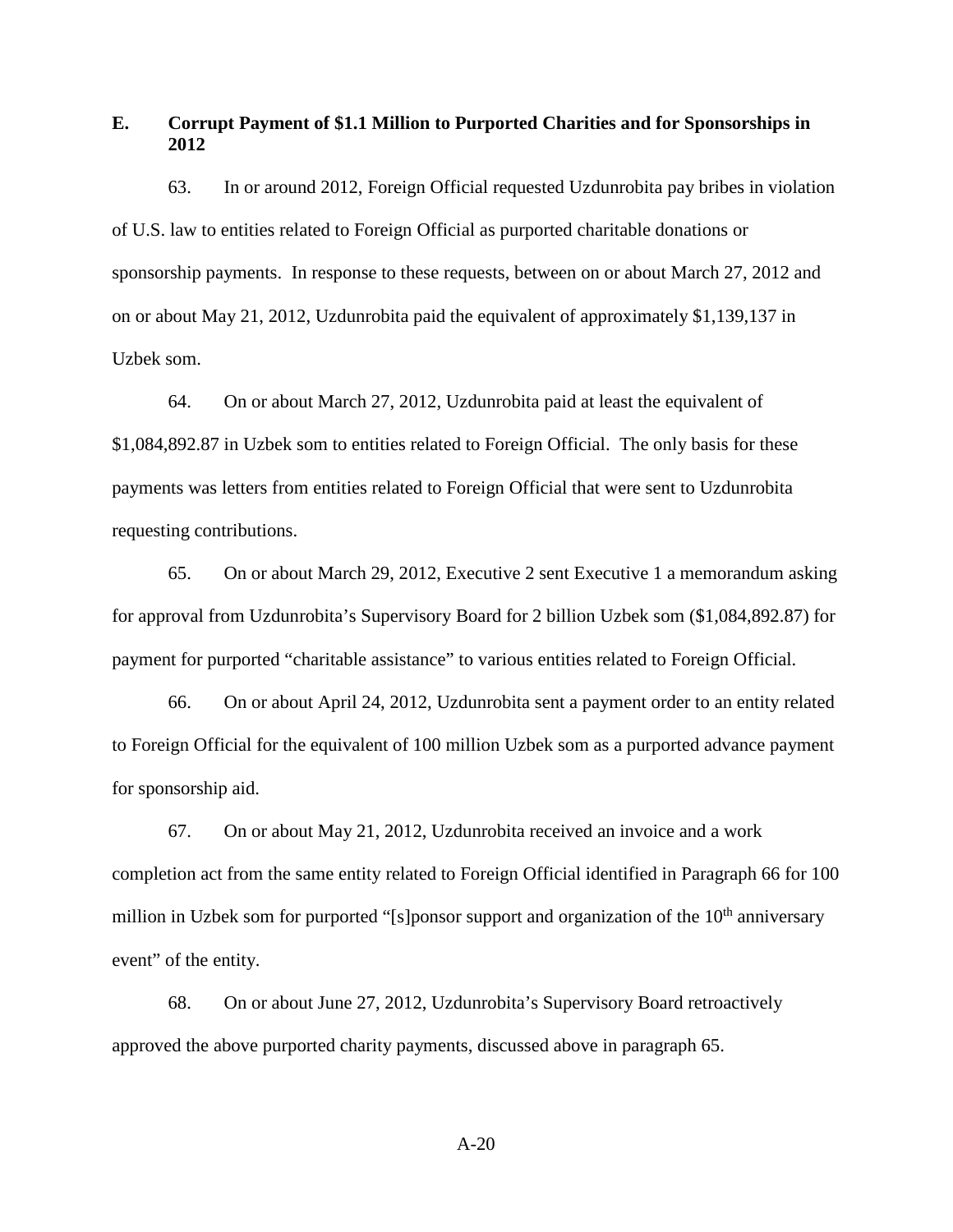# **E. Corrupt Payment of \$1.1 Million to Purported Charities and for Sponsorships in 2012**

63. In or around 2012, Foreign Official requested Uzdunrobita pay bribes in violation of U.S. law to entities related to Foreign Official as purported charitable donations or sponsorship payments. In response to these requests, between on or about March 27, 2012 and on or about May 21, 2012, Uzdunrobita paid the equivalent of approximately \$1,139,137 in Uzbek som.

64. On or about March 27, 2012, Uzdunrobita paid at least the equivalent of \$1,084,892.87 in Uzbek som to entities related to Foreign Official. The only basis for these payments was letters from entities related to Foreign Official that were sent to Uzdunrobita requesting contributions.

65. On or about March 29, 2012, Executive 2 sent Executive 1 a memorandum asking for approval from Uzdunrobita's Supervisory Board for 2 billion Uzbek som (\$1,084,892.87) for payment for purported "charitable assistance" to various entities related to Foreign Official.

66. On or about April 24, 2012, Uzdunrobita sent a payment order to an entity related to Foreign Official for the equivalent of 100 million Uzbek som as a purported advance payment for sponsorship aid.

67. On or about May 21, 2012, Uzdunrobita received an invoice and a work completion act from the same entity related to Foreign Official identified in Paragraph 66 for 100 million in Uzbek som for purported "[s]ponsor support and organization of the  $10<sup>th</sup>$  anniversary event" of the entity.

68. On or about June 27, 2012, Uzdunrobita's Supervisory Board retroactively approved the above purported charity payments, discussed above in paragraph 65.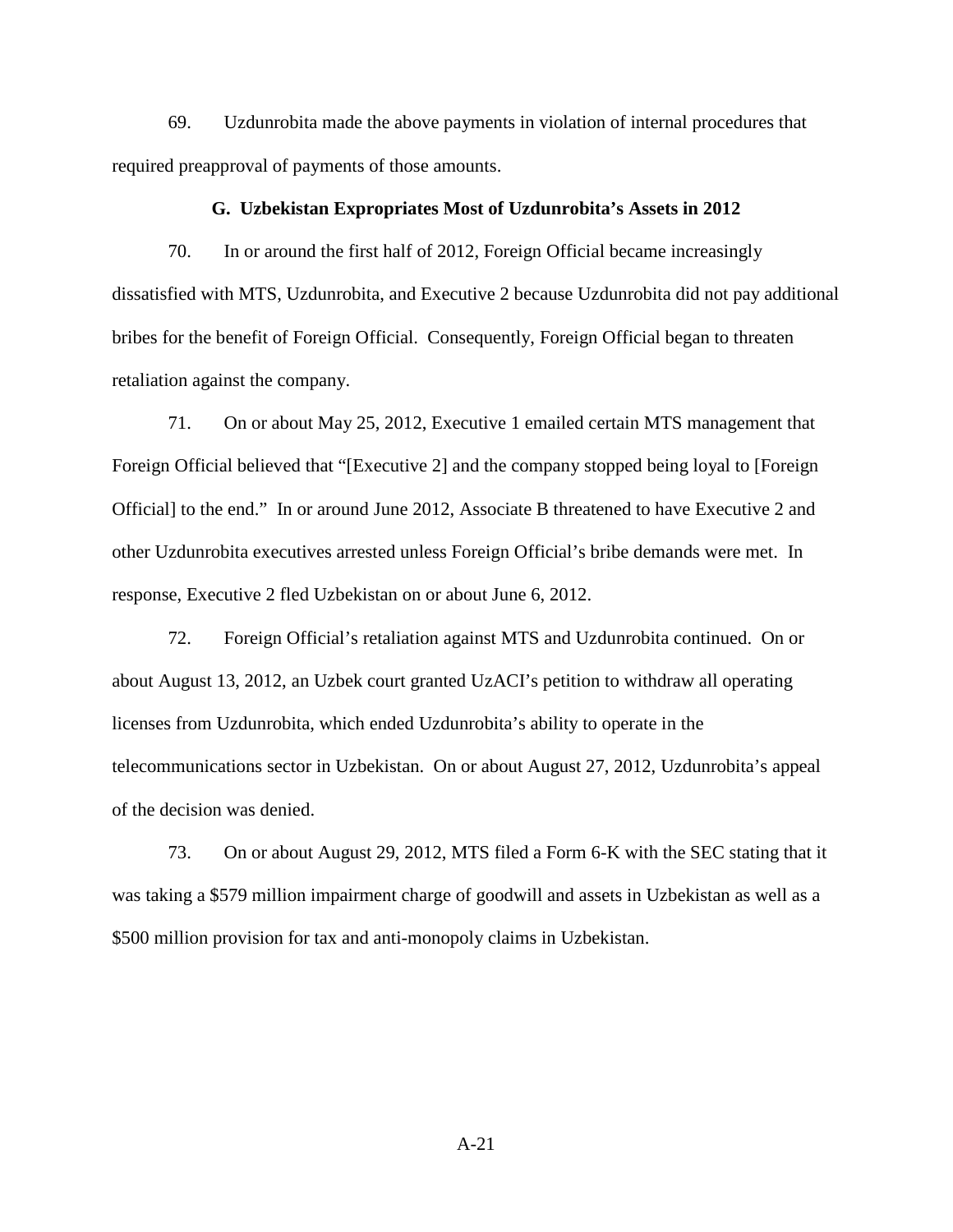69. Uzdunrobita made the above payments in violation of internal procedures that required preapproval of payments of those amounts.

#### **G. Uzbekistan Expropriates Most of Uzdunrobita's Assets in 2012**

70. In or around the first half of 2012, Foreign Official became increasingly dissatisfied with MTS, Uzdunrobita, and Executive 2 because Uzdunrobita did not pay additional bribes for the benefit of Foreign Official. Consequently, Foreign Official began to threaten retaliation against the company.

71. On or about May 25, 2012, Executive 1 emailed certain MTS management that Foreign Official believed that "[Executive 2] and the company stopped being loyal to [Foreign Official] to the end." In or around June 2012, Associate B threatened to have Executive 2 and other Uzdunrobita executives arrested unless Foreign Official's bribe demands were met. In response, Executive 2 fled Uzbekistan on or about June 6, 2012.

72. Foreign Official's retaliation against MTS and Uzdunrobita continued. On or about August 13, 2012, an Uzbek court granted UzACI's petition to withdraw all operating licenses from Uzdunrobita, which ended Uzdunrobita's ability to operate in the telecommunications sector in Uzbekistan. On or about August 27, 2012, Uzdunrobita's appeal of the decision was denied.

73. On or about August 29, 2012, MTS filed a Form 6-K with the SEC stating that it was taking a \$579 million impairment charge of goodwill and assets in Uzbekistan as well as a \$500 million provision for tax and anti-monopoly claims in Uzbekistan.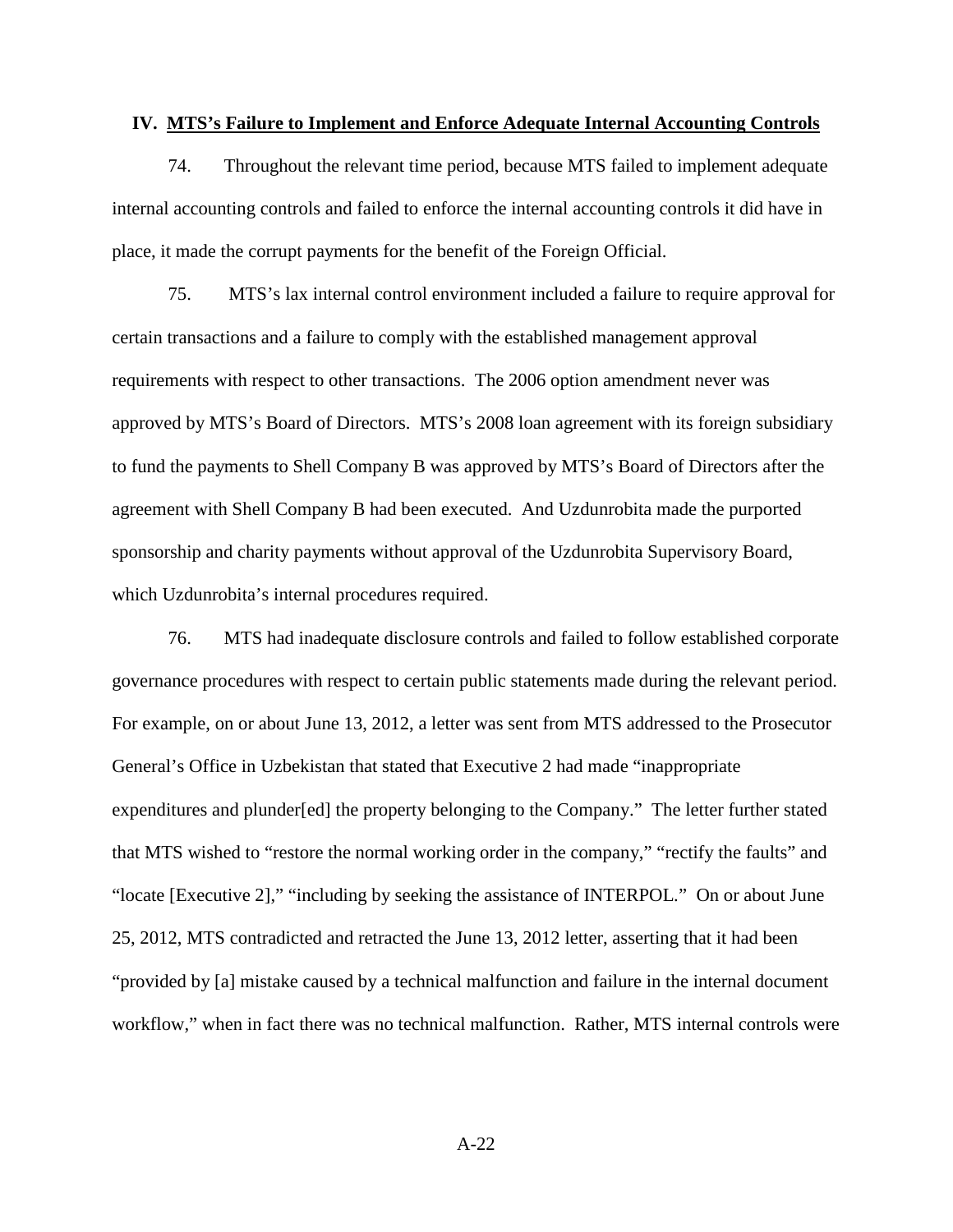#### **IV. MTS's Failure to Implement and Enforce Adequate Internal Accounting Controls**

74. Throughout the relevant time period, because MTS failed to implement adequate internal accounting controls and failed to enforce the internal accounting controls it did have in place, it made the corrupt payments for the benefit of the Foreign Official.

75. MTS's lax internal control environment included a failure to require approval for certain transactions and a failure to comply with the established management approval requirements with respect to other transactions. The 2006 option amendment never was approved by MTS's Board of Directors. MTS's 2008 loan agreement with its foreign subsidiary to fund the payments to Shell Company B was approved by MTS's Board of Directors after the agreement with Shell Company B had been executed. And Uzdunrobita made the purported sponsorship and charity payments without approval of the Uzdunrobita Supervisory Board, which Uzdunrobita's internal procedures required.

76. MTS had inadequate disclosure controls and failed to follow established corporate governance procedures with respect to certain public statements made during the relevant period. For example, on or about June 13, 2012, a letter was sent from MTS addressed to the Prosecutor General's Office in Uzbekistan that stated that Executive 2 had made "inappropriate expenditures and plunder[ed] the property belonging to the Company." The letter further stated that MTS wished to "restore the normal working order in the company," "rectify the faults" and "locate [Executive 2]," "including by seeking the assistance of INTERPOL." On or about June 25, 2012, MTS contradicted and retracted the June 13, 2012 letter, asserting that it had been "provided by [a] mistake caused by a technical malfunction and failure in the internal document workflow," when in fact there was no technical malfunction. Rather, MTS internal controls were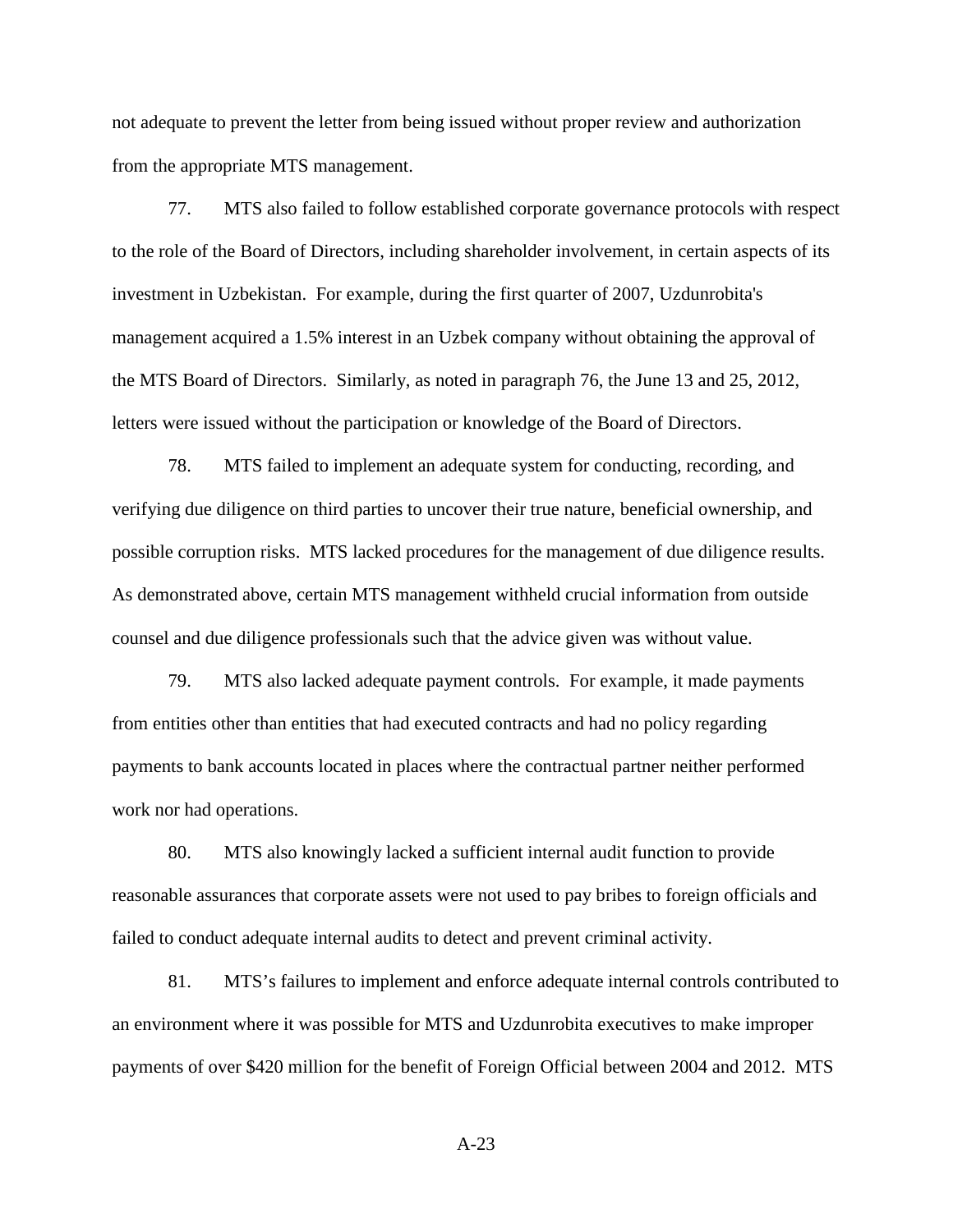not adequate to prevent the letter from being issued without proper review and authorization from the appropriate MTS management.

77. MTS also failed to follow established corporate governance protocols with respect to the role of the Board of Directors, including shareholder involvement, in certain aspects of its investment in Uzbekistan. For example, during the first quarter of 2007, Uzdunrobita's management acquired a 1.5% interest in an Uzbek company without obtaining the approval of the MTS Board of Directors. Similarly, as noted in paragraph 76, the June 13 and 25, 2012, letters were issued without the participation or knowledge of the Board of Directors.

78. MTS failed to implement an adequate system for conducting, recording, and verifying due diligence on third parties to uncover their true nature, beneficial ownership, and possible corruption risks. MTS lacked procedures for the management of due diligence results. As demonstrated above, certain MTS management withheld crucial information from outside counsel and due diligence professionals such that the advice given was without value.

79. MTS also lacked adequate payment controls. For example, it made payments from entities other than entities that had executed contracts and had no policy regarding payments to bank accounts located in places where the contractual partner neither performed work nor had operations.

80. MTS also knowingly lacked a sufficient internal audit function to provide reasonable assurances that corporate assets were not used to pay bribes to foreign officials and failed to conduct adequate internal audits to detect and prevent criminal activity.

81. MTS's failures to implement and enforce adequate internal controls contributed to an environment where it was possible for MTS and Uzdunrobita executives to make improper payments of over \$420 million for the benefit of Foreign Official between 2004 and 2012. MTS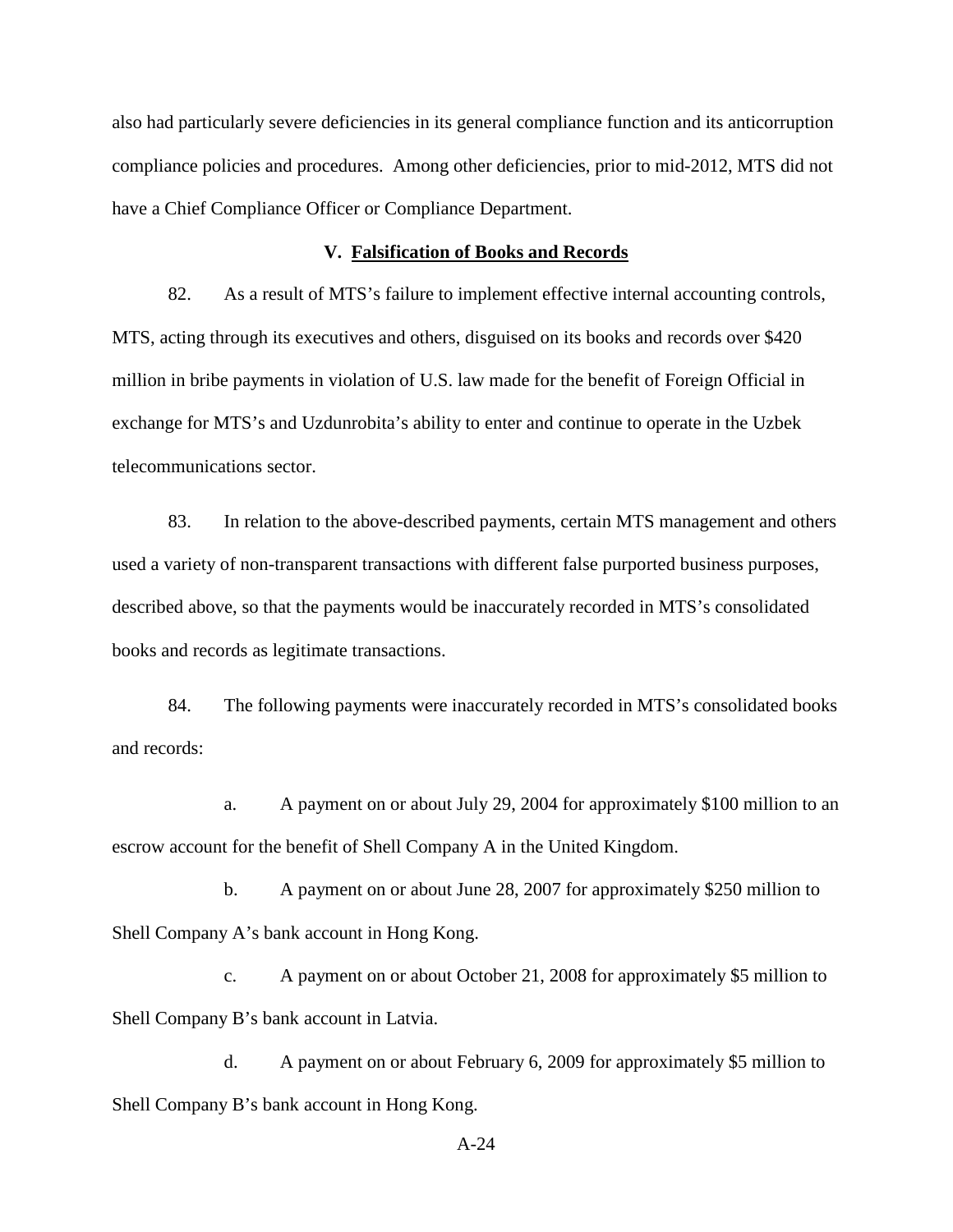also had particularly severe deficiencies in its general compliance function and its anticorruption compliance policies and procedures. Among other deficiencies, prior to mid-2012, MTS did not have a Chief Compliance Officer or Compliance Department.

#### **V. Falsification of Books and Records**

82. As a result of MTS's failure to implement effective internal accounting controls, MTS, acting through its executives and others, disguised on its books and records over \$420 million in bribe payments in violation of U.S. law made for the benefit of Foreign Official in exchange for MTS's and Uzdunrobita's ability to enter and continue to operate in the Uzbek telecommunications sector.

83. In relation to the above-described payments, certain MTS management and others used a variety of non-transparent transactions with different false purported business purposes, described above, so that the payments would be inaccurately recorded in MTS's consolidated books and records as legitimate transactions.

84. The following payments were inaccurately recorded in MTS's consolidated books and records:

a. A payment on or about July 29, 2004 for approximately \$100 million to an escrow account for the benefit of Shell Company A in the United Kingdom.

b. A payment on or about June 28, 2007 for approximately \$250 million to Shell Company A's bank account in Hong Kong.

c. A payment on or about October 21, 2008 for approximately \$5 million to Shell Company B's bank account in Latvia.

d. A payment on or about February 6, 2009 for approximately \$5 million to Shell Company B's bank account in Hong Kong.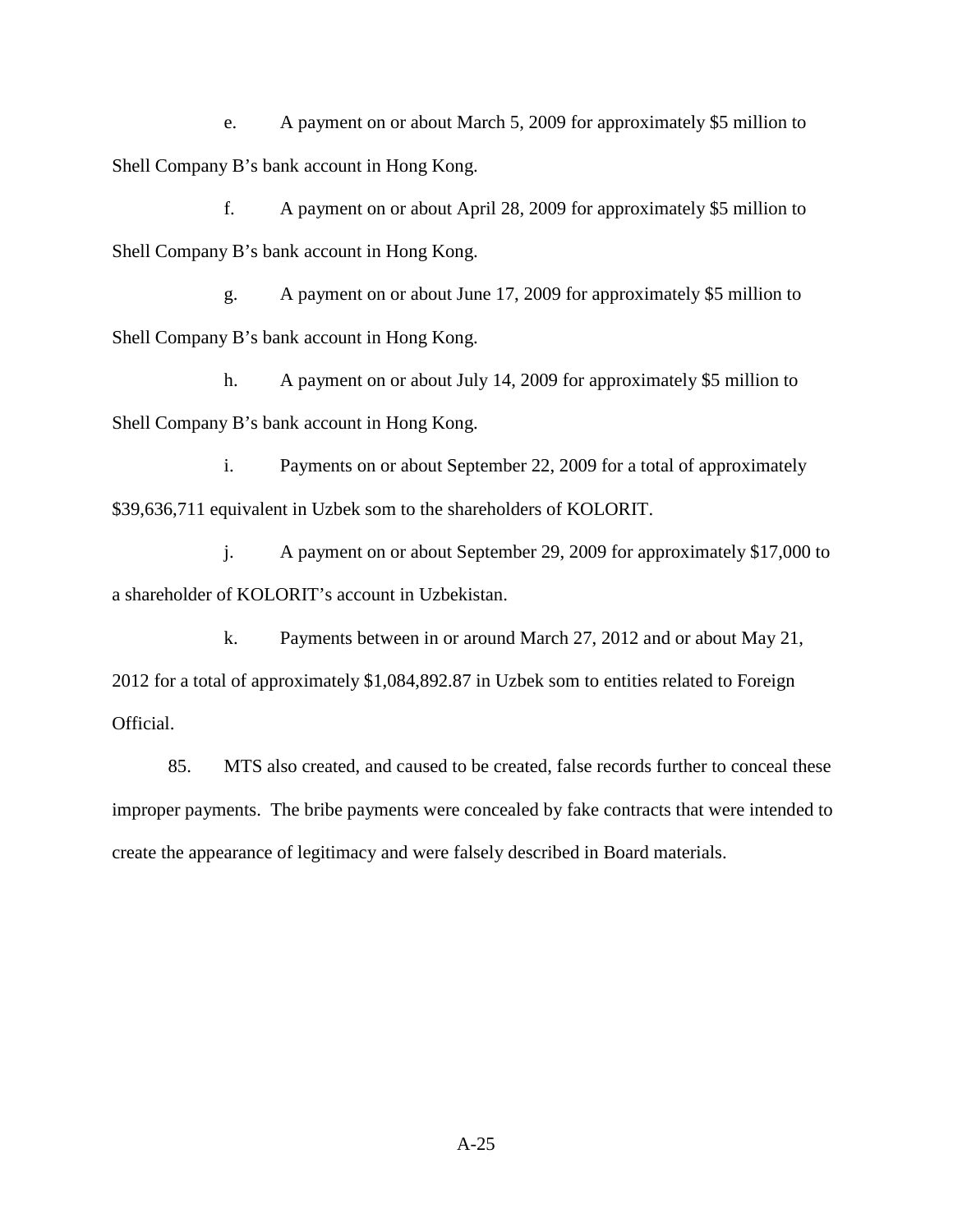e. A payment on or about March 5, 2009 for approximately \$5 million to Shell Company B's bank account in Hong Kong.

f. A payment on or about April 28, 2009 for approximately \$5 million to Shell Company B's bank account in Hong Kong.

g. A payment on or about June 17, 2009 for approximately \$5 million to Shell Company B's bank account in Hong Kong.

h. A payment on or about July 14, 2009 for approximately \$5 million to Shell Company B's bank account in Hong Kong.

i. Payments on or about September 22, 2009 for a total of approximately \$39,636,711 equivalent in Uzbek som to the shareholders of KOLORIT.

j. A payment on or about September 29, 2009 for approximately \$17,000 to a shareholder of KOLORIT's account in Uzbekistan.

k. Payments between in or around March 27, 2012 and or about May 21, 2012 for a total of approximately \$1,084,892.87 in Uzbek som to entities related to Foreign Official.

85. MTS also created, and caused to be created, false records further to conceal these improper payments. The bribe payments were concealed by fake contracts that were intended to create the appearance of legitimacy and were falsely described in Board materials.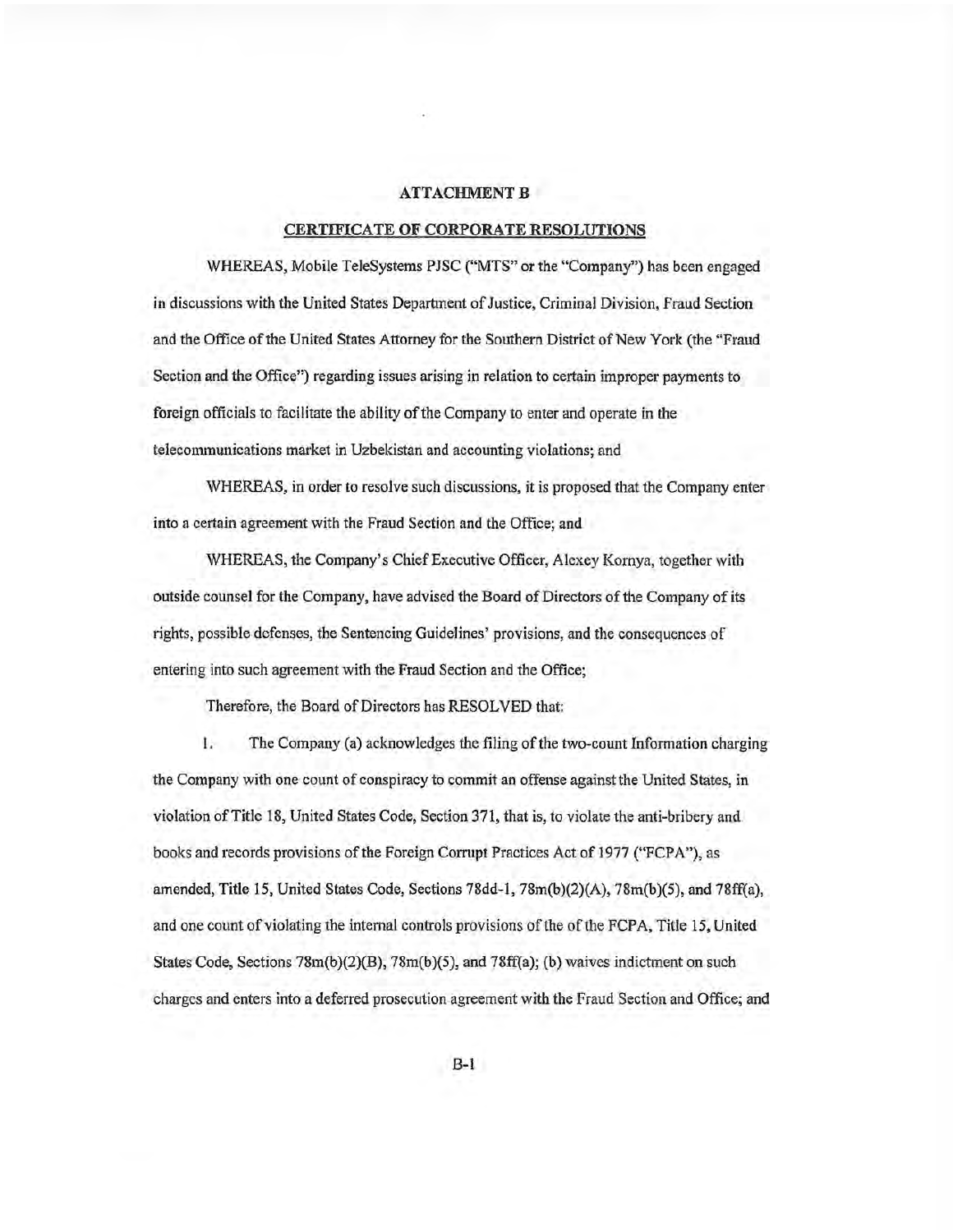#### **ATTACHMENT B**

#### CERTIFICATE OF CORPORATE RESOLUTIONS

WHEREAS, Mobile TeleSystems PJSC ("MTS" or the "Company") has been engaged in discussions with the United States Department of Justice, Criminal Division, Fraud Section and the Office of the United States Attorney for the Southern District of New York (the "Fraud Section and the Office") regarding issues arising in relation to certain improper payments to foreign officials to facilitate the ability of the Company to enter and operate in the telecommunications market in Uzbekistan and accounting violations; and

WHEREAS, in order to resolve such discussions, it is proposed that the Company enter into a certain agreement with the Fraud Section and the Office; and

WHEREAS, the Company's Chief Executive Officer, Alexey Kornya, together with outside counsel for the Company, have advised the Board of Directors of the Company of its rights, possible defenses, the Sentencing Guidelines' provisions, and the consequences of entering into such agreement with the Fraud Section and the Office;

Therefore, the Board of Directors has RESOLVED that:

The Company (a) acknowledges the filing of the two-count Information charging L. the Company with one count of conspiracy to commit an offense against the United States, in violation of Title 18, United States Code, Section 371, that is, to violate the anti-bribery and books and records provisions of the Foreign Corrupt Practices Act of 1977 ("FCPA"), as amended, Title 15, United States Code, Sections 78dd-1, 78m(b)(2)(A), 78m(b)(5), and 78ff(a), and one count of violating the internal controls provisions of the of the FCPA, Title 15, United States Code, Sections  $78m(b)(2)(B)$ ,  $78m(b)(5)$ , and  $78ff(a)$ ; (b) waives indictment on such charges and enters into a deferred prosecution agreement with the Fraud Section and Office; and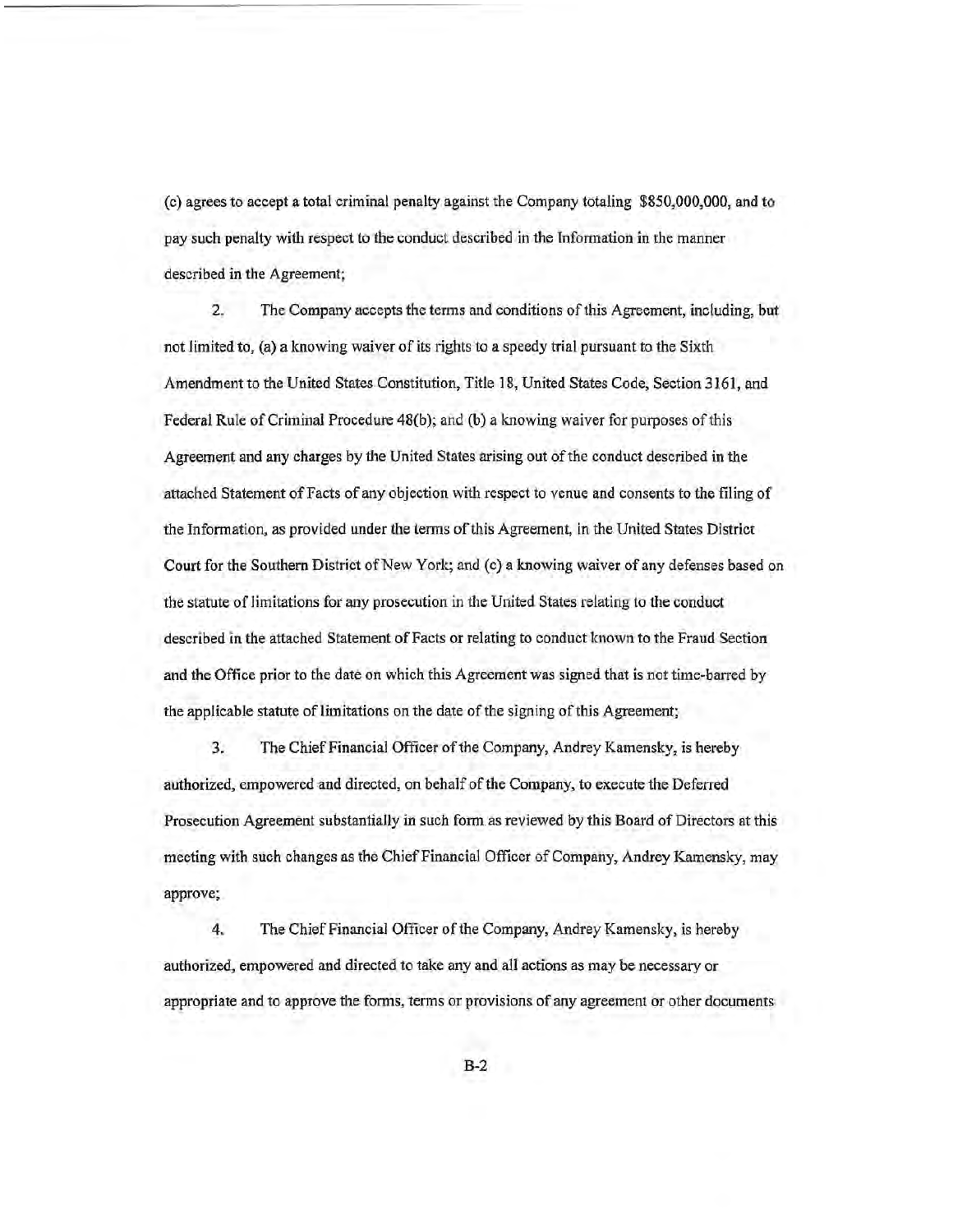(c) agrees to accept a total criminal penalty against the Company totaling \$850,000,000, and to pay such penalty with respect to the conduct described in the Information in the manner described in the Agreement;

 $\overline{2}$ . The Company accepts the terms and conditions of this Agreement, including, but not limited to, (a) a knowing waiver of its rights to a speedy trial pursuant to the Sixth Amendment to the United States Constitution, Title 18, United States Code, Section 3161, and Federal Rule of Criminal Procedure 48(b); and (b) a knowing waiver for purposes of this Agreement and any charges by the United States arising out of the conduct described in the attached Statement of Facts of any objection with respect to venue and consents to the filing of the Information, as provided under the terms of this Agreement, in the United States District Court for the Southern District of New York; and (c) a knowing waiver of any defenses based on the statute of limitations for any prosecution in the United States relating to the conduct described in the attached Statement of Facts or relating to conduct known to the Fraud Section and the Office prior to the date on which this Agreement was signed that is not time-barred by the applicable statute of limitations on the date of the signing of this Agreement;

 $3.$ The Chief Financial Officer of the Company, Andrey Kamensky, is hereby authorized, empowered and directed, on behalf of the Company, to execute the Deferred Prosecution Agreement substantially in such form as reviewed by this Board of Directors at this meeting with such changes as the Chief Financial Officer of Company, Andrey Kamensky, may approve;

4. The Chief Financial Officer of the Company, Andrey Kamensky, is hereby authorized, empowered and directed to take any and all actions as may be necessary or appropriate and to approve the forms, terms or provisions of any agreement or other documents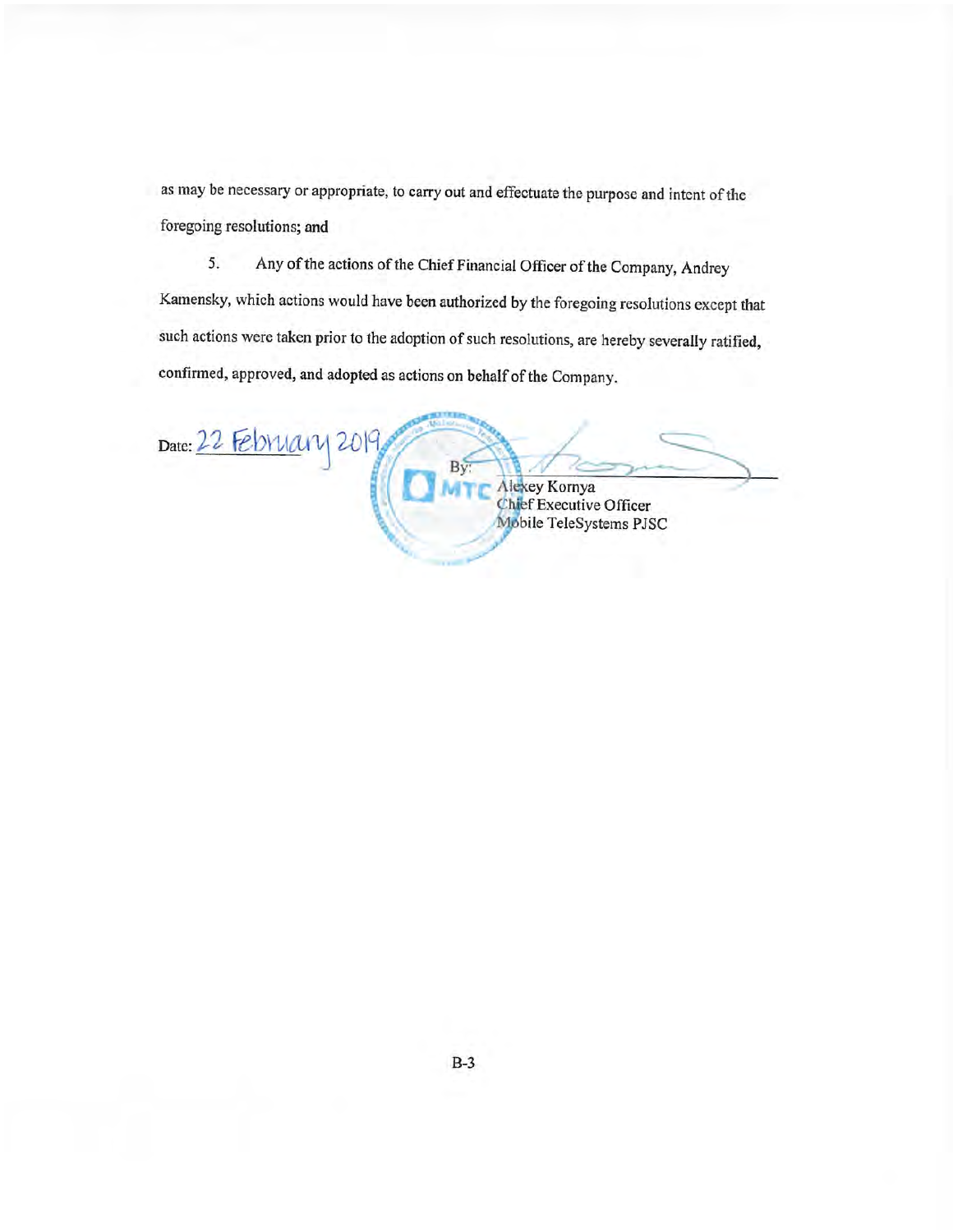as may be necessary or appropriate, to carry out and effectuate the purpose and intent of the foregoing resolutions; and

Any of the actions of the Chief Financial Officer of the Company, Andrey 5. Kamensky, which actions would have been authorized by the foregoing resolutions except that such actions were taken prior to the adoption of such resolutions, are hereby severally ratified, confirmed, approved, and adopted as actions on behalf of the Company.

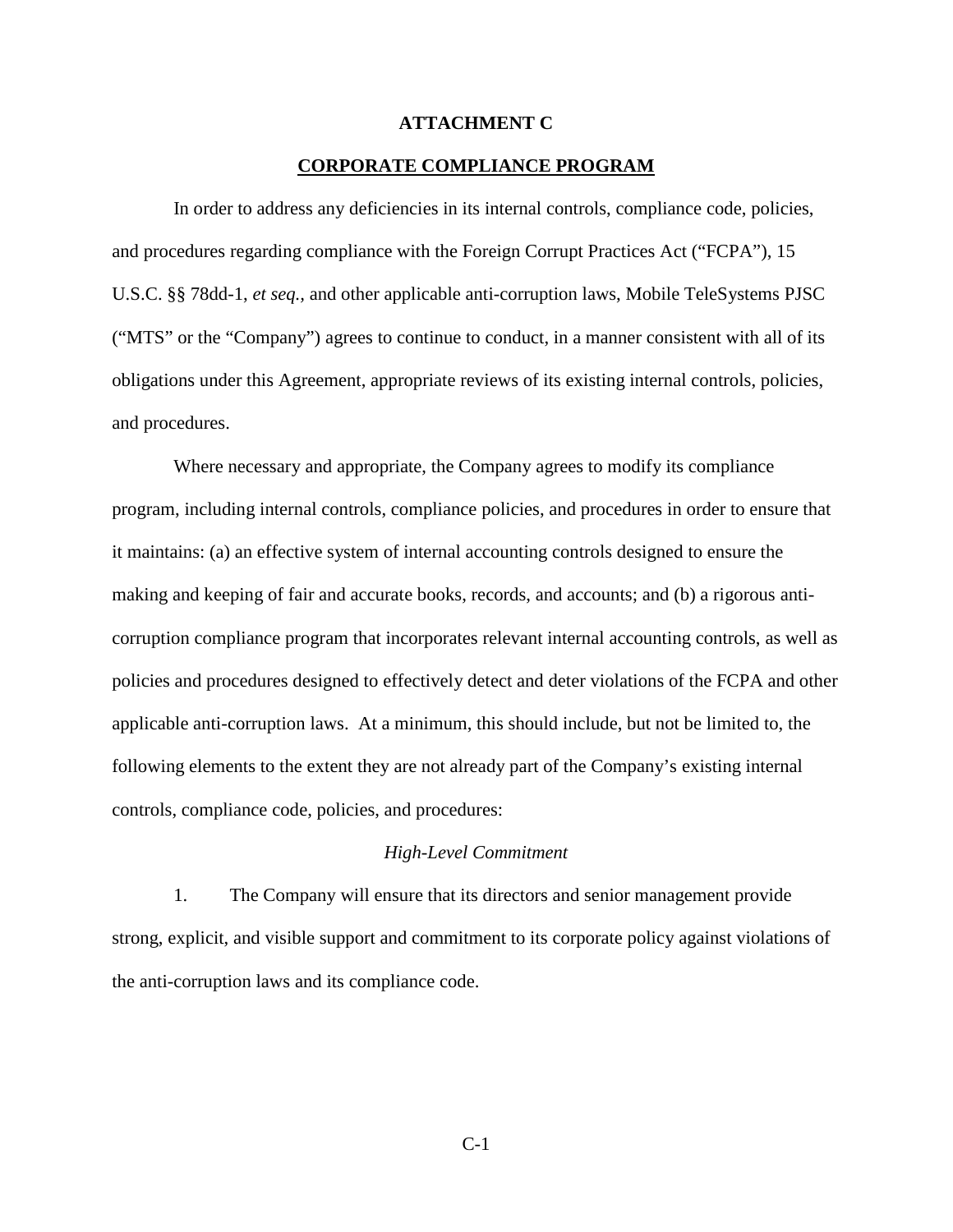#### **ATTACHMENT C**

#### **CORPORATE COMPLIANCE PROGRAM**

In order to address any deficiencies in its internal controls, compliance code, policies, and procedures regarding compliance with the Foreign Corrupt Practices Act ("FCPA"), 15 U.S.C. §§ 78dd-1, *et seq.,* and other applicable anti-corruption laws, Mobile TeleSystems PJSC ("MTS" or the "Company") agrees to continue to conduct, in a manner consistent with all of its obligations under this Agreement, appropriate reviews of its existing internal controls, policies, and procedures.

Where necessary and appropriate, the Company agrees to modify its compliance program, including internal controls, compliance policies, and procedures in order to ensure that it maintains: (a) an effective system of internal accounting controls designed to ensure the making and keeping of fair and accurate books, records, and accounts; and (b) a rigorous anticorruption compliance program that incorporates relevant internal accounting controls, as well as policies and procedures designed to effectively detect and deter violations of the FCPA and other applicable anti-corruption laws. At a minimum, this should include, but not be limited to, the following elements to the extent they are not already part of the Company's existing internal controls, compliance code, policies, and procedures:

#### *High-Level Commitment*

 1. The Company will ensure that its directors and senior management provide strong, explicit, and visible support and commitment to its corporate policy against violations of the anti-corruption laws and its compliance code.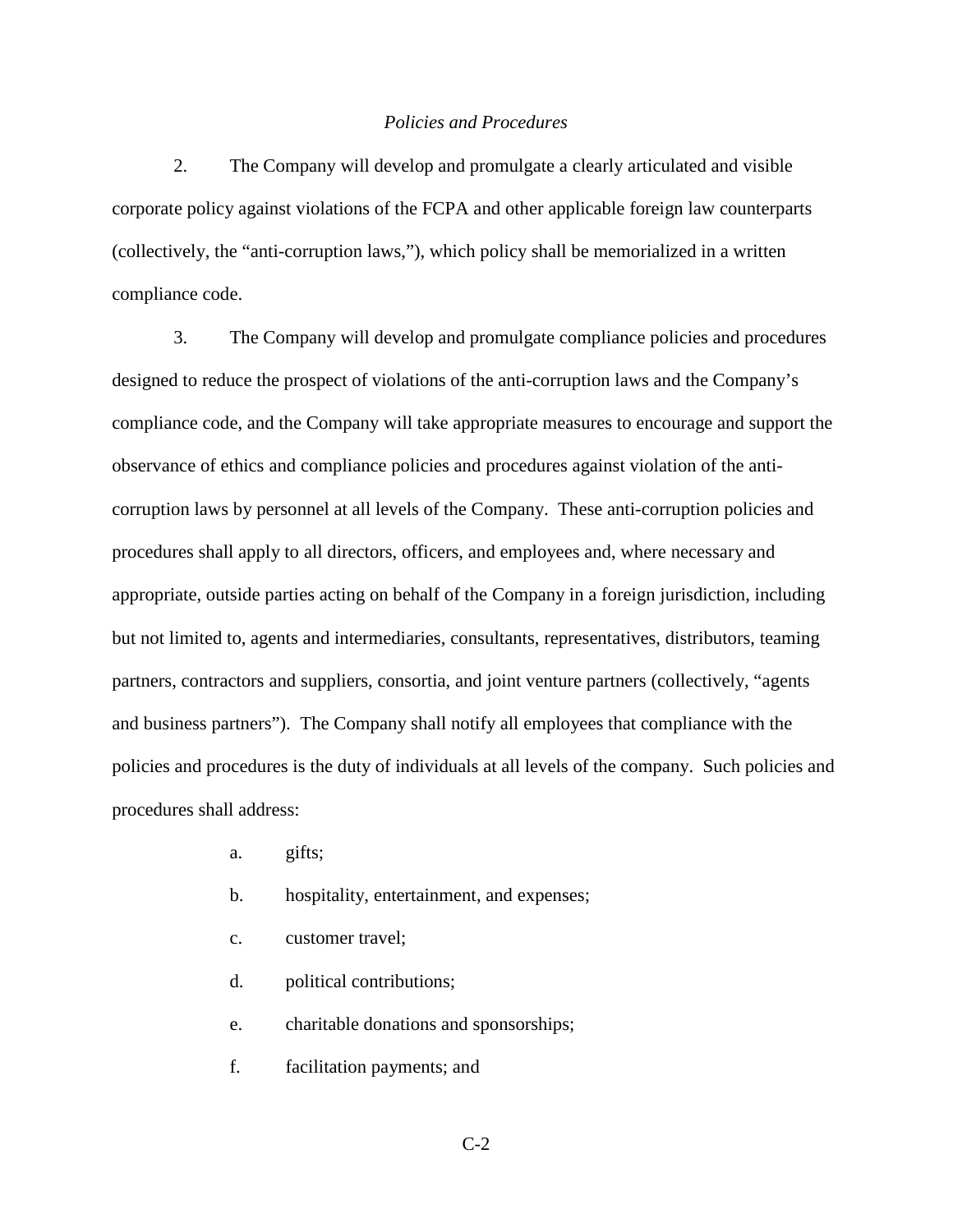#### *Policies and Procedures*

 2. The Company will develop and promulgate a clearly articulated and visible corporate policy against violations of the FCPA and other applicable foreign law counterparts (collectively, the "anti-corruption laws,"), which policy shall be memorialized in a written compliance code.

 3. The Company will develop and promulgate compliance policies and procedures designed to reduce the prospect of violations of the anti-corruption laws and the Company's compliance code, and the Company will take appropriate measures to encourage and support the observance of ethics and compliance policies and procedures against violation of the anticorruption laws by personnel at all levels of the Company. These anti-corruption policies and procedures shall apply to all directors, officers, and employees and, where necessary and appropriate, outside parties acting on behalf of the Company in a foreign jurisdiction, including but not limited to, agents and intermediaries, consultants, representatives, distributors, teaming partners, contractors and suppliers, consortia, and joint venture partners (collectively, "agents and business partners"). The Company shall notify all employees that compliance with the policies and procedures is the duty of individuals at all levels of the company. Such policies and procedures shall address:

- a. gifts;
- b. hospitality, entertainment, and expenses;
- c. customer travel;
- d. political contributions;
- e. charitable donations and sponsorships;
- f. facilitation payments; and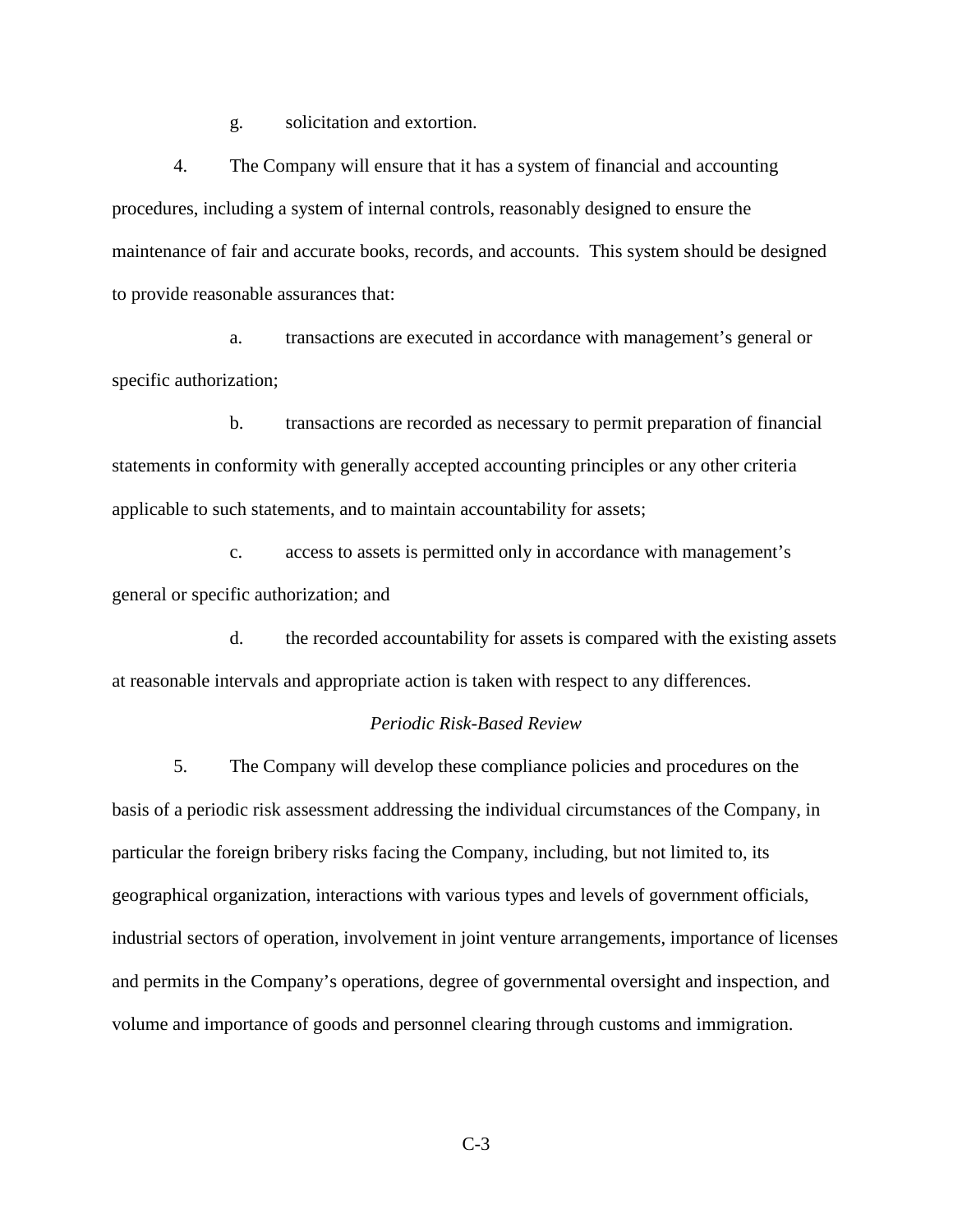g. solicitation and extortion.

 4. The Company will ensure that it has a system of financial and accounting procedures, including a system of internal controls, reasonably designed to ensure the maintenance of fair and accurate books, records, and accounts. This system should be designed to provide reasonable assurances that:

 a. transactions are executed in accordance with management's general or specific authorization;

 b. transactions are recorded as necessary to permit preparation of financial statements in conformity with generally accepted accounting principles or any other criteria applicable to such statements, and to maintain accountability for assets;

 c. access to assets is permitted only in accordance with management's general or specific authorization; and

 d. the recorded accountability for assets is compared with the existing assets at reasonable intervals and appropriate action is taken with respect to any differences.

#### *Periodic Risk-Based Review*

 5. The Company will develop these compliance policies and procedures on the basis of a periodic risk assessment addressing the individual circumstances of the Company, in particular the foreign bribery risks facing the Company, including, but not limited to, its geographical organization, interactions with various types and levels of government officials, industrial sectors of operation, involvement in joint venture arrangements, importance of licenses and permits in the Company's operations, degree of governmental oversight and inspection, and volume and importance of goods and personnel clearing through customs and immigration.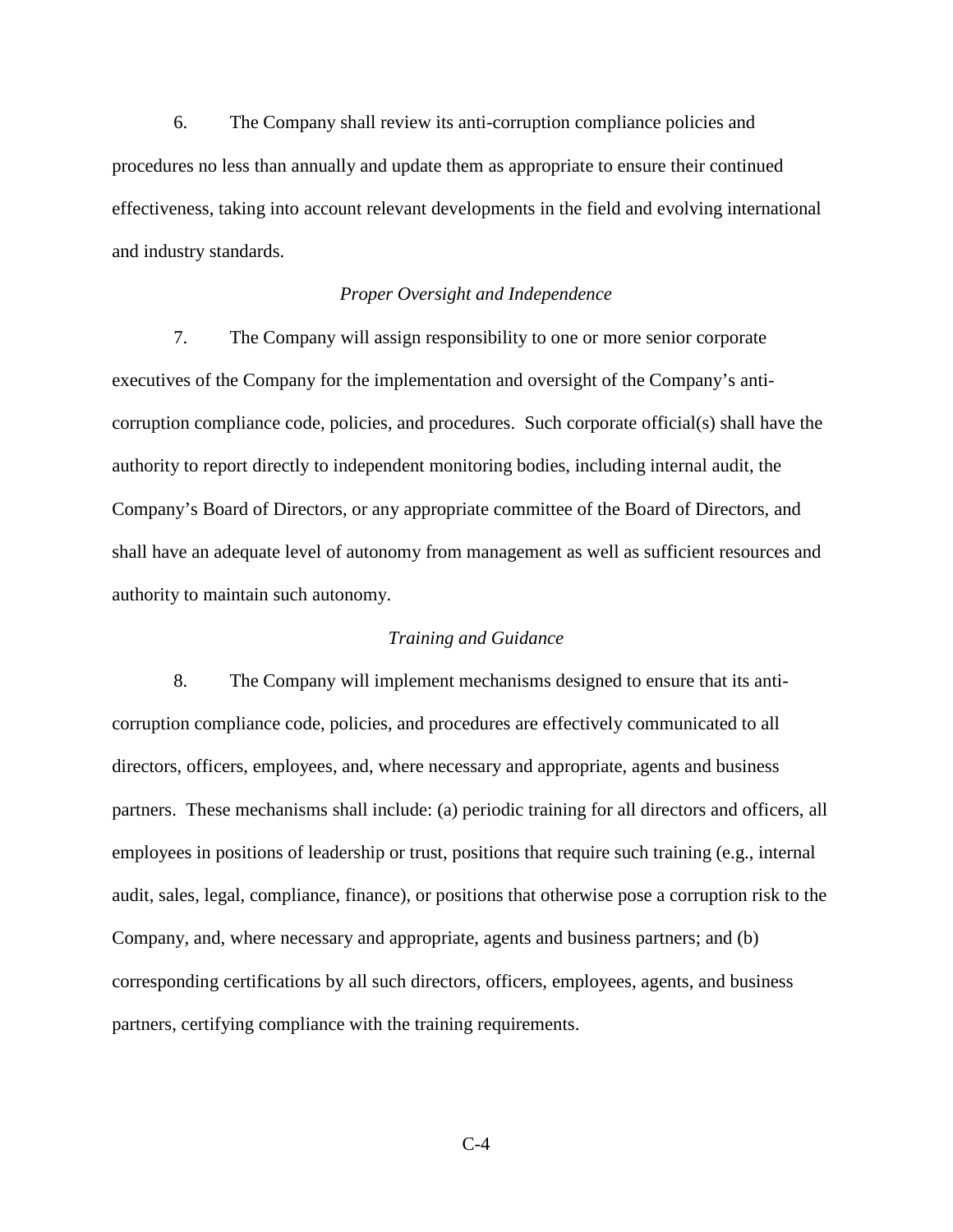6. The Company shall review its anti-corruption compliance policies and procedures no less than annually and update them as appropriate to ensure their continued effectiveness, taking into account relevant developments in the field and evolving international and industry standards.

## *Proper Oversight and Independence*

 7. The Company will assign responsibility to one or more senior corporate executives of the Company for the implementation and oversight of the Company's anticorruption compliance code, policies, and procedures. Such corporate official(s) shall have the authority to report directly to independent monitoring bodies, including internal audit, the Company's Board of Directors, or any appropriate committee of the Board of Directors, and shall have an adequate level of autonomy from management as well as sufficient resources and authority to maintain such autonomy.

# *Training and Guidance*

 8. The Company will implement mechanisms designed to ensure that its anticorruption compliance code, policies, and procedures are effectively communicated to all directors, officers, employees, and, where necessary and appropriate, agents and business partners. These mechanisms shall include: (a) periodic training for all directors and officers, all employees in positions of leadership or trust, positions that require such training (e.g., internal audit, sales, legal, compliance, finance), or positions that otherwise pose a corruption risk to the Company, and, where necessary and appropriate, agents and business partners; and (b) corresponding certifications by all such directors, officers, employees, agents, and business partners, certifying compliance with the training requirements.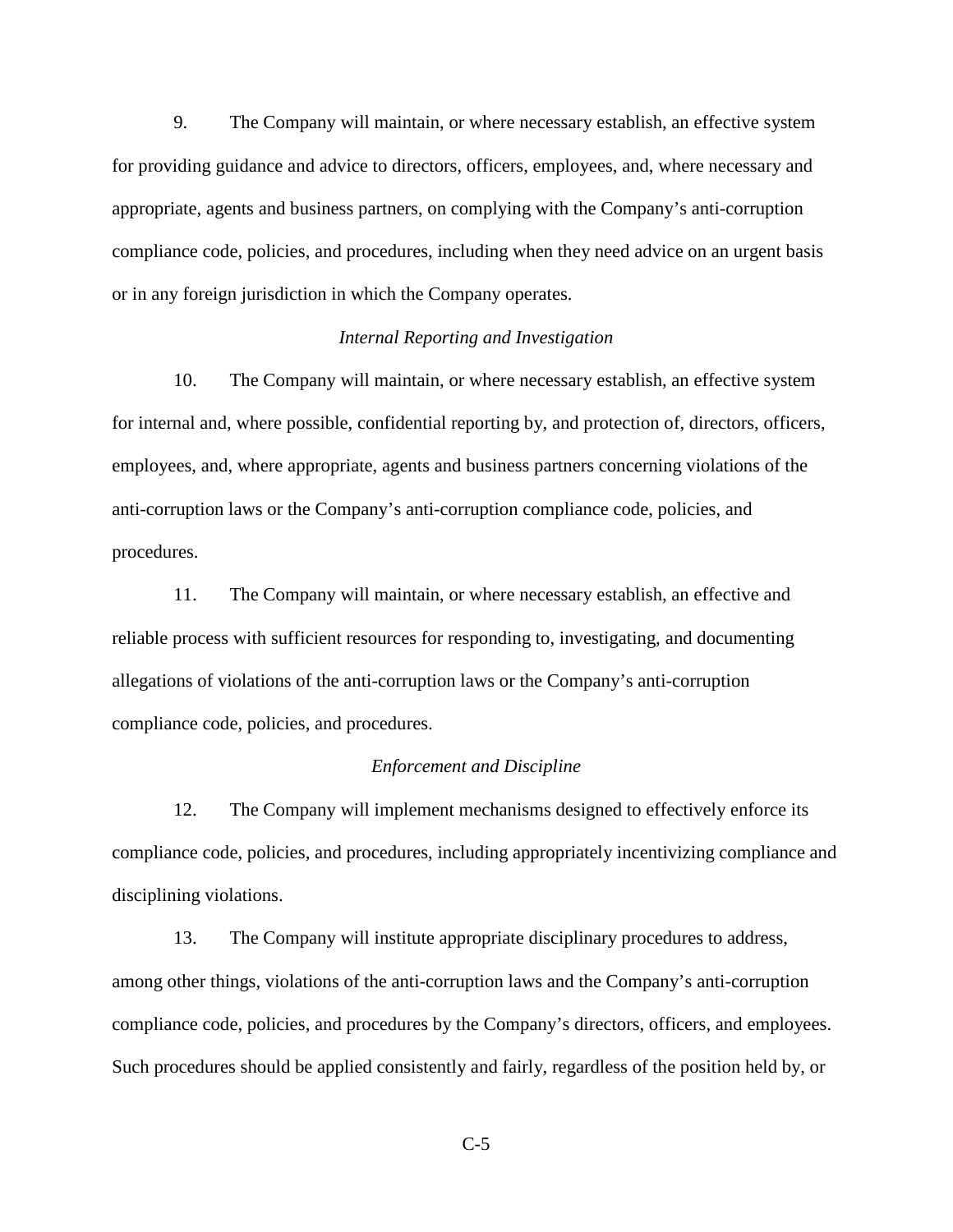9. The Company will maintain, or where necessary establish, an effective system for providing guidance and advice to directors, officers, employees, and, where necessary and appropriate, agents and business partners, on complying with the Company's anti-corruption compliance code, policies, and procedures, including when they need advice on an urgent basis or in any foreign jurisdiction in which the Company operates.

## *Internal Reporting and Investigation*

 10. The Company will maintain, or where necessary establish, an effective system for internal and, where possible, confidential reporting by, and protection of, directors, officers, employees, and, where appropriate, agents and business partners concerning violations of the anti-corruption laws or the Company's anti-corruption compliance code, policies, and procedures.

 11. The Company will maintain, or where necessary establish, an effective and reliable process with sufficient resources for responding to, investigating, and documenting allegations of violations of the anti-corruption laws or the Company's anti-corruption compliance code, policies, and procedures.

## *Enforcement and Discipline*

 12. The Company will implement mechanisms designed to effectively enforce its compliance code, policies, and procedures, including appropriately incentivizing compliance and disciplining violations.

 13. The Company will institute appropriate disciplinary procedures to address, among other things, violations of the anti-corruption laws and the Company's anti-corruption compliance code, policies, and procedures by the Company's directors, officers, and employees. Such procedures should be applied consistently and fairly, regardless of the position held by, or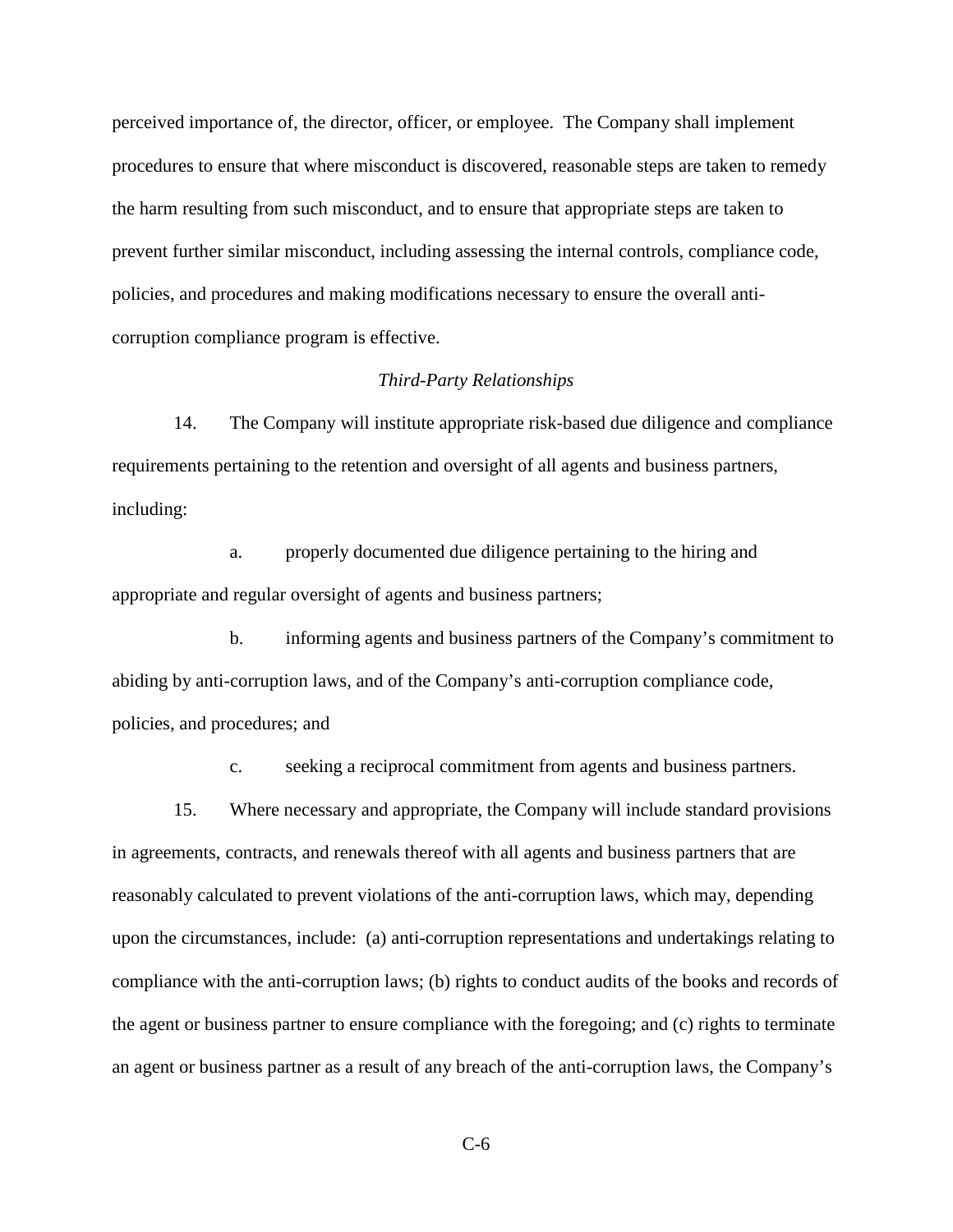perceived importance of, the director, officer, or employee. The Company shall implement procedures to ensure that where misconduct is discovered, reasonable steps are taken to remedy the harm resulting from such misconduct, and to ensure that appropriate steps are taken to prevent further similar misconduct, including assessing the internal controls, compliance code, policies, and procedures and making modifications necessary to ensure the overall anticorruption compliance program is effective.

# *Third-Party Relationships*

 14. The Company will institute appropriate risk-based due diligence and compliance requirements pertaining to the retention and oversight of all agents and business partners, including:

 a. properly documented due diligence pertaining to the hiring and appropriate and regular oversight of agents and business partners;

 b. informing agents and business partners of the Company's commitment to abiding by anti-corruption laws, and of the Company's anti-corruption compliance code, policies, and procedures; and

c. seeking a reciprocal commitment from agents and business partners.

 15. Where necessary and appropriate, the Company will include standard provisions in agreements, contracts, and renewals thereof with all agents and business partners that are reasonably calculated to prevent violations of the anti-corruption laws, which may, depending upon the circumstances, include: (a) anti-corruption representations and undertakings relating to compliance with the anti-corruption laws; (b) rights to conduct audits of the books and records of the agent or business partner to ensure compliance with the foregoing; and (c) rights to terminate an agent or business partner as a result of any breach of the anti-corruption laws, the Company's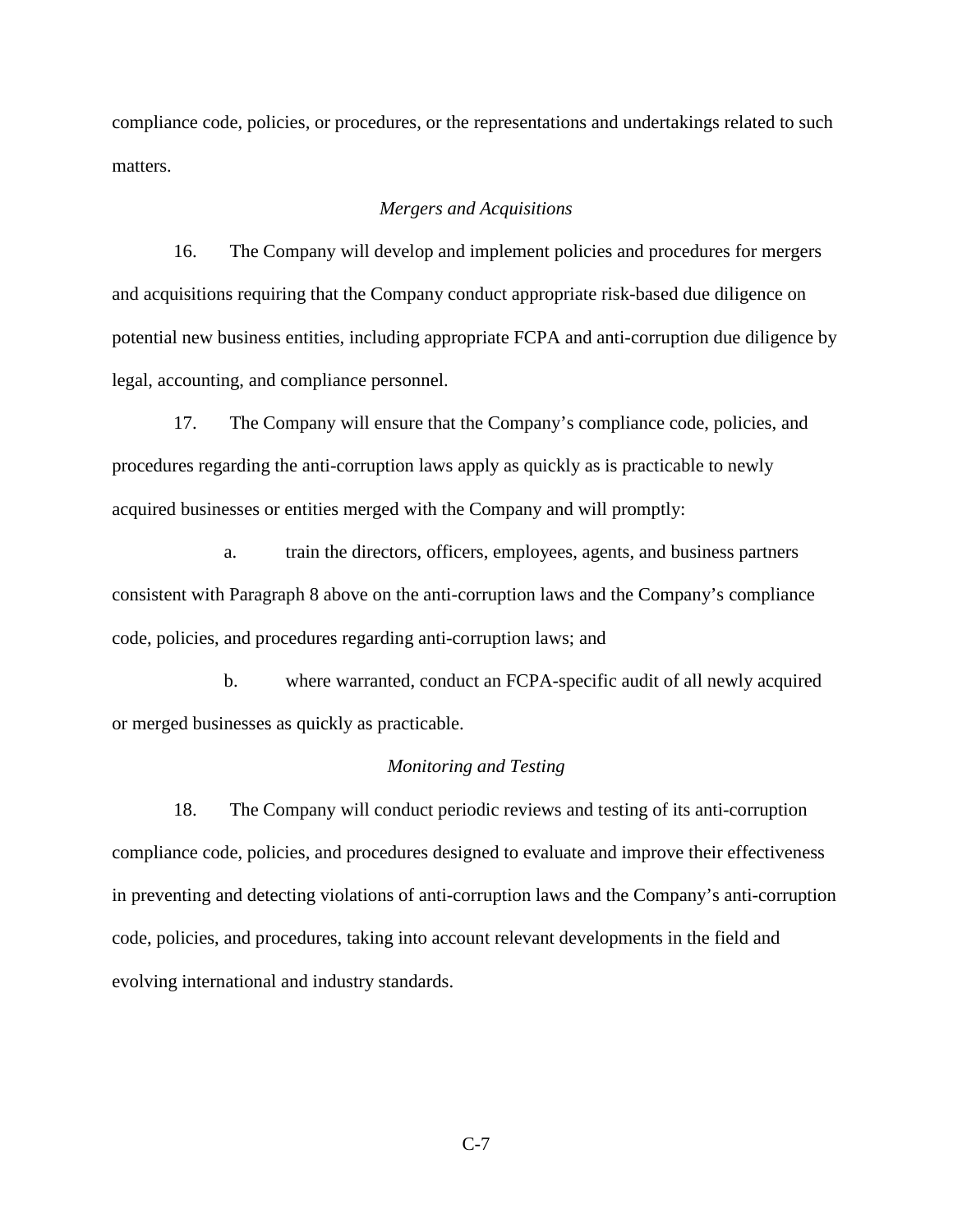compliance code, policies, or procedures, or the representations and undertakings related to such matters.

# *Mergers and Acquisitions*

 16. The Company will develop and implement policies and procedures for mergers and acquisitions requiring that the Company conduct appropriate risk-based due diligence on potential new business entities, including appropriate FCPA and anti-corruption due diligence by legal, accounting, and compliance personnel.

 17. The Company will ensure that the Company's compliance code, policies, and procedures regarding the anti-corruption laws apply as quickly as is practicable to newly acquired businesses or entities merged with the Company and will promptly:

 a. train the directors, officers, employees, agents, and business partners consistent with Paragraph 8 above on the anti-corruption laws and the Company's compliance code, policies, and procedures regarding anti-corruption laws; and

 b. where warranted, conduct an FCPA-specific audit of all newly acquired or merged businesses as quickly as practicable.

## *Monitoring and Testing*

 18. The Company will conduct periodic reviews and testing of its anti-corruption compliance code, policies, and procedures designed to evaluate and improve their effectiveness in preventing and detecting violations of anti-corruption laws and the Company's anti-corruption code, policies, and procedures, taking into account relevant developments in the field and evolving international and industry standards.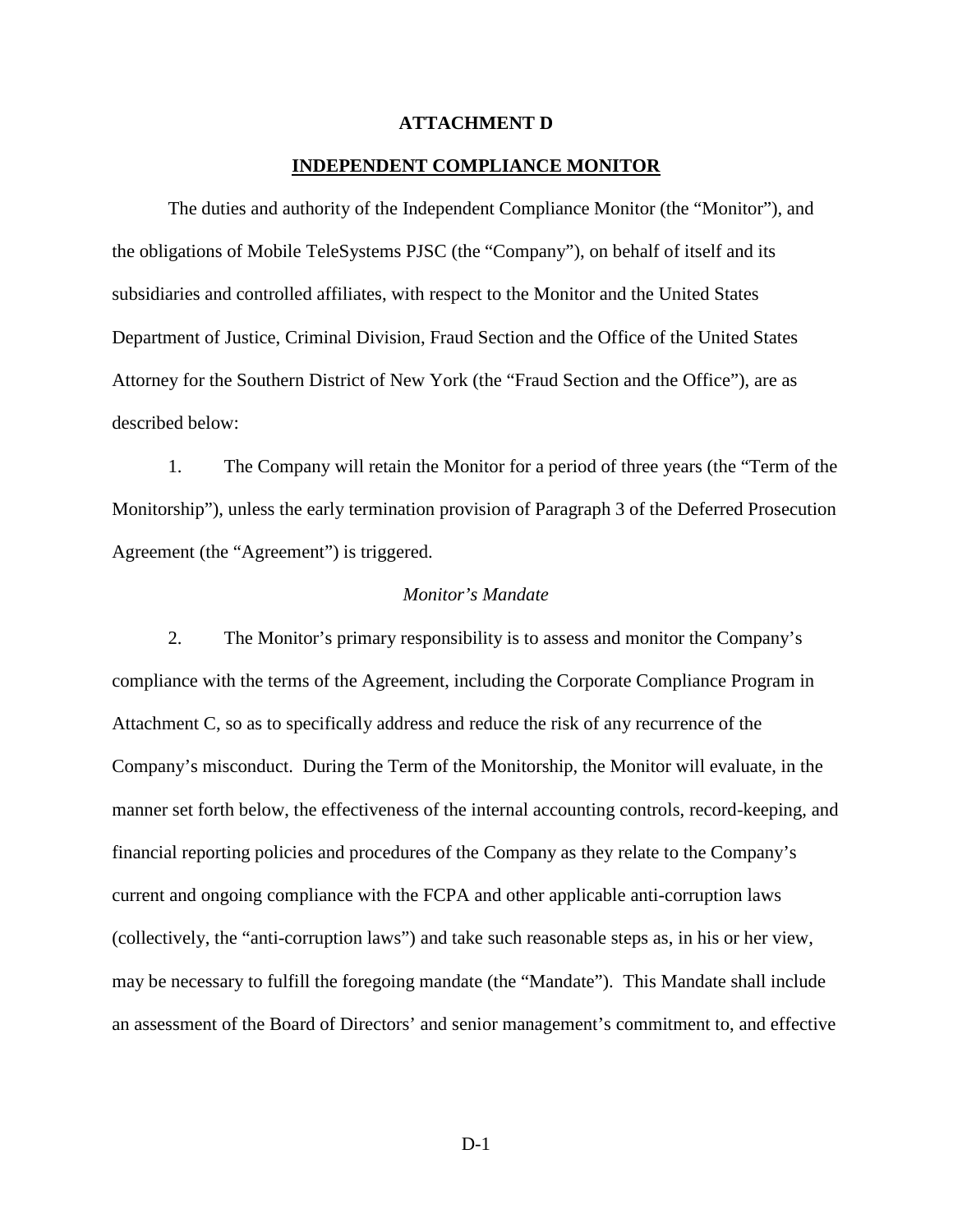#### **ATTACHMENT D**

#### **INDEPENDENT COMPLIANCE MONITOR**

The duties and authority of the Independent Compliance Monitor (the "Monitor"), and the obligations of Mobile TeleSystems PJSC (the "Company"), on behalf of itself and its subsidiaries and controlled affiliates, with respect to the Monitor and the United States Department of Justice, Criminal Division, Fraud Section and the Office of the United States Attorney for the Southern District of New York (the "Fraud Section and the Office"), are as described below:

1. The Company will retain the Monitor for a period of three years (the "Term of the Monitorship"), unless the early termination provision of Paragraph 3 of the Deferred Prosecution Agreement (the "Agreement") is triggered.

#### *Monitor's Mandate*

2. The Monitor's primary responsibility is to assess and monitor the Company's compliance with the terms of the Agreement, including the Corporate Compliance Program in Attachment C, so as to specifically address and reduce the risk of any recurrence of the Company's misconduct. During the Term of the Monitorship, the Monitor will evaluate, in the manner set forth below, the effectiveness of the internal accounting controls, record-keeping, and financial reporting policies and procedures of the Company as they relate to the Company's current and ongoing compliance with the FCPA and other applicable anti-corruption laws (collectively, the "anti-corruption laws") and take such reasonable steps as, in his or her view, may be necessary to fulfill the foregoing mandate (the "Mandate"). This Mandate shall include an assessment of the Board of Directors' and senior management's commitment to, and effective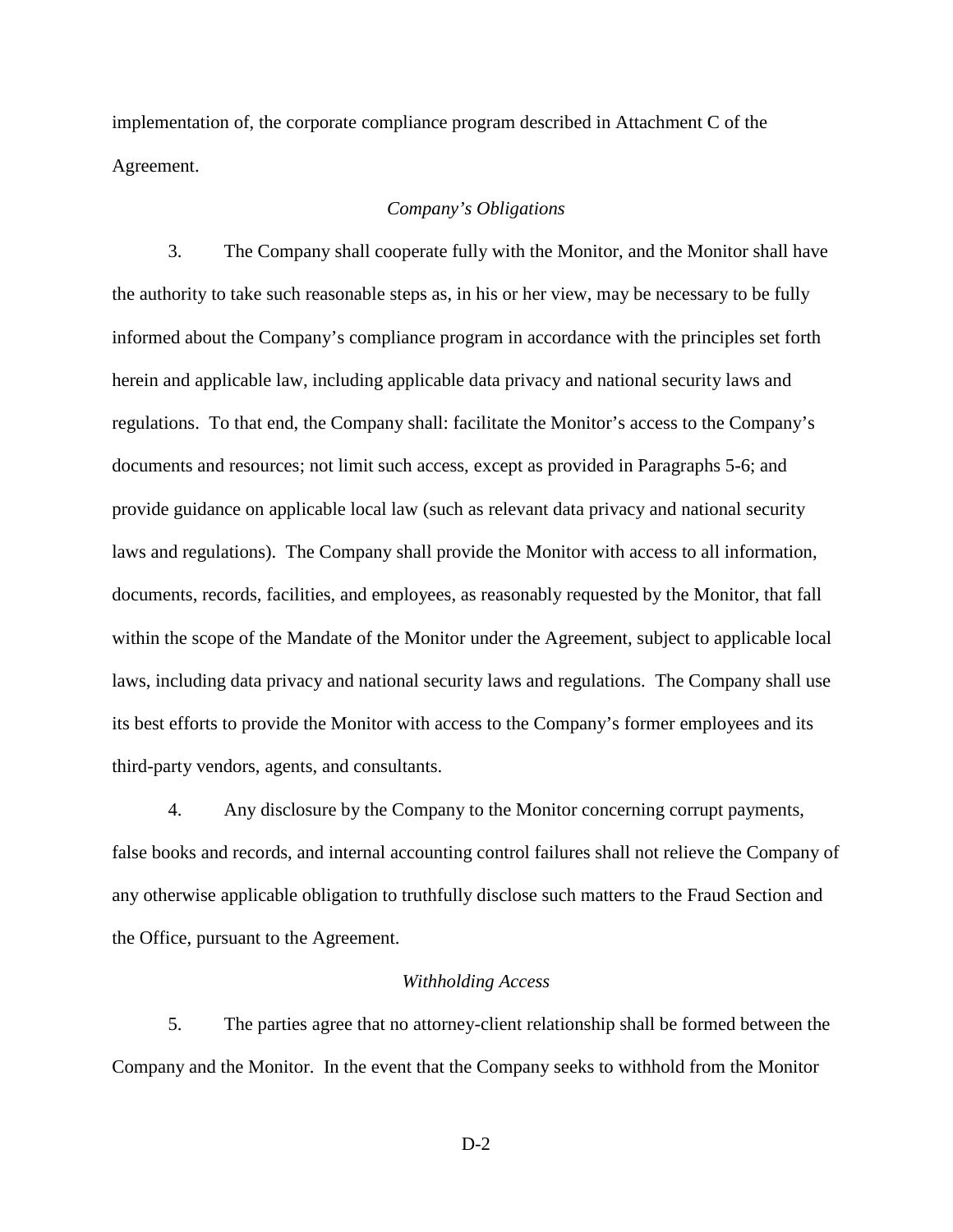implementation of, the corporate compliance program described in Attachment C of the Agreement.

#### *Company's Obligations*

3. The Company shall cooperate fully with the Monitor, and the Monitor shall have the authority to take such reasonable steps as, in his or her view, may be necessary to be fully informed about the Company's compliance program in accordance with the principles set forth herein and applicable law, including applicable data privacy and national security laws and regulations. To that end, the Company shall: facilitate the Monitor's access to the Company's documents and resources; not limit such access, except as provided in Paragraphs 5-6; and provide guidance on applicable local law (such as relevant data privacy and national security laws and regulations). The Company shall provide the Monitor with access to all information, documents, records, facilities, and employees, as reasonably requested by the Monitor, that fall within the scope of the Mandate of the Monitor under the Agreement, subject to applicable local laws, including data privacy and national security laws and regulations. The Company shall use its best efforts to provide the Monitor with access to the Company's former employees and its third-party vendors, agents, and consultants.

4. Any disclosure by the Company to the Monitor concerning corrupt payments, false books and records, and internal accounting control failures shall not relieve the Company of any otherwise applicable obligation to truthfully disclose such matters to the Fraud Section and the Office, pursuant to the Agreement.

#### *Withholding Access*

5. The parties agree that no attorney-client relationship shall be formed between the Company and the Monitor. In the event that the Company seeks to withhold from the Monitor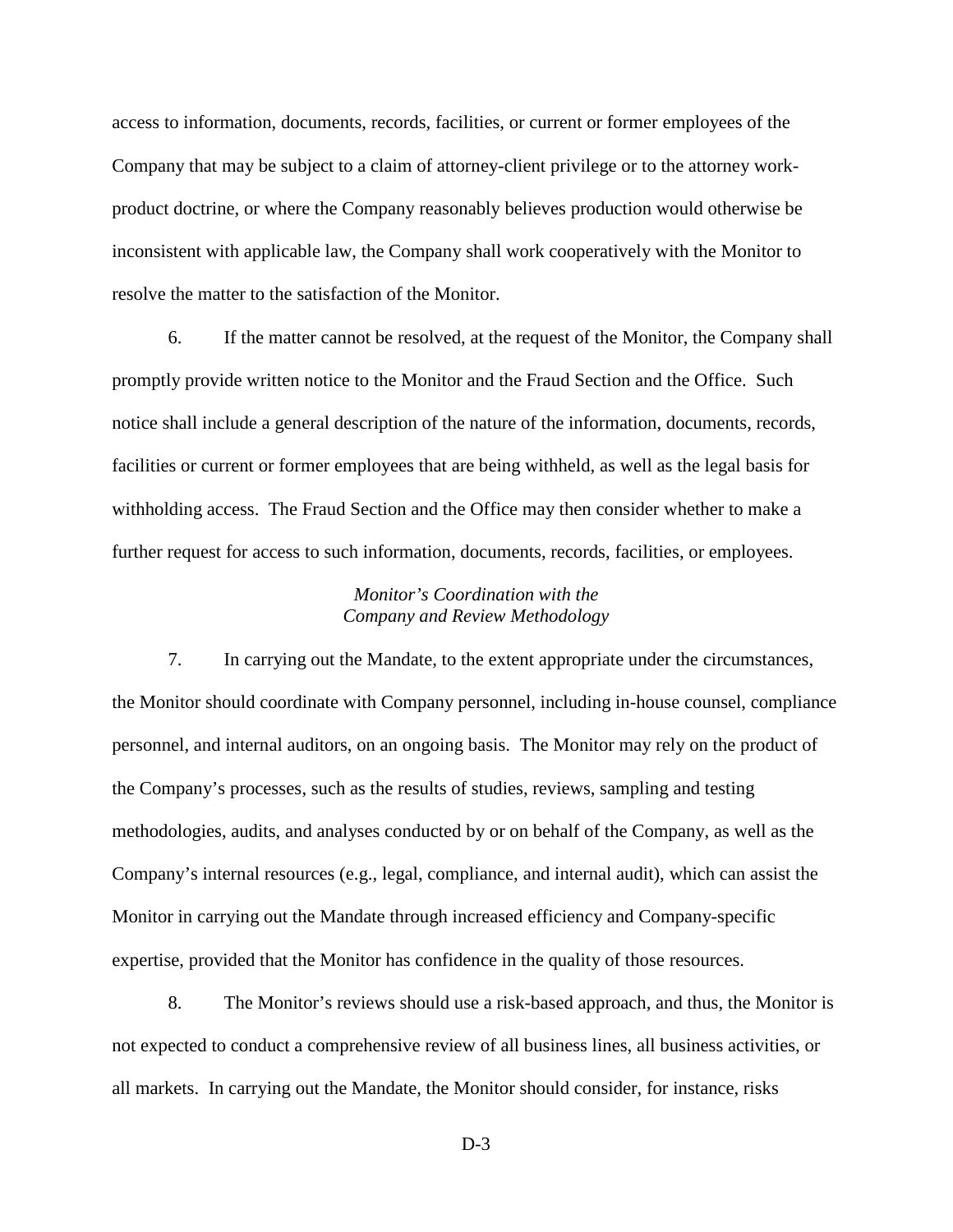access to information, documents, records, facilities, or current or former employees of the Company that may be subject to a claim of attorney-client privilege or to the attorney workproduct doctrine, or where the Company reasonably believes production would otherwise be inconsistent with applicable law, the Company shall work cooperatively with the Monitor to resolve the matter to the satisfaction of the Monitor.

6. If the matter cannot be resolved, at the request of the Monitor, the Company shall promptly provide written notice to the Monitor and the Fraud Section and the Office. Such notice shall include a general description of the nature of the information, documents, records, facilities or current or former employees that are being withheld, as well as the legal basis for withholding access. The Fraud Section and the Office may then consider whether to make a further request for access to such information, documents, records, facilities, or employees.

# *Monitor's Coordination with the Company and Review Methodology*

7. In carrying out the Mandate, to the extent appropriate under the circumstances, the Monitor should coordinate with Company personnel, including in-house counsel, compliance personnel, and internal auditors, on an ongoing basis. The Monitor may rely on the product of the Company's processes, such as the results of studies, reviews, sampling and testing methodologies, audits, and analyses conducted by or on behalf of the Company, as well as the Company's internal resources (e.g., legal, compliance, and internal audit), which can assist the Monitor in carrying out the Mandate through increased efficiency and Company-specific expertise, provided that the Monitor has confidence in the quality of those resources.

8. The Monitor's reviews should use a risk-based approach, and thus, the Monitor is not expected to conduct a comprehensive review of all business lines, all business activities, or all markets. In carrying out the Mandate, the Monitor should consider, for instance, risks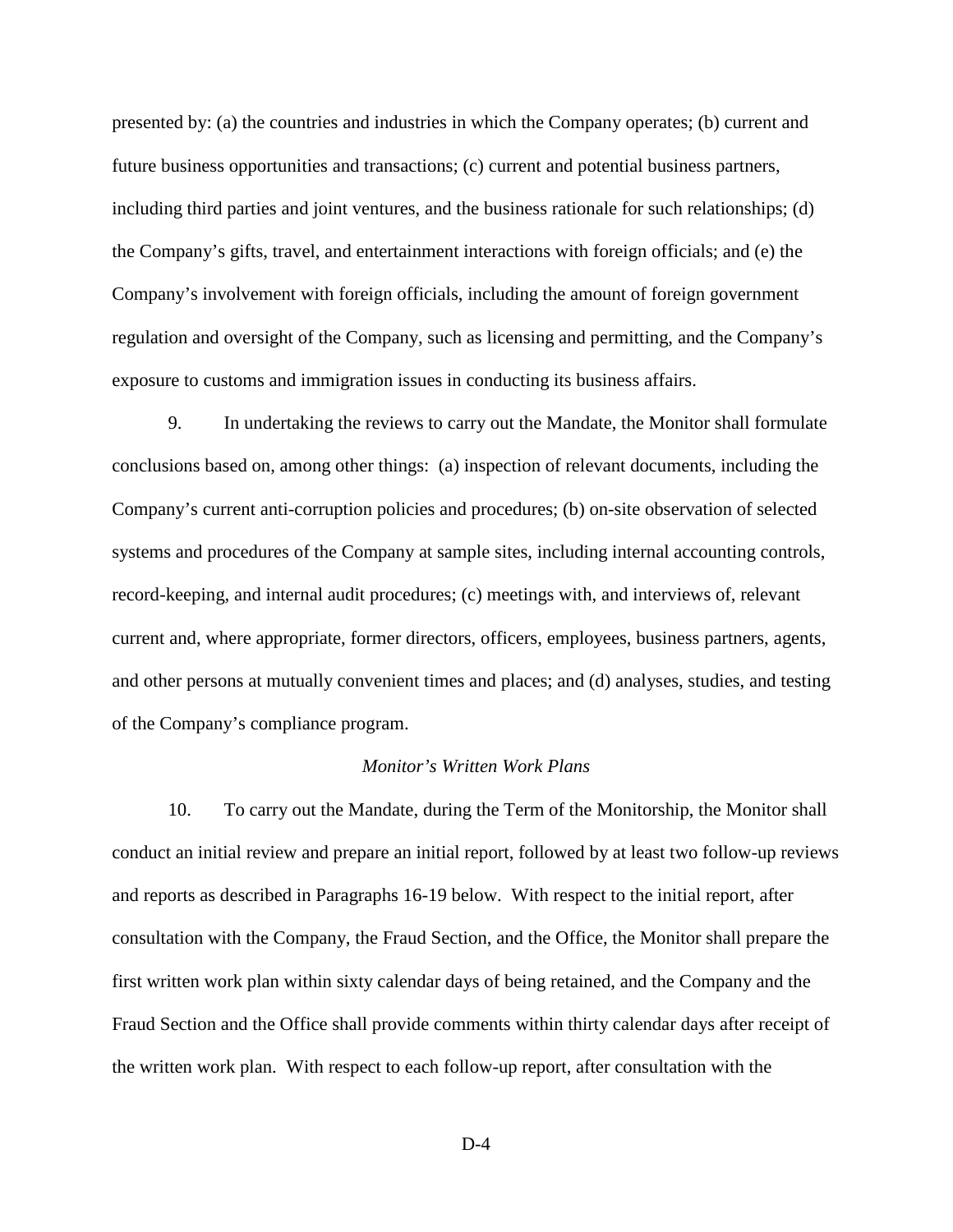presented by: (a) the countries and industries in which the Company operates; (b) current and future business opportunities and transactions; (c) current and potential business partners, including third parties and joint ventures, and the business rationale for such relationships; (d) the Company's gifts, travel, and entertainment interactions with foreign officials; and (e) the Company's involvement with foreign officials, including the amount of foreign government regulation and oversight of the Company, such as licensing and permitting, and the Company's exposure to customs and immigration issues in conducting its business affairs.

9. In undertaking the reviews to carry out the Mandate, the Monitor shall formulate conclusions based on, among other things: (a) inspection of relevant documents, including the Company's current anti-corruption policies and procedures; (b) on-site observation of selected systems and procedures of the Company at sample sites, including internal accounting controls, record-keeping, and internal audit procedures; (c) meetings with, and interviews of, relevant current and, where appropriate, former directors, officers, employees, business partners, agents, and other persons at mutually convenient times and places; and (d) analyses, studies, and testing of the Company's compliance program.

#### *Monitor's Written Work Plans*

10. To carry out the Mandate, during the Term of the Monitorship, the Monitor shall conduct an initial review and prepare an initial report, followed by at least two follow-up reviews and reports as described in Paragraphs 16-19 below. With respect to the initial report, after consultation with the Company, the Fraud Section, and the Office, the Monitor shall prepare the first written work plan within sixty calendar days of being retained, and the Company and the Fraud Section and the Office shall provide comments within thirty calendar days after receipt of the written work plan. With respect to each follow-up report, after consultation with the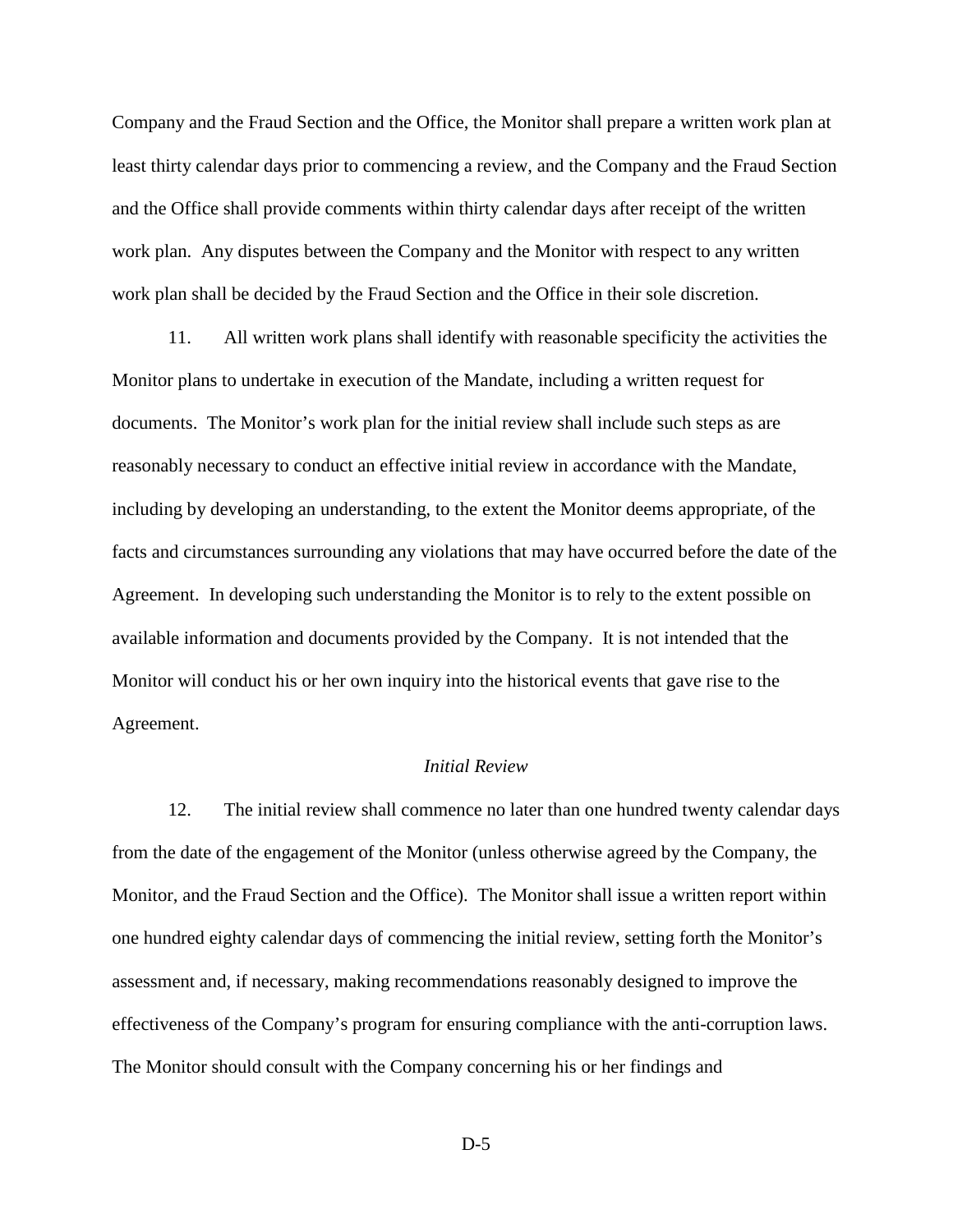Company and the Fraud Section and the Office, the Monitor shall prepare a written work plan at least thirty calendar days prior to commencing a review, and the Company and the Fraud Section and the Office shall provide comments within thirty calendar days after receipt of the written work plan. Any disputes between the Company and the Monitor with respect to any written work plan shall be decided by the Fraud Section and the Office in their sole discretion.

11. All written work plans shall identify with reasonable specificity the activities the Monitor plans to undertake in execution of the Mandate, including a written request for documents. The Monitor's work plan for the initial review shall include such steps as are reasonably necessary to conduct an effective initial review in accordance with the Mandate, including by developing an understanding, to the extent the Monitor deems appropriate, of the facts and circumstances surrounding any violations that may have occurred before the date of the Agreement. In developing such understanding the Monitor is to rely to the extent possible on available information and documents provided by the Company. It is not intended that the Monitor will conduct his or her own inquiry into the historical events that gave rise to the Agreement.

# *Initial Review*

12. The initial review shall commence no later than one hundred twenty calendar days from the date of the engagement of the Monitor (unless otherwise agreed by the Company, the Monitor, and the Fraud Section and the Office). The Monitor shall issue a written report within one hundred eighty calendar days of commencing the initial review, setting forth the Monitor's assessment and, if necessary, making recommendations reasonably designed to improve the effectiveness of the Company's program for ensuring compliance with the anti-corruption laws. The Monitor should consult with the Company concerning his or her findings and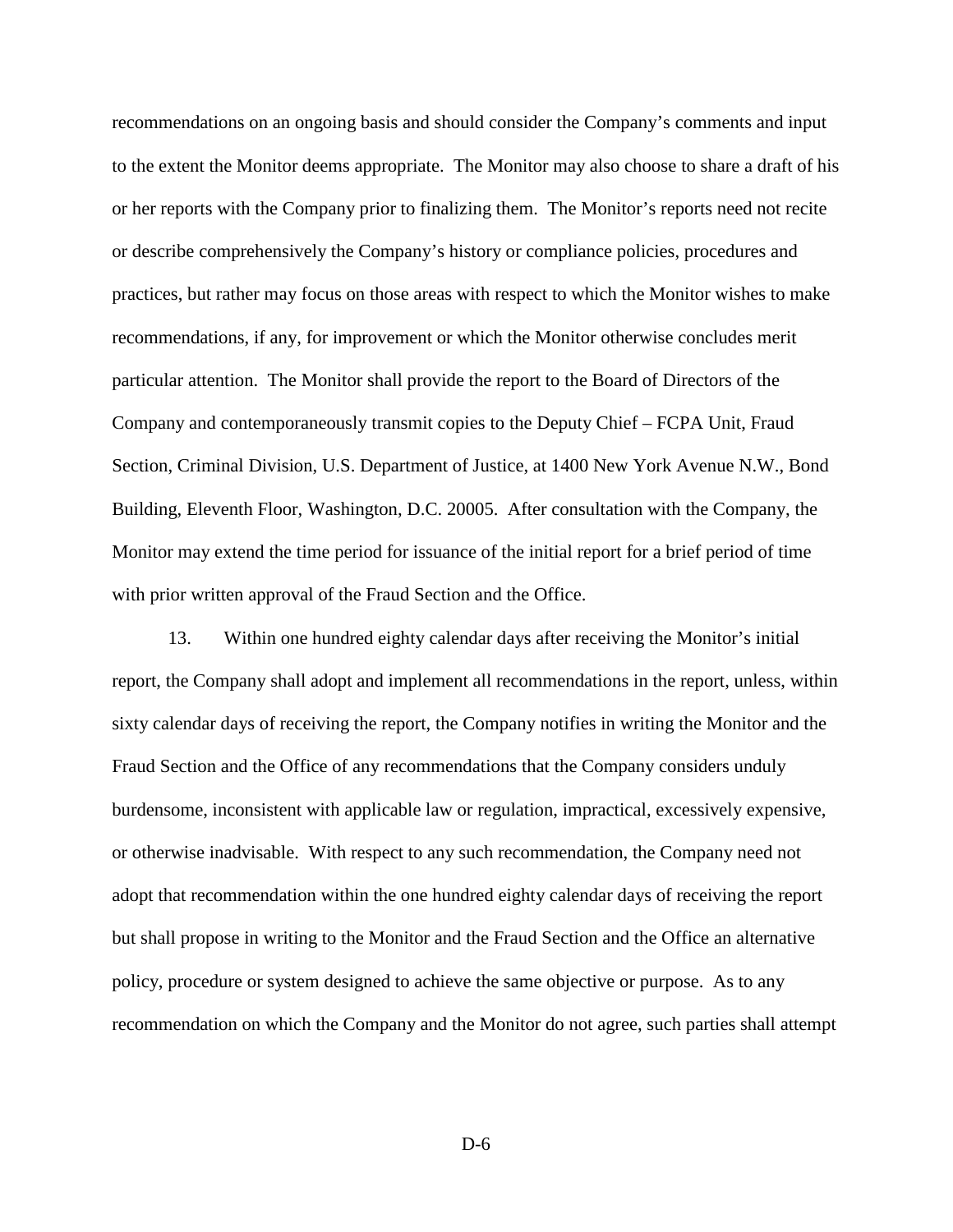recommendations on an ongoing basis and should consider the Company's comments and input to the extent the Monitor deems appropriate. The Monitor may also choose to share a draft of his or her reports with the Company prior to finalizing them. The Monitor's reports need not recite or describe comprehensively the Company's history or compliance policies, procedures and practices, but rather may focus on those areas with respect to which the Monitor wishes to make recommendations, if any, for improvement or which the Monitor otherwise concludes merit particular attention. The Monitor shall provide the report to the Board of Directors of the Company and contemporaneously transmit copies to the Deputy Chief – FCPA Unit, Fraud Section, Criminal Division, U.S. Department of Justice, at 1400 New York Avenue N.W., Bond Building, Eleventh Floor, Washington, D.C. 20005. After consultation with the Company, the Monitor may extend the time period for issuance of the initial report for a brief period of time with prior written approval of the Fraud Section and the Office.

13. Within one hundred eighty calendar days after receiving the Monitor's initial report, the Company shall adopt and implement all recommendations in the report, unless, within sixty calendar days of receiving the report, the Company notifies in writing the Monitor and the Fraud Section and the Office of any recommendations that the Company considers unduly burdensome, inconsistent with applicable law or regulation, impractical, excessively expensive, or otherwise inadvisable. With respect to any such recommendation, the Company need not adopt that recommendation within the one hundred eighty calendar days of receiving the report but shall propose in writing to the Monitor and the Fraud Section and the Office an alternative policy, procedure or system designed to achieve the same objective or purpose. As to any recommendation on which the Company and the Monitor do not agree, such parties shall attempt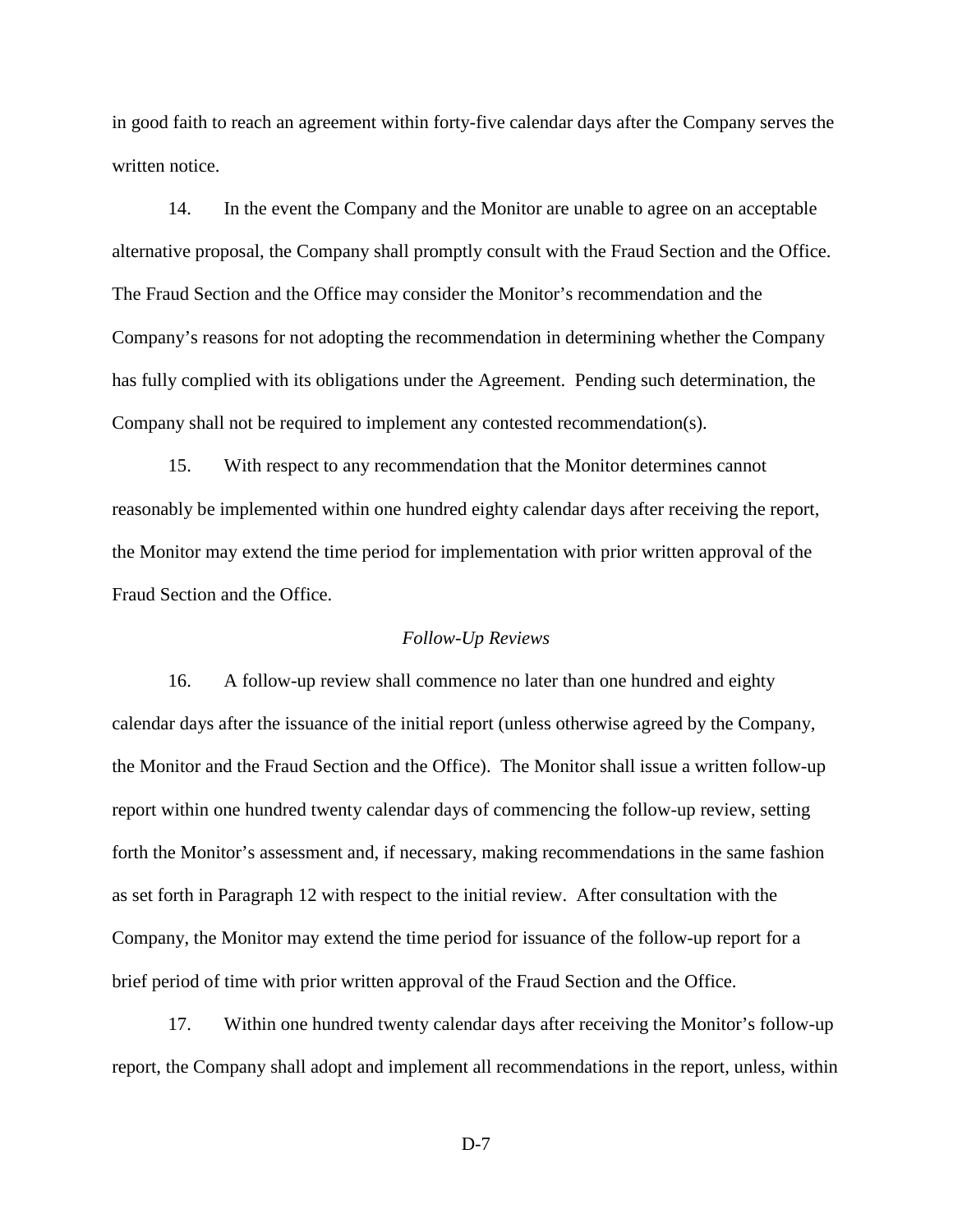in good faith to reach an agreement within forty-five calendar days after the Company serves the written notice.

14. In the event the Company and the Monitor are unable to agree on an acceptable alternative proposal, the Company shall promptly consult with the Fraud Section and the Office. The Fraud Section and the Office may consider the Monitor's recommendation and the Company's reasons for not adopting the recommendation in determining whether the Company has fully complied with its obligations under the Agreement. Pending such determination, the Company shall not be required to implement any contested recommendation(s).

15. With respect to any recommendation that the Monitor determines cannot reasonably be implemented within one hundred eighty calendar days after receiving the report, the Monitor may extend the time period for implementation with prior written approval of the Fraud Section and the Office.

# *Follow-Up Reviews*

16. A follow-up review shall commence no later than one hundred and eighty calendar days after the issuance of the initial report (unless otherwise agreed by the Company, the Monitor and the Fraud Section and the Office). The Monitor shall issue a written follow-up report within one hundred twenty calendar days of commencing the follow-up review, setting forth the Monitor's assessment and, if necessary, making recommendations in the same fashion as set forth in Paragraph 12 with respect to the initial review. After consultation with the Company, the Monitor may extend the time period for issuance of the follow-up report for a brief period of time with prior written approval of the Fraud Section and the Office.

17. Within one hundred twenty calendar days after receiving the Monitor's follow-up report, the Company shall adopt and implement all recommendations in the report, unless, within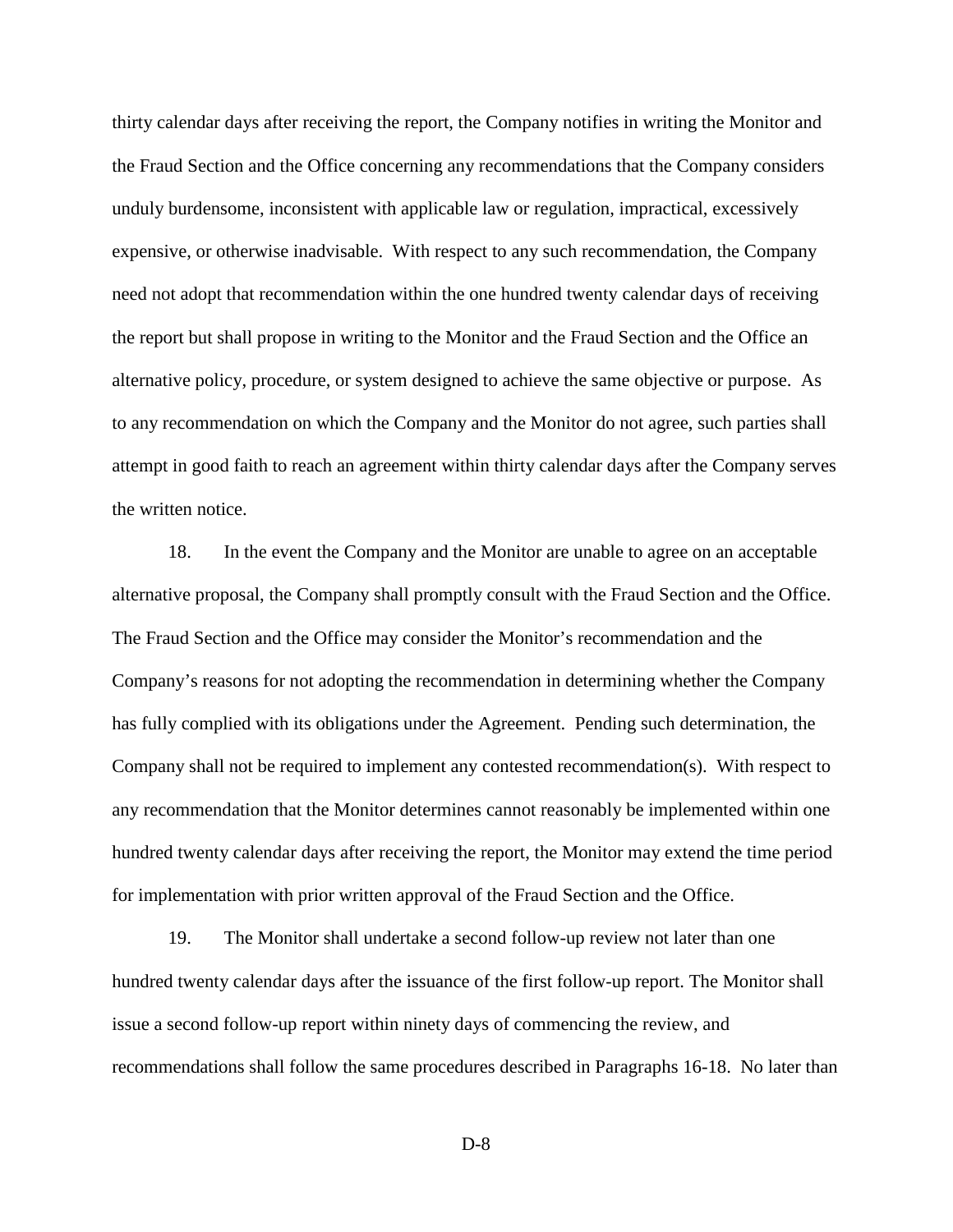thirty calendar days after receiving the report, the Company notifies in writing the Monitor and the Fraud Section and the Office concerning any recommendations that the Company considers unduly burdensome, inconsistent with applicable law or regulation, impractical, excessively expensive, or otherwise inadvisable. With respect to any such recommendation, the Company need not adopt that recommendation within the one hundred twenty calendar days of receiving the report but shall propose in writing to the Monitor and the Fraud Section and the Office an alternative policy, procedure, or system designed to achieve the same objective or purpose. As to any recommendation on which the Company and the Monitor do not agree, such parties shall attempt in good faith to reach an agreement within thirty calendar days after the Company serves the written notice.

18. In the event the Company and the Monitor are unable to agree on an acceptable alternative proposal, the Company shall promptly consult with the Fraud Section and the Office. The Fraud Section and the Office may consider the Monitor's recommendation and the Company's reasons for not adopting the recommendation in determining whether the Company has fully complied with its obligations under the Agreement. Pending such determination, the Company shall not be required to implement any contested recommendation(s). With respect to any recommendation that the Monitor determines cannot reasonably be implemented within one hundred twenty calendar days after receiving the report, the Monitor may extend the time period for implementation with prior written approval of the Fraud Section and the Office.

19. The Monitor shall undertake a second follow-up review not later than one hundred twenty calendar days after the issuance of the first follow-up report. The Monitor shall issue a second follow-up report within ninety days of commencing the review, and recommendations shall follow the same procedures described in Paragraphs 16-18. No later than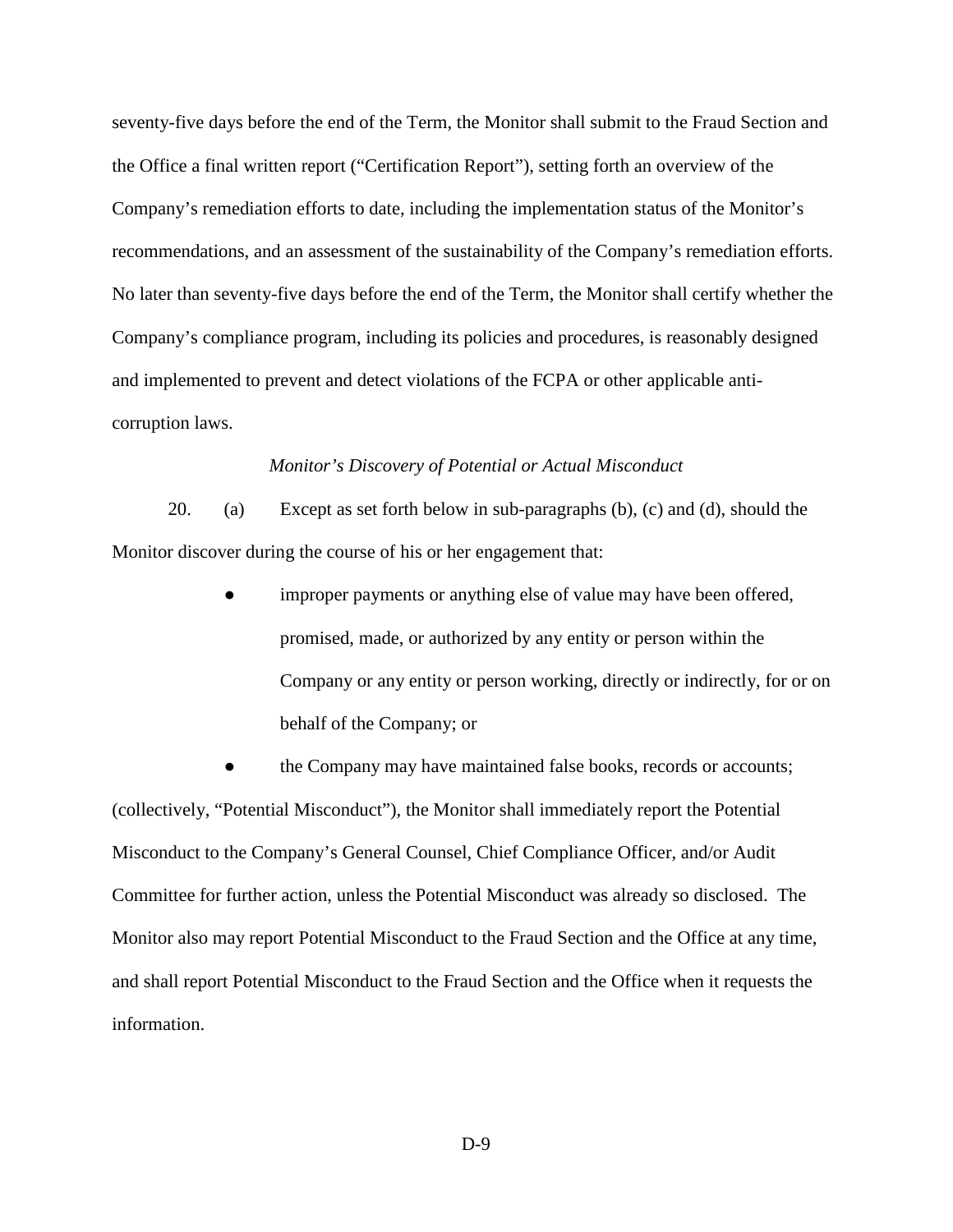seventy-five days before the end of the Term, the Monitor shall submit to the Fraud Section and the Office a final written report ("Certification Report"), setting forth an overview of the Company's remediation efforts to date, including the implementation status of the Monitor's recommendations, and an assessment of the sustainability of the Company's remediation efforts. No later than seventy-five days before the end of the Term, the Monitor shall certify whether the Company's compliance program, including its policies and procedures, is reasonably designed and implemented to prevent and detect violations of the FCPA or other applicable anticorruption laws.

#### *Monitor's Discovery of Potential or Actual Misconduct*

20. (a) Except as set forth below in sub-paragraphs (b), (c) and (d), should the Monitor discover during the course of his or her engagement that:

> improper payments or anything else of value may have been offered, promised, made, or authorized by any entity or person within the Company or any entity or person working, directly or indirectly, for or on behalf of the Company; or

the Company may have maintained false books, records or accounts; (collectively, "Potential Misconduct"), the Monitor shall immediately report the Potential Misconduct to the Company's General Counsel, Chief Compliance Officer, and/or Audit Committee for further action, unless the Potential Misconduct was already so disclosed. The Monitor also may report Potential Misconduct to the Fraud Section and the Office at any time, and shall report Potential Misconduct to the Fraud Section and the Office when it requests the information.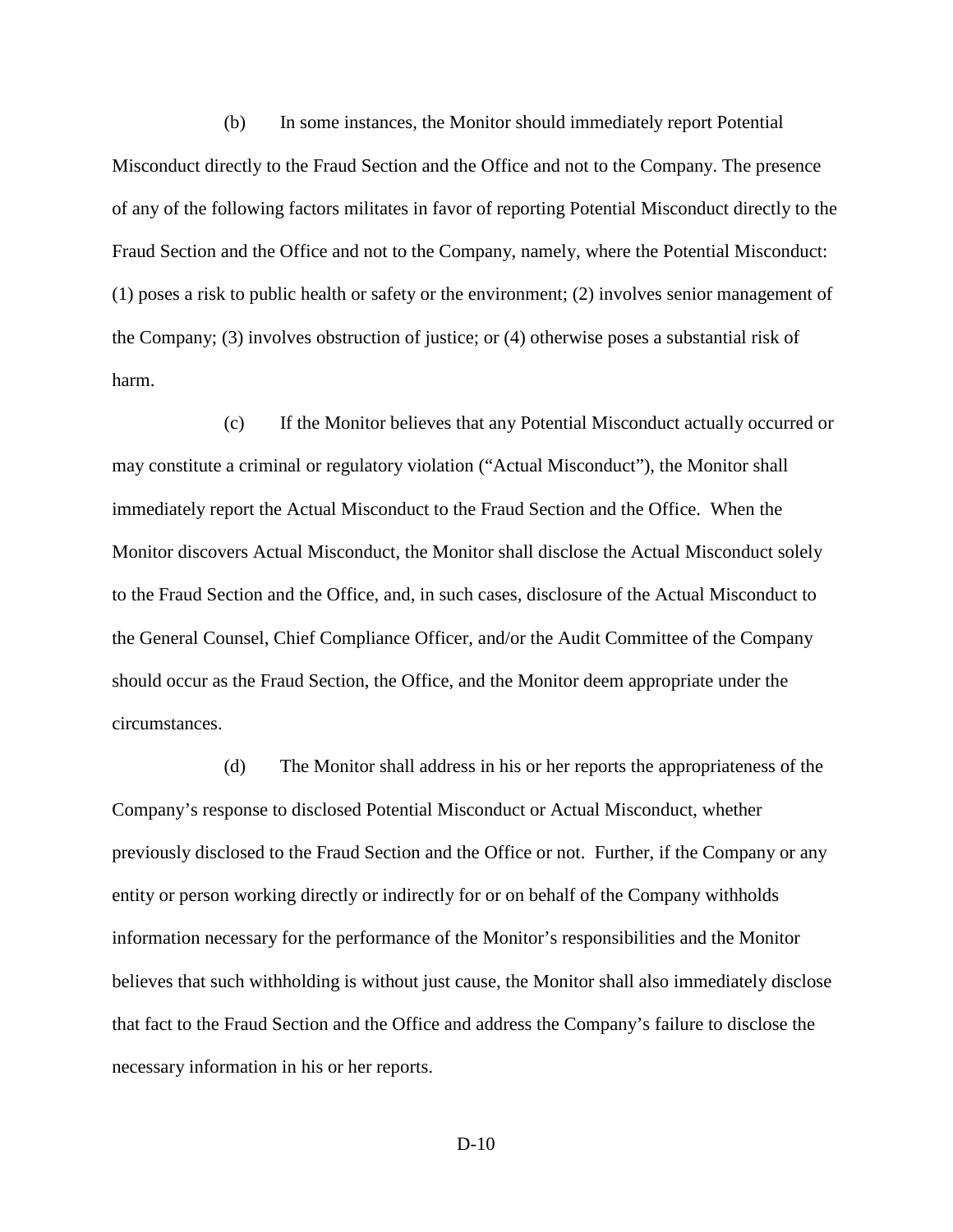(b) In some instances, the Monitor should immediately report Potential Misconduct directly to the Fraud Section and the Office and not to the Company. The presence of any of the following factors militates in favor of reporting Potential Misconduct directly to the Fraud Section and the Office and not to the Company, namely, where the Potential Misconduct: (1) poses a risk to public health or safety or the environment; (2) involves senior management of the Company; (3) involves obstruction of justice; or (4) otherwise poses a substantial risk of harm.

(c) If the Monitor believes that any Potential Misconduct actually occurred or may constitute a criminal or regulatory violation ("Actual Misconduct"), the Monitor shall immediately report the Actual Misconduct to the Fraud Section and the Office. When the Monitor discovers Actual Misconduct, the Monitor shall disclose the Actual Misconduct solely to the Fraud Section and the Office, and, in such cases, disclosure of the Actual Misconduct to the General Counsel, Chief Compliance Officer, and/or the Audit Committee of the Company should occur as the Fraud Section, the Office, and the Monitor deem appropriate under the circumstances.

(d) The Monitor shall address in his or her reports the appropriateness of the Company's response to disclosed Potential Misconduct or Actual Misconduct, whether previously disclosed to the Fraud Section and the Office or not. Further, if the Company or any entity or person working directly or indirectly for or on behalf of the Company withholds information necessary for the performance of the Monitor's responsibilities and the Monitor believes that such withholding is without just cause, the Monitor shall also immediately disclose that fact to the Fraud Section and the Office and address the Company's failure to disclose the necessary information in his or her reports.